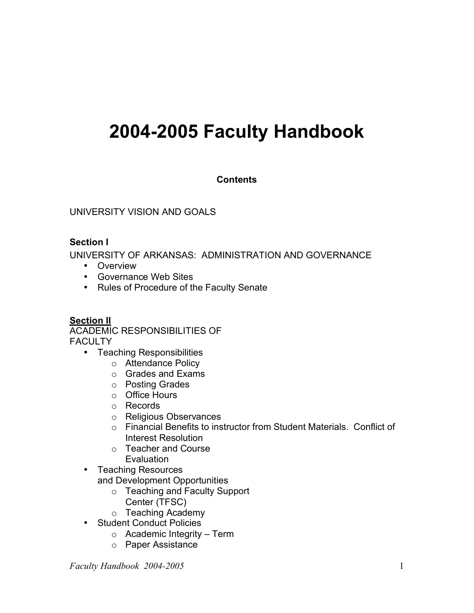# **2004-2005 Faculty Handbook**

### **Contents**

### UNIVERSITY VISION AND GOALS

### **Section I**

UNIVERSITY OF ARKANSAS: ADMINISTRATION AND GOVERNANCE

- Overview
- Governance Web Sites
- Rules of Procedure of the Faculty Senate

### **Section II**

ACADEMIC RESPONSIBILITIES OF **FACULTY** 

- Teaching Responsibilities
	- o Attendance Policy
	- o Grades and Exams
	- o Posting Grades
	- o Office Hours
	- o Records
	- o Religious Observances
	- o Financial Benefits to instructor from Student Materials. Conflict of Interest Resolution
	- o Teacher and Course
		- **Evaluation**
- Teaching Resources and Development Opportunities
	- o Teaching and Faculty Support Center (TFSC)
	- o Teaching Academy
- Student Conduct Policies
	- o Academic Integrity Term
	- o Paper Assistance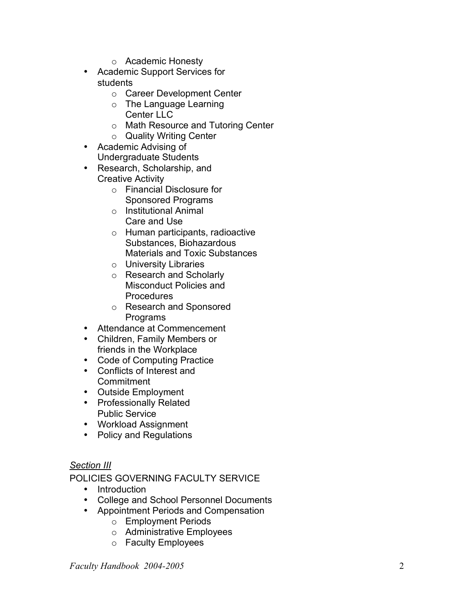- o Academic Honesty
- Academic Support Services for students
	- o Career Development Center
	- o The Language Learning Center LLC
	- o Math Resource and Tutoring Center
	- o Quality Writing Center
- Academic Advising of Undergraduate Students
- Research, Scholarship, and Creative Activity
	- o Financial Disclosure for Sponsored Programs
	- o Institutional Animal Care and Use
	- o Human participants, radioactive Substances, Biohazardous Materials and Toxic Substances
	- $\circ$  University Libraries
	- o Research and Scholarly Misconduct Policies and Procedures
	- o Research and Sponsored Programs
- Attendance at Commencement
- Children, Family Members or friends in the Workplace
- Code of Computing Practice
- Conflicts of Interest and Commitment
- Outside Employment
- Professionally Related Public Service
- Workload Assignment
- Policy and Regulations

### *Section III*

POLICIES GOVERNING FACULTY SERVICE

- Introduction
- College and School Personnel Documents
- Appointment Periods and Compensation
	- o Employment Periods
	- o Administrative Employees
	- o Faculty Employees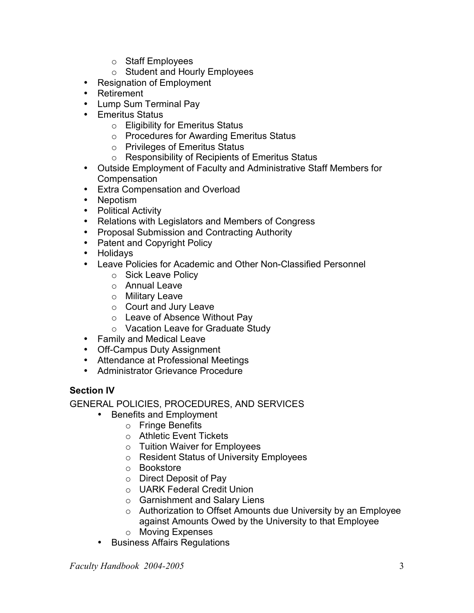- o Staff Employees
- o Student and Hourly Employees
- Resignation of Employment
- Retirement
- Lump Sum Terminal Pay
- Emeritus Status
	- o Eligibility for Emeritus Status
	- o Procedures for Awarding Emeritus Status
	- o Privileges of Emeritus Status
	- o Responsibility of Recipients of Emeritus Status
- Outside Employment of Faculty and Administrative Staff Members for Compensation
- Extra Compensation and Overload
- Nepotism
- Political Activity
- Relations with Legislators and Members of Congress
- Proposal Submission and Contracting Authority
- Patent and Copyright Policy
- Holidays
- Leave Policies for Academic and Other Non-Classified Personnel
	- o Sick Leave Policy
	- o Annual Leave
	- o Military Leave
	- o Court and Jury Leave
	- o Leave of Absence Without Pay
	- o Vacation Leave for Graduate Study
- Family and Medical Leave
- Off-Campus Duty Assignment
- Attendance at Professional Meetings
- Administrator Grievance Procedure

### **Section IV**

GENERAL POLICIES, PROCEDURES, AND SERVICES

- Benefits and Employment
	- o Fringe Benefits
	- o Athletic Event Tickets
	- o Tuition Waiver for Employees
	- o Resident Status of University Employees
	- o Bookstore
	- o Direct Deposit of Pay
	- o UARK Federal Credit Union
	- o Garnishment and Salary Liens
	- o Authorization to Offset Amounts due University by an Employee against Amounts Owed by the University to that Employee
	- o Moving Expenses
- Business Affairs Regulations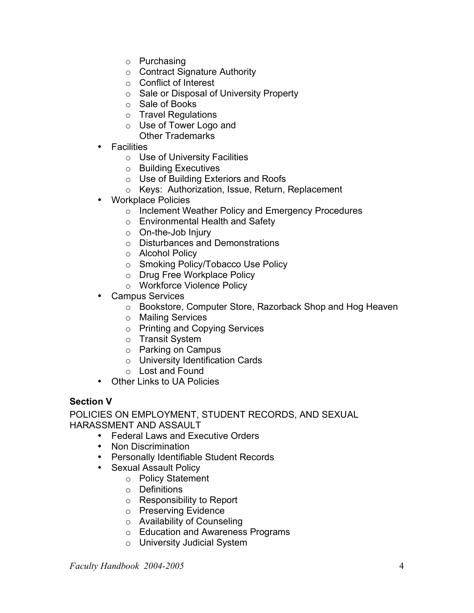- o Purchasing
- o Contract Signature Authority
- o Conflict of Interest
- o Sale or Disposal of University Property
- o Sale of Books
- o Travel Regulations
- o Use of Tower Logo and
- Other Trademarks
- Facilities
	- o Use of University Facilities
	- o Building Executives
	- o Use of Building Exteriors and Roofs
	- o Keys: Authorization, Issue, Return, Replacement
- Workplace Policies
	- o Inclement Weather Policy and Emergency Procedures
	- o Environmental Health and Safety
	- o On-the-Job Injury
	- o Disturbances and Demonstrations
	- o Alcohol Policy
	- o Smoking Policy/Tobacco Use Policy
	- o Drug Free Workplace Policy
	- o Workforce Violence Policy
- Campus Services
	- o Bookstore, Computer Store, Razorback Shop and Hog Heaven
	- o Mailing Services
	- o Printing and Copying Services
	- o Transit System
	- o Parking on Campus
	- o University Identification Cards
	- o Lost and Found
- Other Links to UA Policies

### **Section V**

POLICIES ON EMPLOYMENT, STUDENT RECORDS, AND SEXUAL HARASSMENT AND ASSAULT

- Federal Laws and Executive Orders
- Non Discrimination
- Personally Identifiable Student Records
- Sexual Assault Policy
	- o Policy Statement
	- o Definitions
	- o Responsibility to Report
	- o Preserving Evidence
	- o Availability of Counseling
	- o Education and Awareness Programs
	- o University Judicial System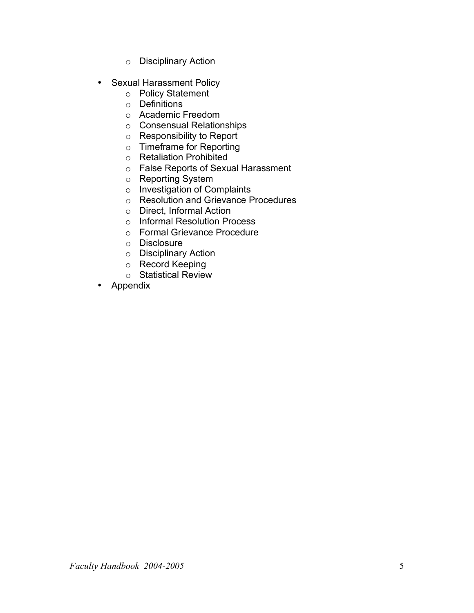- o Disciplinary Action
- Sexual Harassment Policy
	- o Policy Statement
	- o Definitions
	- o Academic Freedom
	- o Consensual Relationships
	- o Responsibility to Report
	- o Timeframe for Reporting
	- o Retaliation Prohibited
	- o False Reports of Sexual Harassment
	- o Reporting System
	- o Investigation of Complaints
	- o Resolution and Grievance Procedures
	- o Direct, Informal Action
	- o Informal Resolution Process
	- o Formal Grievance Procedure
	- o Disclosure
	- o Disciplinary Action
	- o Record Keeping
	- o Statistical Review
- Appendix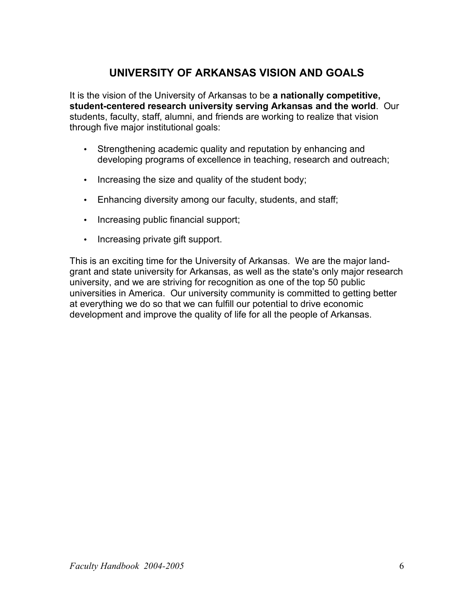# **UNIVERSITY OF ARKANSAS VISION AND GOALS**

It is the vision of the University of Arkansas to be **a nationally competitive, student-centered research university serving Arkansas and the world**. Our students, faculty, staff, alumni, and friends are working to realize that vision through five major institutional goals:

- Strengthening academic quality and reputation by enhancing and developing programs of excellence in teaching, research and outreach;
- Increasing the size and quality of the student body;
- Enhancing diversity among our faculty, students, and staff;
- Increasing public financial support;
- Increasing private gift support.

This is an exciting time for the University of Arkansas. We are the major landgrant and state university for Arkansas, as well as the state's only major research university, and we are striving for recognition as one of the top 50 public universities in America. Our university community is committed to getting better at everything we do so that we can fulfill our potential to drive economic development and improve the quality of life for all the people of Arkansas.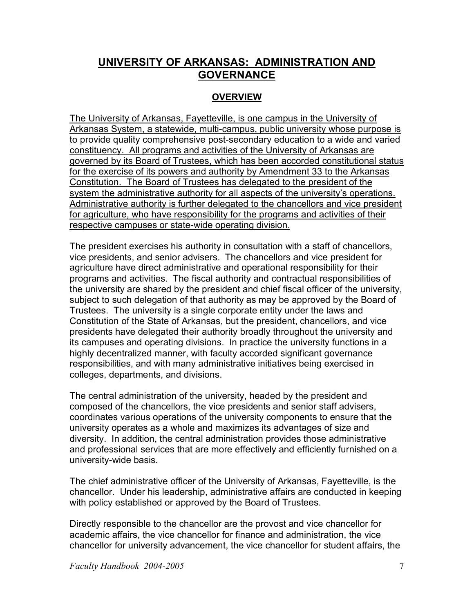# **UNIVERSITY OF ARKANSAS: ADMINISTRATION AND GOVERNANCE**

### **OVERVIEW**

The University of Arkansas, Fayetteville, is one campus in the University of Arkansas System, a statewide, multi-campus, public university whose purpose is to provide quality comprehensive post-secondary education to a wide and varied constituency. All programs and activities of the University of Arkansas are governed by its Board of Trustees, which has been accorded constitutional status for the exercise of its powers and authority by Amendment 33 to the Arkansas Constitution. The Board of Trustees has delegated to the president of the system the administrative authority for all aspects of the university's operations. Administrative authority is further delegated to the chancellors and vice president for agriculture, who have responsibility for the programs and activities of their respective campuses or state-wide operating division.

The president exercises his authority in consultation with a staff of chancellors, vice presidents, and senior advisers. The chancellors and vice president for agriculture have direct administrative and operational responsibility for their programs and activities. The fiscal authority and contractual responsibilities of the university are shared by the president and chief fiscal officer of the university, subject to such delegation of that authority as may be approved by the Board of Trustees. The university is a single corporate entity under the laws and Constitution of the State of Arkansas, but the president, chancellors, and vice presidents have delegated their authority broadly throughout the university and its campuses and operating divisions. In practice the university functions in a highly decentralized manner, with faculty accorded significant governance responsibilities, and with many administrative initiatives being exercised in colleges, departments, and divisions.

The central administration of the university, headed by the president and composed of the chancellors, the vice presidents and senior staff advisers, coordinates various operations of the university components to ensure that the university operates as a whole and maximizes its advantages of size and diversity. In addition, the central administration provides those administrative and professional services that are more effectively and efficiently furnished on a university-wide basis.

The chief administrative officer of the University of Arkansas, Fayetteville, is the chancellor. Under his leadership, administrative affairs are conducted in keeping with policy established or approved by the Board of Trustees.

Directly responsible to the chancellor are the provost and vice chancellor for academic affairs, the vice chancellor for finance and administration, the vice chancellor for university advancement, the vice chancellor for student affairs, the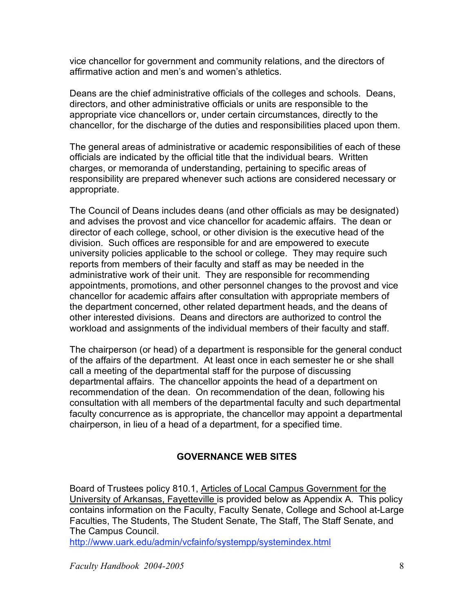vice chancellor for government and community relations, and the directors of affirmative action and men's and women's athletics.

Deans are the chief administrative officials of the colleges and schools. Deans, directors, and other administrative officials or units are responsible to the appropriate vice chancellors or, under certain circumstances, directly to the chancellor, for the discharge of the duties and responsibilities placed upon them.

The general areas of administrative or academic responsibilities of each of these officials are indicated by the official title that the individual bears. Written charges, or memoranda of understanding, pertaining to specific areas of responsibility are prepared whenever such actions are considered necessary or appropriate.

The Council of Deans includes deans (and other officials as may be designated) and advises the provost and vice chancellor for academic affairs. The dean or director of each college, school, or other division is the executive head of the division. Such offices are responsible for and are empowered to execute university policies applicable to the school or college. They may require such reports from members of their faculty and staff as may be needed in the administrative work of their unit. They are responsible for recommending appointments, promotions, and other personnel changes to the provost and vice chancellor for academic affairs after consultation with appropriate members of the department concerned, other related department heads, and the deans of other interested divisions. Deans and directors are authorized to control the workload and assignments of the individual members of their faculty and staff.

The chairperson (or head) of a department is responsible for the general conduct of the affairs of the department. At least once in each semester he or she shall call a meeting of the departmental staff for the purpose of discussing departmental affairs. The chancellor appoints the head of a department on recommendation of the dean. On recommendation of the dean, following his consultation with all members of the departmental faculty and such departmental faculty concurrence as is appropriate, the chancellor may appoint a departmental chairperson, in lieu of a head of a department, for a specified time.

### **GOVERNANCE WEB SITES**

Board of Trustees policy 810.1, Articles of Local Campus Government for the University of Arkansas, Fayetteville is provided below as Appendix A. This policy contains information on the Faculty, Faculty Senate, College and School at-Large Faculties, The Students, The Student Senate, The Staff, The Staff Senate, and The Campus Council.

http://www.uark.edu/admin/vcfainfo/systempp/systemindex.html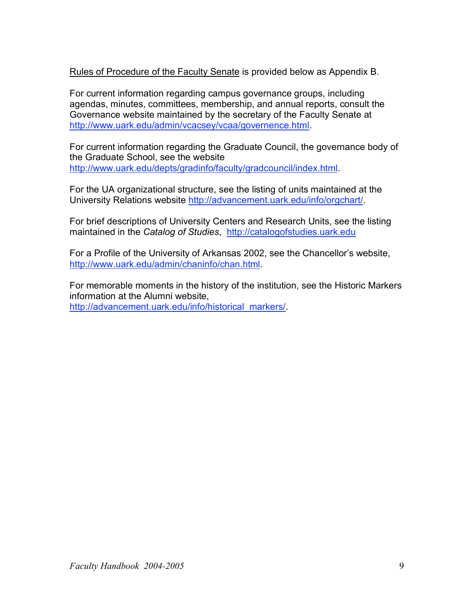Rules of Procedure of the Faculty Senate is provided below as Appendix B.

For current information regarding campus governance groups, including agendas, minutes, committees, membership, and annual reports, consult the Governance website maintained by the secretary of the Faculty Senate at http://www.uark.edu/admin/vcacsey/vcaa/governence.html.

For current information regarding the Graduate Council, the governance body of the Graduate School, see the website http://www.uark.edu/depts/gradinfo/faculty/gradcouncil/index.html.

For the UA organizational structure, see the listing of units maintained at the University Relations website http://advancement.uark.edu/info/orgchart/.

For brief descriptions of University Centers and Research Units, see the listing maintained in the *Catalog of Studies*, http://catalogofstudies.uark.edu

For a Profile of the University of Arkansas 2002, see the Chancellor's website, http://www.uark.edu/admin/chaninfo/chan.html.

For memorable moments in the history of the institution, see the Historic Markers information at the Alumni website, http://advancement.uark.edu/info/historical\_markers/.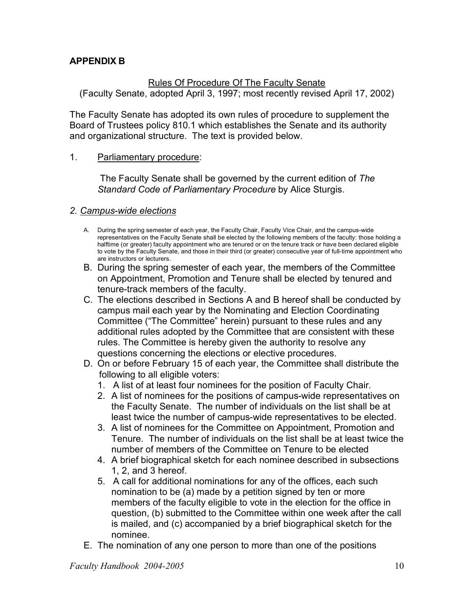### **APPENDIX B**

### Rules Of Procedure Of The Faculty Senate

(Faculty Senate, adopted April 3, 1997; most recently revised April 17, 2002)

The Faculty Senate has adopted its own rules of procedure to supplement the Board of Trustees policy 810.1 which establishes the Senate and its authority and organizational structure. The text is provided below.

#### 1. Parliamentary procedure:

The Faculty Senate shall be governed by the current edition of *The Standard Code of Parliamentary Procedure* by Alice Sturgis.

#### *2. Campus-wide elections*

- A. During the spring semester of each year, the Faculty Chair, Faculty Vice Chair, and the campus-wide representatives on the Faculty Senate shall be elected by the following members of the faculty: those holding a halftime (or greater) faculty appointment who are tenured or on the tenure track or have been declared eligible to vote by the Faculty Senate, and those in their third (or greater) consecutive year of full-time appointment who are instructors or lecturers.
- B. During the spring semester of each year, the members of the Committee on Appointment, Promotion and Tenure shall be elected by tenured and tenure-track members of the faculty.
- C. The elections described in Sections A and B hereof shall be conducted by campus mail each year by the Nominating and Election Coordinating Committee ("The Committee" herein) pursuant to these rules and any additional rules adopted by the Committee that are consistent with these rules. The Committee is hereby given the authority to resolve any questions concerning the elections or elective procedures.
- D. On or before February 15 of each year, the Committee shall distribute the following to all eligible voters:
	- 1. A list of at least four nominees for the position of Faculty Chair.
	- 2. A list of nominees for the positions of campus-wide representatives on the Faculty Senate. The number of individuals on the list shall be at least twice the number of campus-wide representatives to be elected.
	- 3. A list of nominees for the Committee on Appointment, Promotion and Tenure. The number of individuals on the list shall be at least twice the number of members of the Committee on Tenure to be elected
	- 4. A brief biographical sketch for each nominee described in subsections 1, 2, and 3 hereof.
	- 5. A call for additional nominations for any of the offices, each such nomination to be (a) made by a petition signed by ten or more members of the faculty eligible to vote in the election for the office in question, (b) submitted to the Committee within one week after the call is mailed, and (c) accompanied by a brief biographical sketch for the nominee.
- E. The nomination of any one person to more than one of the positions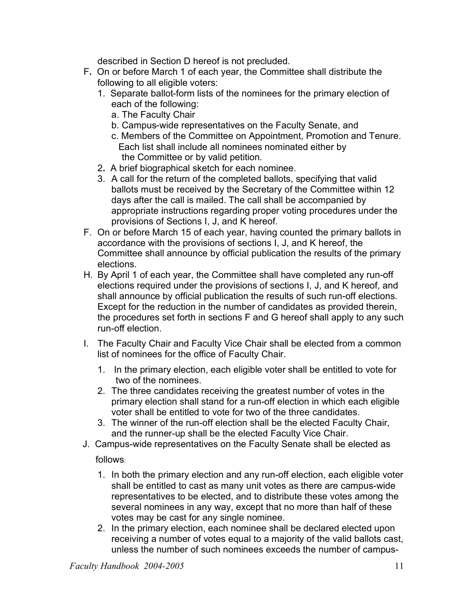described in Section D hereof is not precluded.

- F**.** On or before March 1 of each year, the Committee shall distribute the following to all eligible voters:
	- 1. Separate ballot-form lists of the nominees for the primary election of each of the following:
		- a. The Faculty Chair
		- b. Campus-wide representatives on the Faculty Senate, and
		- c. Members of the Committee on Appointment, Promotion and Tenure. Each list shall include all nominees nominated either by the Committee or by valid petition.
	- 2**.** A brief biographical sketch for each nominee.
	- 3. A call for the return of the completed ballots, specifying that valid ballots must be received by the Secretary of the Committee within 12 days after the call is mailed. The call shall be accompanied by appropriate instructions regarding proper voting procedures under the provisions of Sections I, J, and K hereof.
- F. On or before March 15 of each year, having counted the primary ballots in accordance with the provisions of sections I, J, and K hereof, the Committee shall announce by official publication the results of the primary elections.
- H. By April 1 of each year, the Committee shall have completed any run-off elections required under the provisions of sections I, J, and K hereof, and shall announce by official publication the results of such run-off elections. Except for the reduction in the number of candidates as provided therein, the procedures set forth in sections F and G hereof shall apply to any such run-off election.
- I. The Faculty Chair and Faculty Vice Chair shall be elected from a common list of nominees for the office of Faculty Chair.
	- 1. In the primary election, each eligible voter shall be entitled to vote for two of the nominees.
	- 2. The three candidates receiving the greatest number of votes in the primary election shall stand for a run-off election in which each eligible voter shall be entitled to vote for two of the three candidates.
	- 3. The winner of the run-off election shall be the elected Faculty Chair, and the runner-up shall be the elected Faculty Vice Chair.
- J. Campus-wide representatives on the Faculty Senate shall be elected as

follows:

- 1. In both the primary election and any run-off election, each eligible voter shall be entitled to cast as many unit votes as there are campus-wide representatives to be elected, and to distribute these votes among the several nominees in any way, except that no more than half of these votes may be cast for any single nominee.
- 2. In the primary election, each nominee shall be declared elected upon receiving a number of votes equal to a majority of the valid ballots cast, unless the number of such nominees exceeds the number of campus-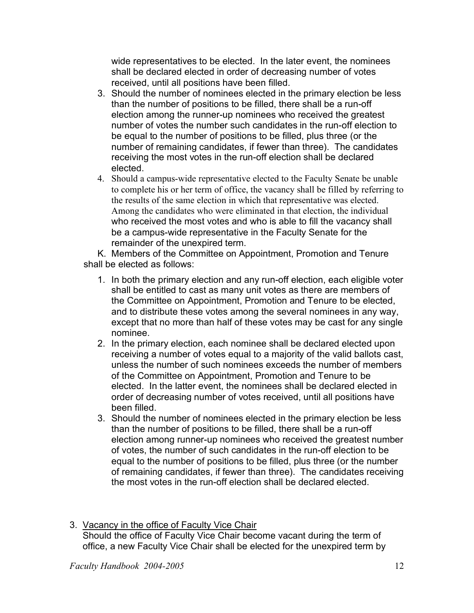wide representatives to be elected. In the later event, the nominees shall be declared elected in order of decreasing number of votes received, until all positions have been filled.

- 3. Should the number of nominees elected in the primary election be less than the number of positions to be filled, there shall be a run-off election among the runner-up nominees who received the greatest number of votes the number such candidates in the run-off election to be equal to the number of positions to be filled, plus three (or the number of remaining candidates, if fewer than three). The candidates receiving the most votes in the run-off election shall be declared elected.
- 4. Should a campus-wide representative elected to the Faculty Senate be unable to complete his or her term of office, the vacancy shall be filled by referring to the results of the same election in which that representative was elected. Among the candidates who were eliminated in that election, the individual who received the most votes and who is able to fill the vacancy shall be a campus-wide representative in the Faculty Senate for the remainder of the unexpired term.

K. Members of the Committee on Appointment, Promotion and Tenure shall be elected as follows:

- 1. In both the primary election and any run-off election, each eligible voter shall be entitled to cast as many unit votes as there are members of the Committee on Appointment, Promotion and Tenure to be elected, and to distribute these votes among the several nominees in any way, except that no more than half of these votes may be cast for any single nominee.
- 2. In the primary election, each nominee shall be declared elected upon receiving a number of votes equal to a majority of the valid ballots cast, unless the number of such nominees exceeds the number of members of the Committee on Appointment, Promotion and Tenure to be elected. In the latter event, the nominees shall be declared elected in order of decreasing number of votes received, until all positions have been filled.
- 3. Should the number of nominees elected in the primary election be less than the number of positions to be filled, there shall be a run-off election among runner-up nominees who received the greatest number of votes, the number of such candidates in the run-off election to be equal to the number of positions to be filled, plus three (or the number of remaining candidates, if fewer than three). The candidates receiving the most votes in the run-off election shall be declared elected.

### 3. Vacancy in the office of Faculty Vice Chair Should the office of Faculty Vice Chair become vacant during the term of office, a new Faculty Vice Chair shall be elected for the unexpired term by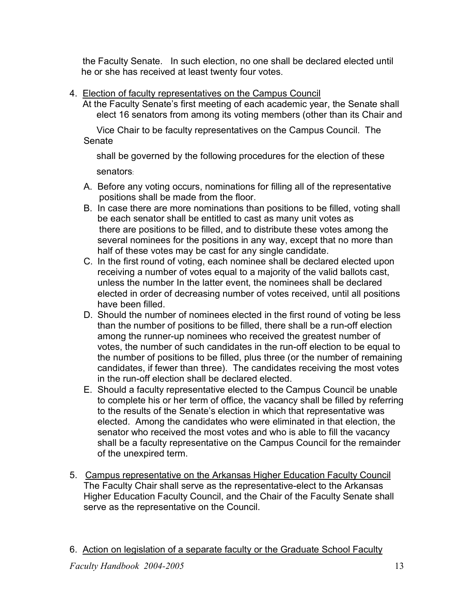the Faculty Senate. In such election, no one shall be declared elected until he or she has received at least twenty four votes.

- 4. Election of faculty representatives on the Campus Council
	- At the Faculty Senate's first meeting of each academic year, the Senate shall elect 16 senators from among its voting members (other than its Chair and

Vice Chair to be faculty representatives on the Campus Council. The Senate

shall be governed by the following procedures for the election of these

senators:

- A. Before any voting occurs, nominations for filling all of the representative positions shall be made from the floor.
- B. In case there are more nominations than positions to be filled, voting shall be each senator shall be entitled to cast as many unit votes as there are positions to be filled, and to distribute these votes among the several nominees for the positions in any way, except that no more than half of these votes may be cast for any single candidate.
- C. In the first round of voting, each nominee shall be declared elected upon receiving a number of votes equal to a majority of the valid ballots cast, unless the number In the latter event, the nominees shall be declared elected in order of decreasing number of votes received, until all positions have been filled.
- D. Should the number of nominees elected in the first round of voting be less than the number of positions to be filled, there shall be a run-off election among the runner-up nominees who received the greatest number of votes, the number of such candidates in the run-off election to be equal to the number of positions to be filled, plus three (or the number of remaining candidates, if fewer than three). The candidates receiving the most votes in the run-off election shall be declared elected.
- E. Should a faculty representative elected to the Campus Council be unable to complete his or her term of office, the vacancy shall be filled by referring to the results of the Senate's election in which that representative was elected. Among the candidates who were eliminated in that election, the senator who received the most votes and who is able to fill the vacancy shall be a faculty representative on the Campus Council for the remainder of the unexpired term.
- 5. Campus representative on the Arkansas Higher Education Faculty Council The Faculty Chair shall serve as the representative-elect to the Arkansas Higher Education Faculty Council, and the Chair of the Faculty Senate shall serve as the representative on the Council.
- 6. Action on legislation of a separate faculty or the Graduate School Faculty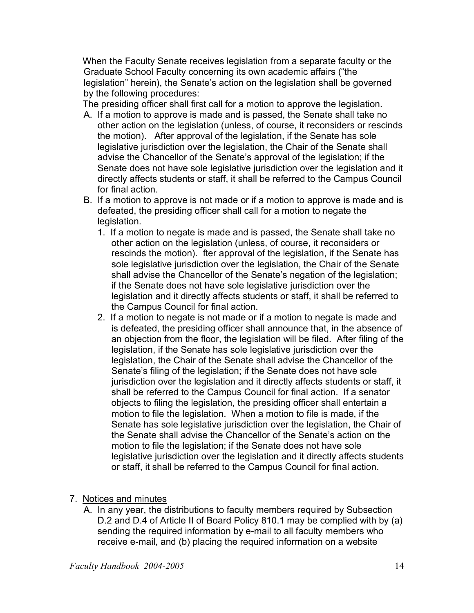When the Faculty Senate receives legislation from a separate faculty or the Graduate School Faculty concerning its own academic affairs ("the legislation" herein), the Senate's action on the legislation shall be governed by the following procedures:

The presiding officer shall first call for a motion to approve the legislation.

- A. If a motion to approve is made and is passed, the Senate shall take no other action on the legislation (unless, of course, it reconsiders or rescinds the motion). After approval of the legislation, if the Senate has sole legislative jurisdiction over the legislation, the Chair of the Senate shall advise the Chancellor of the Senate's approval of the legislation; if the Senate does not have sole legislative jurisdiction over the legislation and it directly affects students or staff, it shall be referred to the Campus Council for final action.
- B. If a motion to approve is not made or if a motion to approve is made and is defeated, the presiding officer shall call for a motion to negate the legislation.
	- 1. If a motion to negate is made and is passed, the Senate shall take no other action on the legislation (unless, of course, it reconsiders or rescinds the motion). fter approval of the legislation, if the Senate has sole legislative jurisdiction over the legislation, the Chair of the Senate shall advise the Chancellor of the Senate's negation of the legislation; if the Senate does not have sole legislative jurisdiction over the legislation and it directly affects students or staff, it shall be referred to the Campus Council for final action.
	- 2. If a motion to negate is not made or if a motion to negate is made and is defeated, the presiding officer shall announce that, in the absence of an objection from the floor, the legislation will be filed. After filing of the legislation, if the Senate has sole legislative jurisdiction over the legislation, the Chair of the Senate shall advise the Chancellor of the Senate's filing of the legislation; if the Senate does not have sole jurisdiction over the legislation and it directly affects students or staff, it shall be referred to the Campus Council for final action. If a senator objects to filing the legislation, the presiding officer shall entertain a motion to file the legislation. When a motion to file is made, if the Senate has sole legislative jurisdiction over the legislation, the Chair of the Senate shall advise the Chancellor of the Senate's action on the motion to file the legislation; if the Senate does not have sole legislative jurisdiction over the legislation and it directly affects students or staff, it shall be referred to the Campus Council for final action.

### 7. Notices and minutes

A. In any year, the distributions to faculty members required by Subsection D.2 and D.4 of Article II of Board Policy 810.1 may be complied with by (a) sending the required information by e-mail to all faculty members who receive e-mail, and (b) placing the required information on a website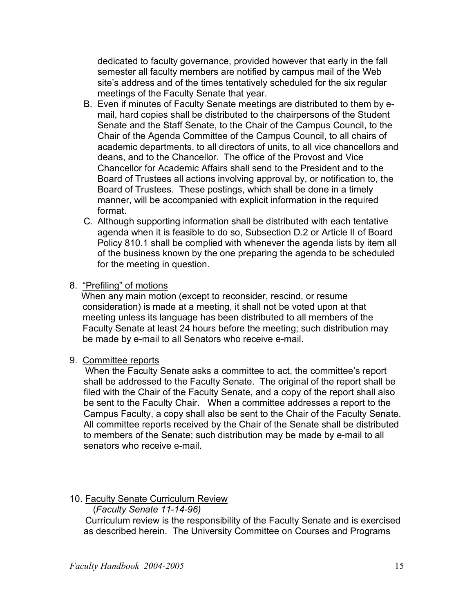dedicated to faculty governance, provided however that early in the fall semester all faculty members are notified by campus mail of the Web site's address and of the times tentatively scheduled for the six regular meetings of the Faculty Senate that year.

- B. Even if minutes of Faculty Senate meetings are distributed to them by email, hard copies shall be distributed to the chairpersons of the Student Senate and the Staff Senate, to the Chair of the Campus Council, to the Chair of the Agenda Committee of the Campus Council, to all chairs of academic departments, to all directors of units, to all vice chancellors and deans, and to the Chancellor. The office of the Provost and Vice Chancellor for Academic Affairs shall send to the President and to the Board of Trustees all actions involving approval by, or notification to, the Board of Trustees. These postings, which shall be done in a timely manner, will be accompanied with explicit information in the required format.
- C. Although supporting information shall be distributed with each tentative agenda when it is feasible to do so, Subsection D.2 or Article II of Board Policy 810.1 shall be complied with whenever the agenda lists by item all of the business known by the one preparing the agenda to be scheduled for the meeting in question.

### 8. "Prefiling" of motions

When any main motion (except to reconsider, rescind, or resume consideration) is made at a meeting, it shall not be voted upon at that meeting unless its language has been distributed to all members of the Faculty Senate at least 24 hours before the meeting; such distribution may be made by e-mail to all Senators who receive e-mail.

### 9. Committee reports

When the Faculty Senate asks a committee to act, the committee's report shall be addressed to the Faculty Senate. The original of the report shall be filed with the Chair of the Faculty Senate, and a copy of the report shall also be sent to the Faculty Chair. When a committee addresses a report to the Campus Faculty, a copy shall also be sent to the Chair of the Faculty Senate. All committee reports received by the Chair of the Senate shall be distributed to members of the Senate; such distribution may be made by e-mail to all senators who receive e-mail

### 10. Faculty Senate Curriculum Review

(*Faculty Senate 11-14-96)*

Curriculum review is the responsibility of the Faculty Senate and is exercised as described herein. The University Committee on Courses and Programs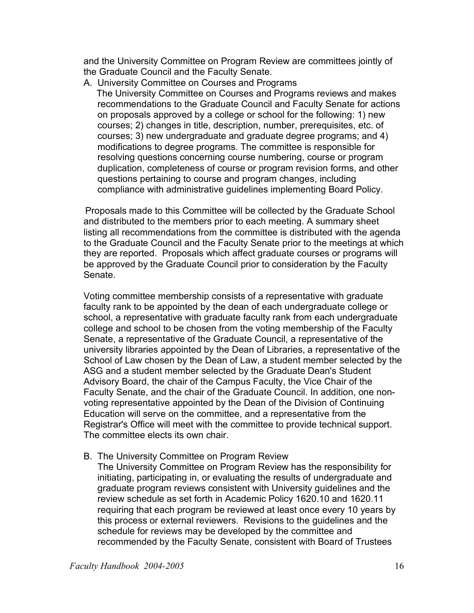and the University Committee on Program Review are committees jointly of the Graduate Council and the Faculty Senate.

A. University Committee on Courses and Programs

The University Committee on Courses and Programs reviews and makes recommendations to the Graduate Council and Faculty Senate for actions on proposals approved by a college or school for the following: 1) new courses; 2) changes in title, description, number, prerequisites, etc. of courses; 3) new undergraduate and graduate degree programs; and 4) modifications to degree programs. The committee is responsible for resolving questions concerning course numbering, course or program duplication, completeness of course or program revision forms, and other questions pertaining to course and program changes, including compliance with administrative guidelines implementing Board Policy.

Proposals made to this Committee will be collected by the Graduate School and distributed to the members prior to each meeting. A summary sheet listing all recommendations from the committee is distributed with the agenda to the Graduate Council and the Faculty Senate prior to the meetings at which they are reported. Proposals which affect graduate courses or programs will be approved by the Graduate Council prior to consideration by the Faculty Senate.

Voting committee membership consists of a representative with graduate faculty rank to be appointed by the dean of each undergraduate college or school, a representative with graduate faculty rank from each undergraduate college and school to be chosen from the voting membership of the Faculty Senate, a representative of the Graduate Council, a representative of the university libraries appointed by the Dean of Libraries, a representative of the School of Law chosen by the Dean of Law, a student member selected by the ASG and a student member selected by the Graduate Dean's Student Advisory Board, the chair of the Campus Faculty, the Vice Chair of the Faculty Senate, and the chair of the Graduate Council. In addition, one nonvoting representative appointed by the Dean of the Division of Continuing Education will serve on the committee, and a representative from the Registrar's Office will meet with the committee to provide technical support. The committee elects its own chair.

B. The University Committee on Program Review

The University Committee on Program Review has the responsibility for initiating, participating in, or evaluating the results of undergraduate and graduate program reviews consistent with University guidelines and the review schedule as set forth in Academic Policy 1620.10 and 1620.11 requiring that each program be reviewed at least once every 10 years by this process or external reviewers. Revisions to the guidelines and the schedule for reviews may be developed by the committee and recommended by the Faculty Senate, consistent with Board of Trustees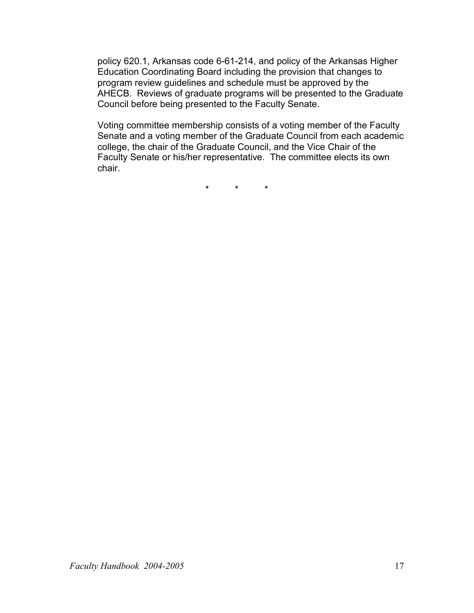policy 620.1, Arkansas code 6-61-214, and policy of the Arkansas Higher Education Coordinating Board including the provision that changes to program review guidelines and schedule must be approved by the AHECB. Reviews of graduate programs will be presented to the Graduate Council before being presented to the Faculty Senate.

Voting committee membership consists of a voting member of the Faculty Senate and a voting member of the Graduate Council from each academic college, the chair of the Graduate Council, and the Vice Chair of the Faculty Senate or his/her representative. The committee elects its own chair.

\* \* \*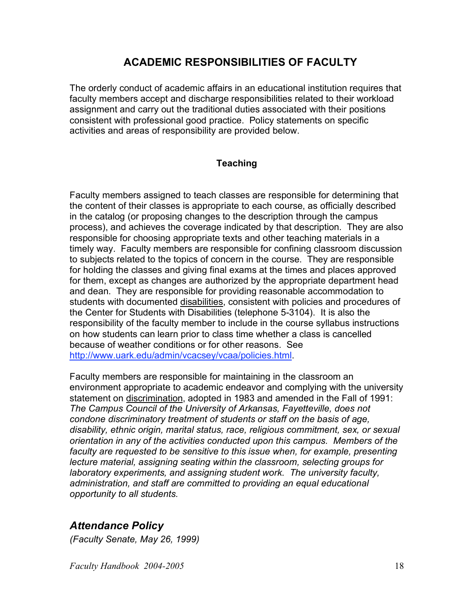# **ACADEMIC RESPONSIBILITIES OF FACULTY**

The orderly conduct of academic affairs in an educational institution requires that faculty members accept and discharge responsibilities related to their workload assignment and carry out the traditional duties associated with their positions consistent with professional good practice. Policy statements on specific activities and areas of responsibility are provided below.

### **Teaching**

Faculty members assigned to teach classes are responsible for determining that the content of their classes is appropriate to each course, as officially described in the catalog (or proposing changes to the description through the campus process), and achieves the coverage indicated by that description. They are also responsible for choosing appropriate texts and other teaching materials in a timely way. Faculty members are responsible for confining classroom discussion to subjects related to the topics of concern in the course. They are responsible for holding the classes and giving final exams at the times and places approved for them, except as changes are authorized by the appropriate department head and dean. They are responsible for providing reasonable accommodation to students with documented disabilities, consistent with policies and procedures of the Center for Students with Disabilities (telephone 5-3104). It is also the responsibility of the faculty member to include in the course syllabus instructions on how students can learn prior to class time whether a class is cancelled because of weather conditions or for other reasons. See http://www.uark.edu/admin/vcacsey/vcaa/policies.html.

Faculty members are responsible for maintaining in the classroom an environment appropriate to academic endeavor and complying with the university statement on discrimination, adopted in 1983 and amended in the Fall of 1991: *The Campus Council of the University of Arkansas, Fayetteville, does not condone discriminatory treatment of students or staff on the basis of age, disability, ethnic origin, marital status, race, religious commitment, sex, or sexual orientation in any of the activities conducted upon this campus. Members of the faculty are requested to be sensitive to this issue when, for example, presenting lecture material, assigning seating within the classroom, selecting groups for laboratory experiments, and assigning student work. The university faculty, administration, and staff are committed to providing an equal educational opportunity to all students.*

### *Attendance Policy*

*(Faculty Senate, May 26, 1999)*

*Faculty Handbook 2004-2005* 18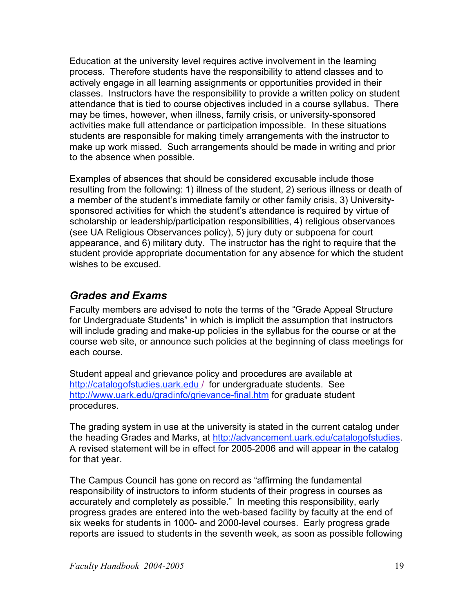Education at the university level requires active involvement in the learning process. Therefore students have the responsibility to attend classes and to actively engage in all learning assignments or opportunities provided in their classes. Instructors have the responsibility to provide a written policy on student attendance that is tied to course objectives included in a course syllabus. There may be times, however, when illness, family crisis, or university-sponsored activities make full attendance or participation impossible. In these situations students are responsible for making timely arrangements with the instructor to make up work missed. Such arrangements should be made in writing and prior to the absence when possible.

Examples of absences that should be considered excusable include those resulting from the following: 1) illness of the student, 2) serious illness or death of a member of the student's immediate family or other family crisis, 3) Universitysponsored activities for which the student's attendance is required by virtue of scholarship or leadership/participation responsibilities, 4) religious observances (see UA Religious Observances policy), 5) jury duty or subpoena for court appearance, and 6) military duty. The instructor has the right to require that the student provide appropriate documentation for any absence for which the student wishes to be excused.

# *Grades and Exams*

Faculty members are advised to note the terms of the "Grade Appeal Structure for Undergraduate Students" in which is implicit the assumption that instructors will include grading and make-up policies in the syllabus for the course or at the course web site, or announce such policies at the beginning of class meetings for each course.

Student appeal and grievance policy and procedures are available at http://catalogofstudies.uark.edu / for undergraduate students. See http://www.uark.edu/gradinfo/grievance-final.htm for graduate student procedures.

The grading system in use at the university is stated in the current catalog under the heading Grades and Marks, at http://advancement.uark.edu/catalogofstudies. A revised statement will be in effect for 2005-2006 and will appear in the catalog for that year.

The Campus Council has gone on record as "affirming the fundamental responsibility of instructors to inform students of their progress in courses as accurately and completely as possible." In meeting this responsibility, early progress grades are entered into the web-based facility by faculty at the end of six weeks for students in 1000- and 2000-level courses. Early progress grade reports are issued to students in the seventh week, as soon as possible following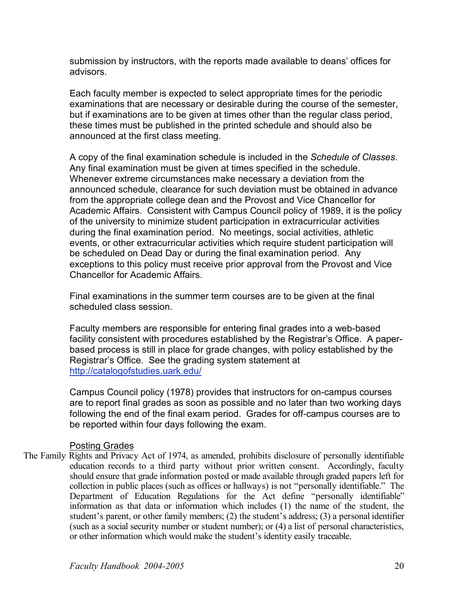submission by instructors, with the reports made available to deans' offices for advisors.

Each faculty member is expected to select appropriate times for the periodic examinations that are necessary or desirable during the course of the semester, but if examinations are to be given at times other than the regular class period, these times must be published in the printed schedule and should also be announced at the first class meeting.

A copy of the final examination schedule is included in the *Schedule of Classes*. Any final examination must be given at times specified in the schedule. Whenever extreme circumstances make necessary a deviation from the announced schedule, clearance for such deviation must be obtained in advance from the appropriate college dean and the Provost and Vice Chancellor for Academic Affairs. Consistent with Campus Council policy of 1989, it is the policy of the university to minimize student participation in extracurricular activities during the final examination period. No meetings, social activities, athletic events, or other extracurricular activities which require student participation will be scheduled on Dead Day or during the final examination period. Any exceptions to this policy must receive prior approval from the Provost and Vice Chancellor for Academic Affairs.

Final examinations in the summer term courses are to be given at the final scheduled class session.

Faculty members are responsible for entering final grades into a web-based facility consistent with procedures established by the Registrar's Office. A paperbased process is still in place for grade changes, with policy established by the Registrar's Office. See the grading system statement at http://catalogofstudies.uark.edu/

Campus Council policy (1978) provides that instructors for on-campus courses are to report final grades as soon as possible and no later than two working days following the end of the final exam period. Grades for off-campus courses are to be reported within four days following the exam.

### Posting Grades

The Family Rights and Privacy Act of 1974, as amended, prohibits disclosure of personally identifiable education records to a third party without prior written consent. Accordingly, faculty should ensure that grade information posted or made available through graded papers left for collection in public places (such as offices or hallways) is not "personally identifiable." The Department of Education Regulations for the Act define "personally identifiable" information as that data or information which includes (1) the name of the student, the student's parent, or other family members; (2) the student's address; (3) a personal identifier (such as a social security number or student number); or (4) a list of personal characteristics, or other information which would make the student's identity easily traceable.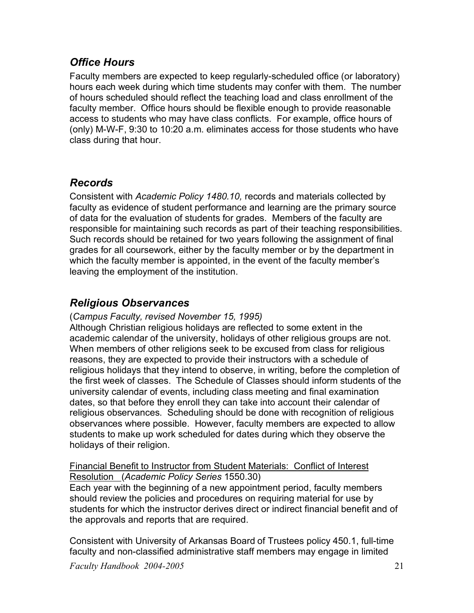# *Office Hours*

Faculty members are expected to keep regularly-scheduled office (or laboratory) hours each week during which time students may confer with them. The number of hours scheduled should reflect the teaching load and class enrollment of the faculty member. Office hours should be flexible enough to provide reasonable access to students who may have class conflicts. For example, office hours of (only) M-W-F, 9:30 to 10:20 a.m. eliminates access for those students who have class during that hour.

# *Records*

Consistent with *Academic Policy 1480.10,* records and materials collected by faculty as evidence of student performance and learning are the primary source of data for the evaluation of students for grades. Members of the faculty are responsible for maintaining such records as part of their teaching responsibilities. Such records should be retained for two years following the assignment of final grades for all coursework, either by the faculty member or by the department in which the faculty member is appointed, in the event of the faculty member's leaving the employment of the institution.

# *Religious Observances*

(*Campus Faculty, revised November 15, 1995)*

Although Christian religious holidays are reflected to some extent in the academic calendar of the university, holidays of other religious groups are not. When members of other religions seek to be excused from class for religious reasons, they are expected to provide their instructors with a schedule of religious holidays that they intend to observe, in writing, before the completion of the first week of classes. The Schedule of Classes should inform students of the university calendar of events, including class meeting and final examination dates, so that before they enroll they can take into account their calendar of religious observances. Scheduling should be done with recognition of religious observances where possible. However, faculty members are expected to allow students to make up work scheduled for dates during which they observe the holidays of their religion.

### Financial Benefit to Instructor from Student Materials: Conflict of Interest Resolution (*Academic Policy Series* 1550.30)

Each year with the beginning of a new appointment period, faculty members should review the policies and procedures on requiring material for use by students for which the instructor derives direct or indirect financial benefit and of the approvals and reports that are required.

Consistent with University of Arkansas Board of Trustees policy 450.1, full-time faculty and non-classified administrative staff members may engage in limited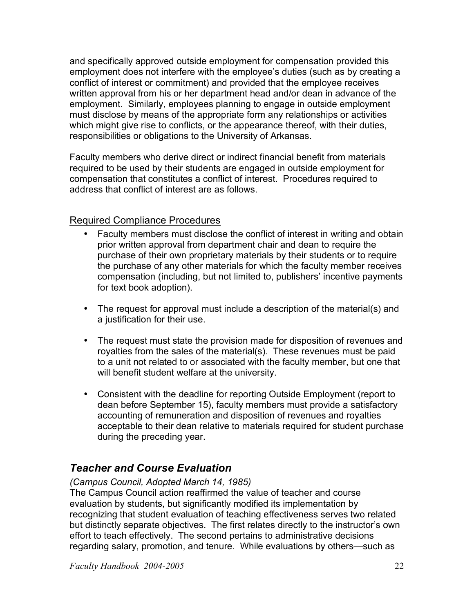and specifically approved outside employment for compensation provided this employment does not interfere with the employee's duties (such as by creating a conflict of interest or commitment) and provided that the employee receives written approval from his or her department head and/or dean in advance of the employment. Similarly, employees planning to engage in outside employment must disclose by means of the appropriate form any relationships or activities which might give rise to conflicts, or the appearance thereof, with their duties, responsibilities or obligations to the University of Arkansas.

Faculty members who derive direct or indirect financial benefit from materials required to be used by their students are engaged in outside employment for compensation that constitutes a conflict of interest. Procedures required to address that conflict of interest are as follows.

### Required Compliance Procedures

- Faculty members must disclose the conflict of interest in writing and obtain prior written approval from department chair and dean to require the purchase of their own proprietary materials by their students or to require the purchase of any other materials for which the faculty member receives compensation (including, but not limited to, publishers' incentive payments for text book adoption).
- The request for approval must include a description of the material(s) and a justification for their use.
- The request must state the provision made for disposition of revenues and royalties from the sales of the material(s). These revenues must be paid to a unit not related to or associated with the faculty member, but one that will benefit student welfare at the university.
- Consistent with the deadline for reporting Outside Employment (report to dean before September 15), faculty members must provide a satisfactory accounting of remuneration and disposition of revenues and royalties acceptable to their dean relative to materials required for student purchase during the preceding year.

# *Teacher and Course Evaluation*

### *(Campus Council, Adopted March 14, 1985)*

The Campus Council action reaffirmed the value of teacher and course evaluation by students, but significantly modified its implementation by recognizing that student evaluation of teaching effectiveness serves two related but distinctly separate objectives. The first relates directly to the instructor's own effort to teach effectively. The second pertains to administrative decisions regarding salary, promotion, and tenure. While evaluations by others—such as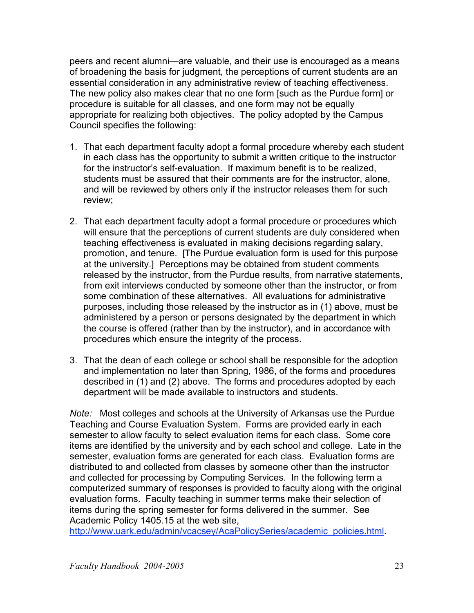peers and recent alumni—are valuable, and their use is encouraged as a means of broadening the basis for judgment, the perceptions of current students are an essential consideration in any administrative review of teaching effectiveness. The new policy also makes clear that no one form [such as the Purdue form] or procedure is suitable for all classes, and one form may not be equally appropriate for realizing both objectives. The policy adopted by the Campus Council specifies the following:

- 1. That each department faculty adopt a formal procedure whereby each student in each class has the opportunity to submit a written critique to the instructor for the instructor's self-evaluation. If maximum benefit is to be realized, students must be assured that their comments are for the instructor, alone, and will be reviewed by others only if the instructor releases them for such review;
- 2. That each department faculty adopt a formal procedure or procedures which will ensure that the perceptions of current students are duly considered when teaching effectiveness is evaluated in making decisions regarding salary, promotion, and tenure. [The Purdue evaluation form is used for this purpose at the university.] Perceptions may be obtained from student comments released by the instructor, from the Purdue results, from narrative statements, from exit interviews conducted by someone other than the instructor, or from some combination of these alternatives. All evaluations for administrative purposes, including those released by the instructor as in (1) above, must be administered by a person or persons designated by the department in which the course is offered (rather than by the instructor), and in accordance with procedures which ensure the integrity of the process.
- 3. That the dean of each college or school shall be responsible for the adoption and implementation no later than Spring, 1986, of the forms and procedures described in (1) and (2) above. The forms and procedures adopted by each department will be made available to instructors and students.

*Note:* Most colleges and schools at the University of Arkansas use the Purdue Teaching and Course Evaluation System. Forms are provided early in each semester to allow faculty to select evaluation items for each class. Some core items are identified by the university and by each school and college. Late in the semester, evaluation forms are generated for each class. Evaluation forms are distributed to and collected from classes by someone other than the instructor and collected for processing by Computing Services. In the following term a computerized summary of responses is provided to faculty along with the original evaluation forms. Faculty teaching in summer terms make their selection of items during the spring semester for forms delivered in the summer. See Academic Policy 1405.15 at the web site,

http://www.uark.edu/admin/vcacsey/AcaPolicySeries/academic\_policies.html.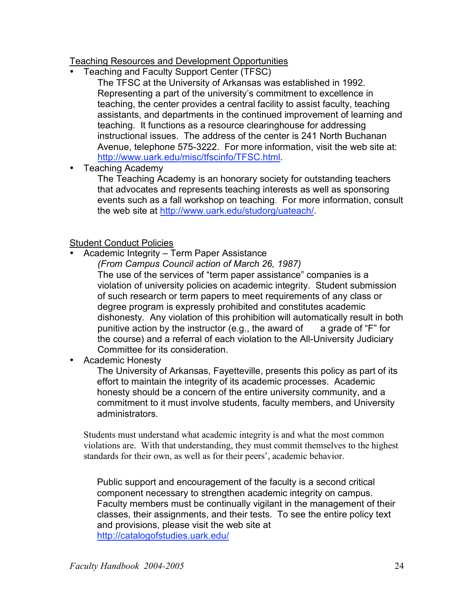### Teaching Resources and Development Opportunities

• Teaching and Faculty Support Center (TFSC)

The TFSC at the University of Arkansas was established in 1992. Representing a part of the university's commitment to excellence in teaching, the center provides a central facility to assist faculty, teaching assistants, and departments in the continued improvement of learning and teaching. It functions as a resource clearinghouse for addressing instructional issues. The address of the center is 241 North Buchanan Avenue, telephone 575-3222. For more information, visit the web site at: http://www.uark.edu/misc/tfscinfo/TFSC.html.

• Teaching Academy

The Teaching Academy is an honorary society for outstanding teachers that advocates and represents teaching interests as well as sponsoring events such as a fall workshop on teaching. For more information, consult the web site at http://www.uark.edu/studorg/uateach/.

### **Student Conduct Policies**

• Academic Integrity – Term Paper Assistance

*(From Campus Council action of March 26, 1987)* The use of the services of "term paper assistance" companies is a violation of university policies on academic integrity. Student submission of such research or term papers to meet requirements of any class or degree program is expressly prohibited and constitutes academic dishonesty. Any violation of this prohibition will automatically result in both punitive action by the instructor (e.g., the award of  $\qquad$  a grade of "F" for the course) and a referral of each violation to the All-University Judiciary Committee for its consideration.

• Academic Honesty

The University of Arkansas, Fayetteville, presents this policy as part of its effort to maintain the integrity of its academic processes. Academic honesty should be a concern of the entire university community, and a commitment to it must involve students, faculty members, and University administrators.

Students must understand what academic integrity is and what the most common violations are. With that understanding, they must commit themselves to the highest standards for their own, as well as for their peers', academic behavior.

Public support and encouragement of the faculty is a second critical component necessary to strengthen academic integrity on campus. Faculty members must be continually vigilant in the management of their classes, their assignments, and their tests. To see the entire policy text and provisions, please visit the web site at http://catalogofstudies.uark.edu/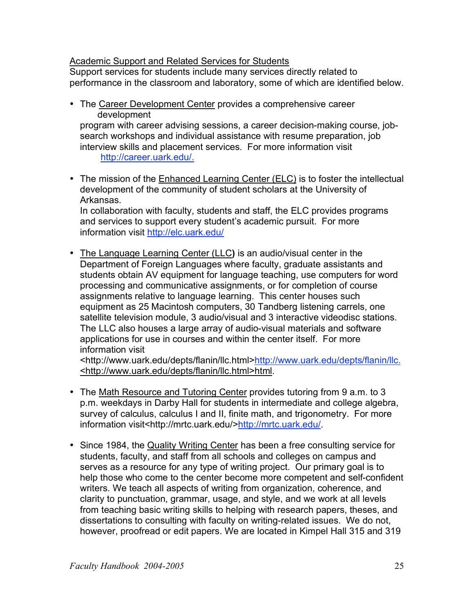### Academic Support and Related Services for Students

Support services for students include many services directly related to performance in the classroom and laboratory, some of which are identified below.

• The Career Development Center provides a comprehensive career development program with career advising sessions, a career decision-making course, jobsearch workshops and individual assistance with resume preparation, job interview skills and placement services. For more information visit

http://career.uark.edu/.

• The mission of the Enhanced Learning Center (ELC) is to foster the intellectual development of the community of student scholars at the University of Arkansas.

In collaboration with faculty, students and staff, the ELC provides programs and services to support every student's academic pursuit. For more information visit http://elc.uark.edu/

• The Language Learning Center (LLC**)** is an audio/visual center in the Department of Foreign Languages where faculty, graduate assistants and students obtain AV equipment for language teaching, use computers for word processing and communicative assignments, or for completion of course assignments relative to language learning. This center houses such equipment as 25 Macintosh computers, 30 Tandberg listening carrels, one satellite television module, 3 audio/visual and 3 interactive videodisc stations. The LLC also houses a large array of audio-visual materials and software applications for use in courses and within the center itself. For more information visit

<http://www.uark.edu/depts/flanin/llc.html>http://www.uark.edu/depts/flanin/llc. <http://www.uark.edu/depts/flanin/llc.html>html.

- The Math Resource and Tutoring Center provides tutoring from 9 a.m. to 3 p.m. weekdays in Darby Hall for students in intermediate and college algebra, survey of calculus, calculus I and II, finite math, and trigonometry. For more information visit<http://mrtc.uark.edu/>http://mrtc.uark.edu/.
- Since 1984, the Quality Writing Center has been a fre*e* consulting service for students, faculty, and staff from all schools and colleges on campus and serves as a resource for any type of writing project. Our primary goal is to help those who come to the center become more competent and self-confident writers. We teach all aspects of writing from organization, coherence, and clarity to punctuation, grammar, usage, and style, and we work at all levels from teaching basic writing skills to helping with research papers, theses, and dissertations to consulting with faculty on writing-related issues. We do not, however, proofread or edit papers. We are located in Kimpel Hall 315 and 319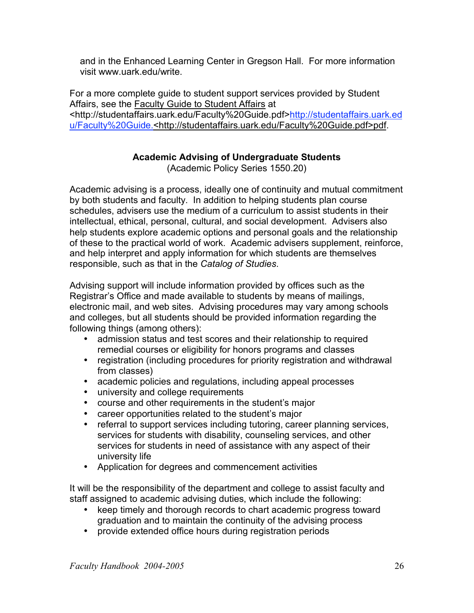and in the Enhanced Learning Center in Gregson Hall. For more information visit www.uark.edu/write.

For a more complete guide to student support services provided by Student Affairs, see the Faculty Guide to Student Affairs at <http://studentaffairs.uark.edu/Faculty%20Guide.pdf>http://studentaffairs.uark.ed u/Faculty%20Guide.<http://studentaffairs.uark.edu/Faculty%20Guide.pdf>pdf.

### **Academic Advising of Undergraduate Students**

(Academic Policy Series 1550.20)

Academic advising is a process, ideally one of continuity and mutual commitment by both students and faculty. In addition to helping students plan course schedules, advisers use the medium of a curriculum to assist students in their intellectual, ethical, personal, cultural, and social development. Advisers also help students explore academic options and personal goals and the relationship of these to the practical world of work. Academic advisers supplement, reinforce, and help interpret and apply information for which students are themselves responsible, such as that in the *Catalog of Studies*.

Advising support will include information provided by offices such as the Registrar's Office and made available to students by means of mailings, electronic mail, and web sites. Advising procedures may vary among schools and colleges, but all students should be provided information regarding the following things (among others):

- admission status and test scores and their relationship to required remedial courses or eligibility for honors programs and classes
- registration (including procedures for priority registration and withdrawal from classes)
- academic policies and regulations, including appeal processes
- university and college requirements
- course and other requirements in the student's major
- career opportunities related to the student's major
- referral to support services including tutoring, career planning services, services for students with disability, counseling services, and other services for students in need of assistance with any aspect of their university life
- Application for degrees and commencement activities

It will be the responsibility of the department and college to assist faculty and staff assigned to academic advising duties, which include the following:

- keep timely and thorough records to chart academic progress toward graduation and to maintain the continuity of the advising process
- provide extended office hours during registration periods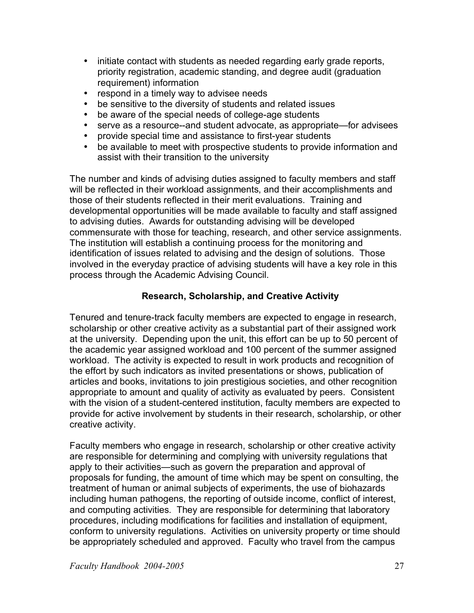- initiate contact with students as needed regarding early grade reports, priority registration, academic standing, and degree audit (graduation requirement) information
- respond in a timely way to advisee needs
- be sensitive to the diversity of students and related issues
- be aware of the special needs of college-age students
- serve as a resource--and student advocate, as appropriate—for advisees
- provide special time and assistance to first-year students
- be available to meet with prospective students to provide information and assist with their transition to the university

The number and kinds of advising duties assigned to faculty members and staff will be reflected in their workload assignments, and their accomplishments and those of their students reflected in their merit evaluations. Training and developmental opportunities will be made available to faculty and staff assigned to advising duties. Awards for outstanding advising will be developed commensurate with those for teaching, research, and other service assignments. The institution will establish a continuing process for the monitoring and identification of issues related to advising and the design of solutions. Those involved in the everyday practice of advising students will have a key role in this process through the Academic Advising Council.

### **Research, Scholarship, and Creative Activity**

Tenured and tenure-track faculty members are expected to engage in research, scholarship or other creative activity as a substantial part of their assigned work at the university. Depending upon the unit, this effort can be up to 50 percent of the academic year assigned workload and 100 percent of the summer assigned workload. The activity is expected to result in work products and recognition of the effort by such indicators as invited presentations or shows, publication of articles and books, invitations to join prestigious societies, and other recognition appropriate to amount and quality of activity as evaluated by peers. Consistent with the vision of a student-centered institution, faculty members are expected to provide for active involvement by students in their research, scholarship, or other creative activity.

Faculty members who engage in research, scholarship or other creative activity are responsible for determining and complying with university regulations that apply to their activities—such as govern the preparation and approval of proposals for funding, the amount of time which may be spent on consulting, the treatment of human or animal subjects of experiments, the use of biohazards including human pathogens, the reporting of outside income, conflict of interest, and computing activities. They are responsible for determining that laboratory procedures, including modifications for facilities and installation of equipment, conform to university regulations. Activities on university property or time should be appropriately scheduled and approved. Faculty who travel from the campus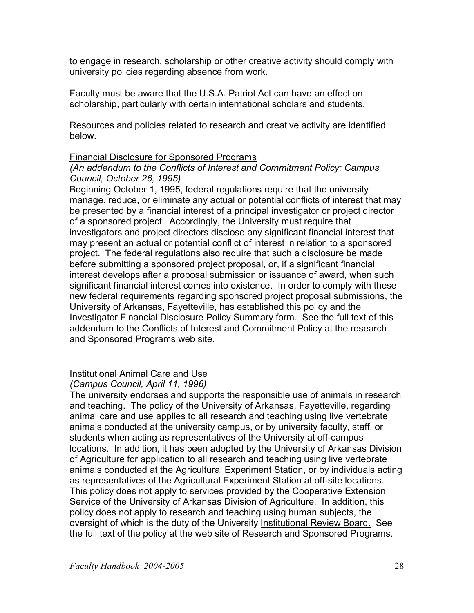to engage in research, scholarship or other creative activity should comply with university policies regarding absence from work.

Faculty must be aware that the U.S.A. Patriot Act can have an effect on scholarship, particularly with certain international scholars and students.

Resources and policies related to research and creative activity are identified below.

### Financial Disclosure for Sponsored Programs

#### *(An addendum to the Conflicts of Interest and Commitment Policy; Campus Council, October 26, 1995)*

Beginning October 1, 1995, federal regulations require that the university manage, reduce, or eliminate any actual or potential conflicts of interest that may be presented by a financial interest of a principal investigator or project director of a sponsored project. Accordingly, the University must require that investigators and project directors disclose any significant financial interest that may present an actual or potential conflict of interest in relation to a sponsored project. The federal regulations also require that such a disclosure be made before submitting a sponsored project proposal, or, if a significant financial interest develops after a proposal submission or issuance of award, when such significant financial interest comes into existence. In order to comply with these new federal requirements regarding sponsored project proposal submissions, the University of Arkansas, Fayetteville, has established this policy and the Investigator Financial Disclosure Policy Summary form. See the full text of this addendum to the Conflicts of Interest and Commitment Policy at the research and Sponsored Programs web site.

### Institutional Animal Care and Use

### *(Campus Council, April 11, 1996)*

The university endorses and supports the responsible use of animals in research and teaching. The policy of the University of Arkansas, Fayetteville, regarding animal care and use applies to all research and teaching using live vertebrate animals conducted at the university campus, or by university faculty, staff, or students when acting as representatives of the University at off-campus locations. In addition, it has been adopted by the University of Arkansas Division of Agriculture for application to all research and teaching using live vertebrate animals conducted at the Agricultural Experiment Station, or by individuals acting as representatives of the Agricultural Experiment Station at off-site locations. This policy does not apply to services provided by the Cooperative Extension Service of the University of Arkansas Division of Agriculture. In addition, this policy does not apply to research and teaching using human subjects, the oversight of which is the duty of the University Institutional Review Board. See the full text of the policy at the web site of Research and Sponsored Programs.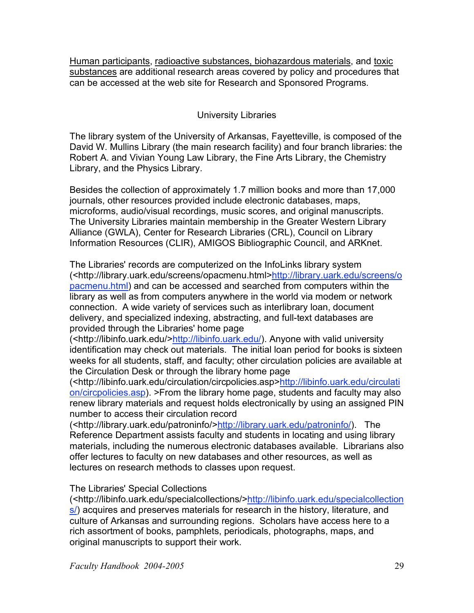Human participants, radioactive substances, biohazardous materials, and toxic substances are additional research areas covered by policy and procedures that can be accessed at the web site for Research and Sponsored Programs.

### University Libraries

The library system of the University of Arkansas, Fayetteville, is composed of the David W. Mullins Library (the main research facility) and four branch libraries: the Robert A. and Vivian Young Law Library, the Fine Arts Library, the Chemistry Library, and the Physics Library.

Besides the collection of approximately 1.7 million books and more than 17,000 journals, other resources provided include electronic databases, maps, microforms, audio/visual recordings, music scores, and original manuscripts. The University Libraries maintain membership in the Greater Western Library Alliance (GWLA), Center for Research Libraries (CRL), Council on Library Information Resources (CLIR), AMIGOS Bibliographic Council, and ARKnet.

The Libraries' records are computerized on the InfoLinks library system (<http://library.uark.edu/screens/opacmenu.html>http://library.uark.edu/screens/o pacmenu.html) and can be accessed and searched from computers within the library as well as from computers anywhere in the world via modem or network connection. A wide variety of services such as interlibrary loan, document delivery, and specialized indexing, abstracting, and full-text databases are provided through the Libraries' home page

(<http://libinfo.uark.edu/>http://libinfo.uark.edu/). Anyone with valid university identification may check out materials. The initial loan period for books is sixteen weeks for all students, staff, and faculty; other circulation policies are available at the Circulation Desk or through the library home page

(<http://libinfo.uark.edu/circulation/circpolicies.asp>http://libinfo.uark.edu/circulati on/circpolicies.asp). >From the library home page, students and faculty may also renew library materials and request holds electronically by using an assigned PIN number to access their circulation record

(<http://library.uark.edu/patroninfo/>http://library.uark.edu/patroninfo/). The Reference Department assists faculty and students in locating and using library materials, including the numerous electronic databases available. Librarians also offer lectures to faculty on new databases and other resources, as well as lectures on research methods to classes upon request.

### The Libraries' Special Collections

(<http://libinfo.uark.edu/specialcollections/>http://libinfo.uark.edu/specialcollection s/) acquires and preserves materials for research in the history, literature, and culture of Arkansas and surrounding regions. Scholars have access here to a rich assortment of books, pamphlets, periodicals, photographs, maps, and original manuscripts to support their work.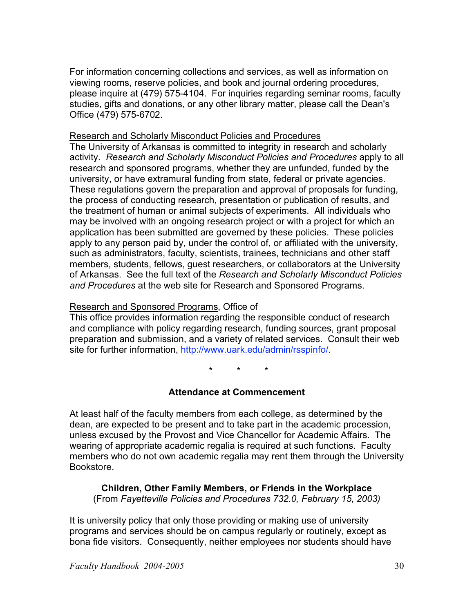For information concerning collections and services, as well as information on viewing rooms, reserve policies, and book and journal ordering procedures, please inquire at (479) 575-4104. For inquiries regarding seminar rooms, faculty studies, gifts and donations, or any other library matter, please call the Dean's Office (479) 575-6702.

#### Research and Scholarly Misconduct Policies and Procedures

The University of Arkansas is committed to integrity in research and scholarly activity. *Research and Scholarly Misconduct Policies and Procedures* apply to all research and sponsored programs, whether they are unfunded, funded by the university, or have extramural funding from state, federal or private agencies. These regulations govern the preparation and approval of proposals for funding, the process of conducting research, presentation or publication of results, and the treatment of human or animal subjects of experiments. All individuals who may be involved with an ongoing research project or with a project for which an application has been submitted are governed by these policies. These policies apply to any person paid by, under the control of, or affiliated with the university, such as administrators, faculty, scientists, trainees, technicians and other staff members, students, fellows, guest researchers, or collaborators at the University of Arkansas. See the full text of the *Research and Scholarly Misconduct Policies and Procedures* at the web site for Research and Sponsored Programs.

### Research and Sponsored Programs, Office of

This office provides information regarding the responsible conduct of research and compliance with policy regarding research, funding sources, grant proposal preparation and submission, and a variety of related services. Consult their web site for further information, http://www.uark.edu/admin/rsspinfo/.

\* \* \*

### **Attendance at Commencement**

At least half of the faculty members from each college, as determined by the dean, are expected to be present and to take part in the academic procession, unless excused by the Provost and Vice Chancellor for Academic Affairs. The wearing of appropriate academic regalia is required at such functions. Faculty members who do not own academic regalia may rent them through the University Bookstore.

**Children, Other Family Members, or Friends in the Workplace** (From *Fayetteville Policies and Procedures 732.0, February 15, 2003)*

It is university policy that only those providing or making use of university programs and services should be on campus regularly or routinely, except as bona fide visitors. Consequently, neither employees nor students should have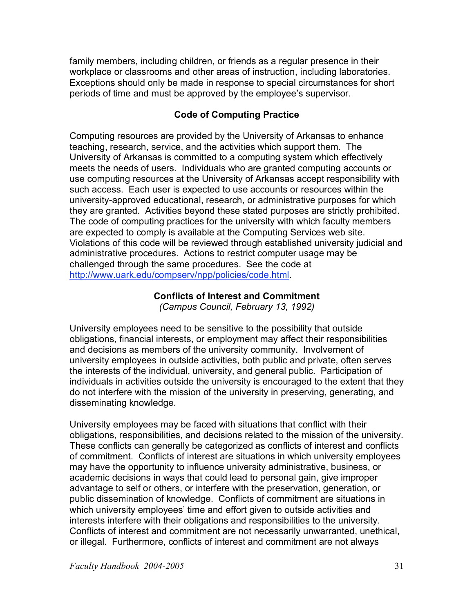family members, including children, or friends as a regular presence in their workplace or classrooms and other areas of instruction, including laboratories. Exceptions should only be made in response to special circumstances for short periods of time and must be approved by the employee's supervisor.

### **Code of Computing Practice**

Computing resources are provided by the University of Arkansas to enhance teaching, research, service, and the activities which support them. The University of Arkansas is committed to a computing system which effectively meets the needs of users. Individuals who are granted computing accounts or use computing resources at the University of Arkansas accept responsibility with such access. Each user is expected to use accounts or resources within the university-approved educational, research, or administrative purposes for which they are granted. Activities beyond these stated purposes are strictly prohibited. The code of computing practices for the university with which faculty members are expected to comply is available at the Computing Services web site. Violations of this code will be reviewed through established university judicial and administrative procedures. Actions to restrict computer usage may be challenged through the same procedures. See the code at http://www.uark.edu/compserv/npp/policies/code.html.

### **Conflicts of Interest and Commitment**

*(Campus Council, February 13, 1992)*

University employees need to be sensitive to the possibility that outside obligations, financial interests, or employment may affect their responsibilities and decisions as members of the university community. Involvement of university employees in outside activities, both public and private, often serves the interests of the individual, university, and general public. Participation of individuals in activities outside the university is encouraged to the extent that they do not interfere with the mission of the university in preserving, generating, and disseminating knowledge.

University employees may be faced with situations that conflict with their obligations, responsibilities, and decisions related to the mission of the university. These conflicts can generally be categorized as conflicts of interest and conflicts of commitment. Conflicts of interest are situations in which university employees may have the opportunity to influence university administrative, business, or academic decisions in ways that could lead to personal gain, give improper advantage to self or others, or interfere with the preservation, generation, or public dissemination of knowledge. Conflicts of commitment are situations in which university employees' time and effort given to outside activities and interests interfere with their obligations and responsibilities to the university. Conflicts of interest and commitment are not necessarily unwarranted, unethical, or illegal. Furthermore, conflicts of interest and commitment are not always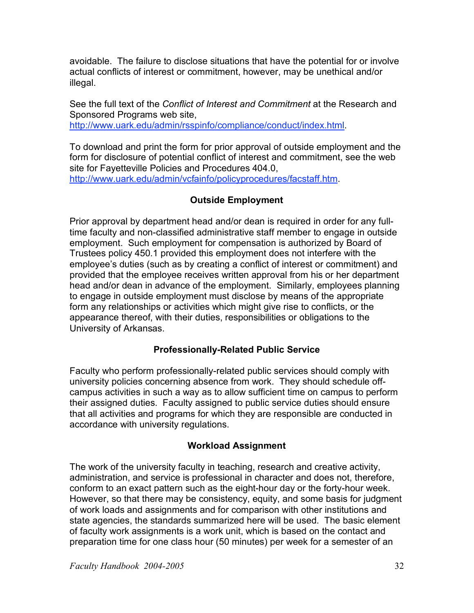avoidable. The failure to disclose situations that have the potential for or involve actual conflicts of interest or commitment, however, may be unethical and/or illegal.

See the full text of the *Conflict of Interest and Commitment* at the Research and Sponsored Programs web site, http://www.uark.edu/admin/rsspinfo/compliance/conduct/index.html.

To download and print the form for prior approval of outside employment and the form for disclosure of potential conflict of interest and commitment, see the web site for Fayetteville Policies and Procedures 404.0,

http://www.uark.edu/admin/vcfainfo/policyprocedures/facstaff.htm.

### **Outside Employment**

Prior approval by department head and/or dean is required in order for any fulltime faculty and non-classified administrative staff member to engage in outside employment. Such employment for compensation is authorized by Board of Trustees policy 450.1 provided this employment does not interfere with the employee's duties (such as by creating a conflict of interest or commitment) and provided that the employee receives written approval from his or her department head and/or dean in advance of the employment. Similarly, employees planning to engage in outside employment must disclose by means of the appropriate form any relationships or activities which might give rise to conflicts, or the appearance thereof, with their duties, responsibilities or obligations to the University of Arkansas.

### **Professionally-Related Public Service**

Faculty who perform professionally-related public services should comply with university policies concerning absence from work. They should schedule offcampus activities in such a way as to allow sufficient time on campus to perform their assigned duties. Faculty assigned to public service duties should ensure that all activities and programs for which they are responsible are conducted in accordance with university regulations.

### **Workload Assignment**

The work of the university faculty in teaching, research and creative activity, administration, and service is professional in character and does not, therefore, conform to an exact pattern such as the eight-hour day or the forty-hour week. However, so that there may be consistency, equity, and some basis for judgment of work loads and assignments and for comparison with other institutions and state agencies, the standards summarized here will be used. The basic element of faculty work assignments is a work unit, which is based on the contact and preparation time for one class hour (50 minutes) per week for a semester of an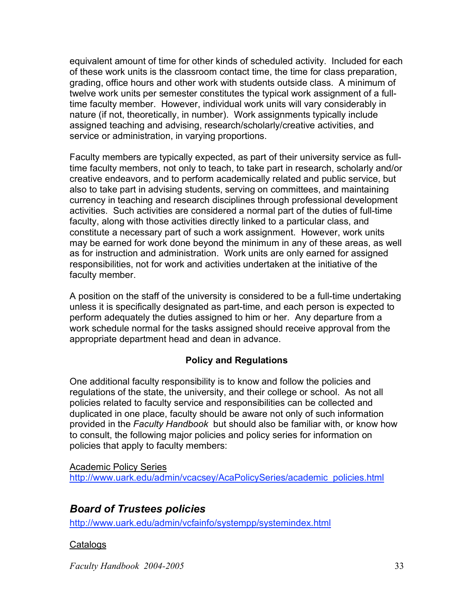equivalent amount of time for other kinds of scheduled activity. Included for each of these work units is the classroom contact time, the time for class preparation, grading, office hours and other work with students outside class. A minimum of twelve work units per semester constitutes the typical work assignment of a fulltime faculty member. However, individual work units will vary considerably in nature (if not, theoretically, in number). Work assignments typically include assigned teaching and advising, research/scholarly/creative activities, and service or administration, in varying proportions.

Faculty members are typically expected, as part of their university service as fulltime faculty members, not only to teach, to take part in research, scholarly and/or creative endeavors, and to perform academically related and public service, but also to take part in advising students, serving on committees, and maintaining currency in teaching and research disciplines through professional development activities. Such activities are considered a normal part of the duties of full-time faculty, along with those activities directly linked to a particular class, and constitute a necessary part of such a work assignment. However, work units may be earned for work done beyond the minimum in any of these areas, as well as for instruction and administration. Work units are only earned for assigned responsibilities, not for work and activities undertaken at the initiative of the faculty member.

A position on the staff of the university is considered to be a full-time undertaking unless it is specifically designated as part-time, and each person is expected to perform adequately the duties assigned to him or her. Any departure from a work schedule normal for the tasks assigned should receive approval from the appropriate department head and dean in advance.

### **Policy and Regulations**

One additional faculty responsibility is to know and follow the policies and regulations of the state, the university, and their college or school. As not all policies related to faculty service and responsibilities can be collected and duplicated in one place, faculty should be aware not only of such information provided in the *Faculty Handbook* but should also be familiar with, or know how to consult, the following major policies and policy series for information on policies that apply to faculty members:

Academic Policy Series http://www.uark.edu/admin/vcacsey/AcaPolicySeries/academic\_policies.html

# *Board of Trustees policies*

http://www.uark.edu/admin/vcfainfo/systempp/systemindex.html

### Catalogs

*Faculty Handbook 2004-2005* 33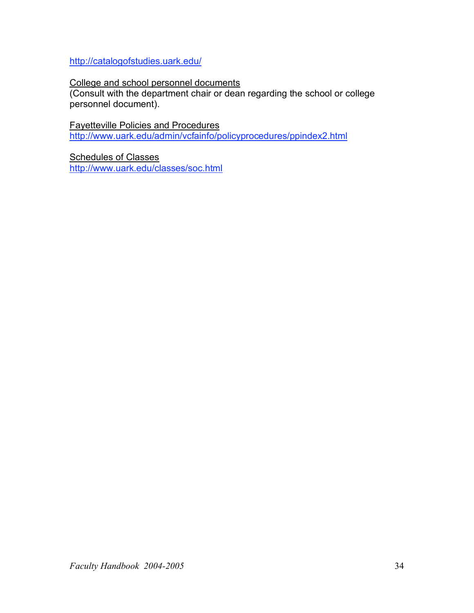http://catalogofstudies.uark.edu/

### College and school personnel documents

(Consult with the department chair or dean regarding the school or college personnel document).

Fayetteville Policies and Procedures http://www.uark.edu/admin/vcfainfo/policyprocedures/ppindex2.html

Schedules of Classes http://www.uark.edu/classes/soc.html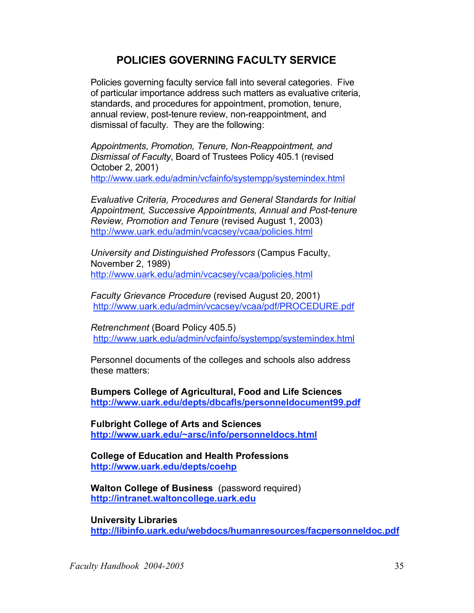# **POLICIES GOVERNING FACULTY SERVICE**

Policies governing faculty service fall into several categories. Five of particular importance address such matters as evaluative criteria, standards, and procedures for appointment, promotion, tenure, annual review, post-tenure review, non-reappointment, and dismissal of faculty. They are the following:

*Appointments, Promotion, Tenure, Non-Reappointment, and Dismissal of Faculty*, Board of Trustees Policy 405.1 (revised October 2, 2001) http://www.uark.edu/admin/vcfainfo/systempp/systemindex.html

*Evaluative Criteria, Procedures and General Standards for Initial Appointment, Successive Appointments, Annual and Post-tenure Review, Promotion and Tenure* (revised August 1, 2003) http://www.uark.edu/admin/vcacsey/vcaa/policies.html

*University and Distinguished Professors* (Campus Faculty, November 2, 1989) http://www.uark.edu/admin/vcacsey/vcaa/policies.html

*Faculty Grievance Procedure* (revised August 20, 2001) http://www.uark.edu/admin/vcacsey/vcaa/pdf/PROCEDURE.pdf

*Retrenchment* (Board Policy 405.5) http://www.uark.edu/admin/vcfainfo/systempp/systemindex.html

Personnel documents of the colleges and schools also address these matters:

**Bumpers College of Agricultural, Food and Life Sciences http://www.uark.edu/depts/dbcafls/personneldocument99.pdf**

**Fulbright College of Arts and Sciences http://www.uark.edu/~arsc/info/personneldocs.html**

**College of Education and Health Professions http://www.uark.edu/depts/coehp**

**Walton College of Business** (password required) **http://intranet.waltoncollege.uark.edu**

**University Libraries http://libinfo.uark.edu/webdocs/humanresources/facpersonneldoc.pdf**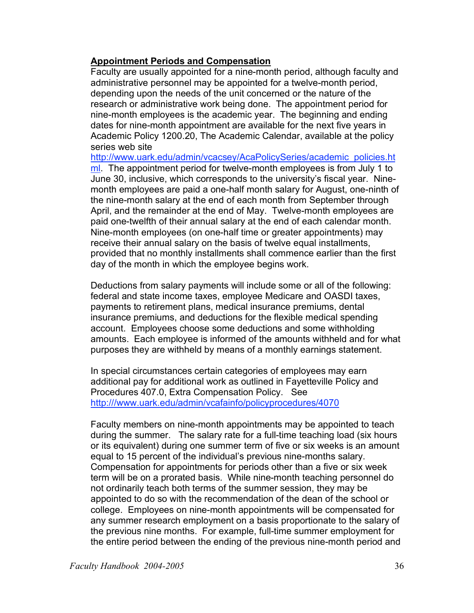### **Appointment Periods and Compensation**

Faculty are usually appointed for a nine-month period, although faculty and administrative personnel may be appointed for a twelve-month period, depending upon the needs of the unit concerned or the nature of the research or administrative work being done. The appointment period for nine-month employees is the academic year. The beginning and ending dates for nine-month appointment are available for the next five years in Academic Policy 1200.20, The Academic Calendar, available at the policy series web site

http://www.uark.edu/admin/vcacsey/AcaPolicySeries/academic\_policies.ht ml. The appointment period for twelve-month employees is from July 1 to June 30, inclusive, which corresponds to the university's fiscal year. Ninemonth employees are paid a one-half month salary for August, one-ninth of the nine-month salary at the end of each month from September through April, and the remainder at the end of May. Twelve-month employees are paid one-twelfth of their annual salary at the end of each calendar month. Nine-month employees (on one-half time or greater appointments) may receive their annual salary on the basis of twelve equal installments, provided that no monthly installments shall commence earlier than the first day of the month in which the employee begins work.

Deductions from salary payments will include some or all of the following: federal and state income taxes, employee Medicare and OASDI taxes, payments to retirement plans, medical insurance premiums, dental insurance premiums, and deductions for the flexible medical spending account. Employees choose some deductions and some withholding amounts. Each employee is informed of the amounts withheld and for what purposes they are withheld by means of a monthly earnings statement.

In special circumstances certain categories of employees may earn additional pay for additional work as outlined in Fayetteville Policy and Procedures 407.0, Extra Compensation Policy. See http:///www.uark.edu/admin/vcafainfo/policyprocedures/4070

Faculty members on nine-month appointments may be appointed to teach during the summer. The salary rate for a full-time teaching load (six hours or its equivalent) during one summer term of five or six weeks is an amount equal to 15 percent of the individual's previous nine-months salary. Compensation for appointments for periods other than a five or six week term will be on a prorated basis. While nine-month teaching personnel do not ordinarily teach both terms of the summer session, they may be appointed to do so with the recommendation of the dean of the school or college. Employees on nine-month appointments will be compensated for any summer research employment on a basis proportionate to the salary of the previous nine months. For example, full-time summer employment for the entire period between the ending of the previous nine-month period and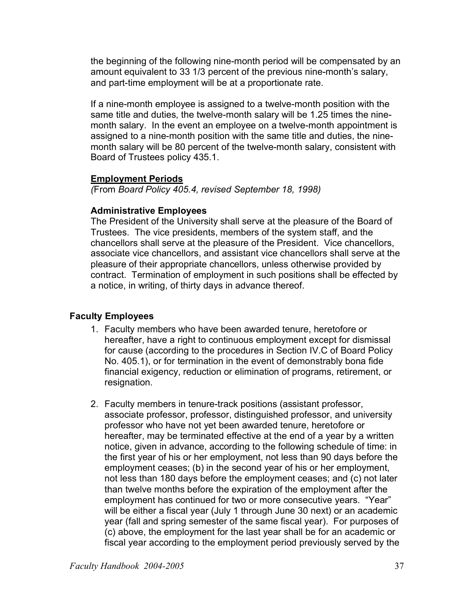the beginning of the following nine-month period will be compensated by an amount equivalent to 33 1/3 percent of the previous nine-month's salary, and part-time employment will be at a proportionate rate.

If a nine-month employee is assigned to a twelve-month position with the same title and duties, the twelve-month salary will be 1.25 times the ninemonth salary. In the event an employee on a twelve-month appointment is assigned to a nine-month position with the same title and duties, the ninemonth salary will be 80 percent of the twelve-month salary, consistent with Board of Trustees policy 435.1.

### **Employment Periods**

*(*From *Board Policy 405.4, revised September 18, 1998)*

### **Administrative Employees**

The President of the University shall serve at the pleasure of the Board of Trustees. The vice presidents, members of the system staff, and the chancellors shall serve at the pleasure of the President. Vice chancellors, associate vice chancellors, and assistant vice chancellors shall serve at the pleasure of their appropriate chancellors, unless otherwise provided by contract. Termination of employment in such positions shall be effected by a notice, in writing, of thirty days in advance thereof.

## **Faculty Employees**

- 1. Faculty members who have been awarded tenure, heretofore or hereafter, have a right to continuous employment except for dismissal for cause (according to the procedures in Section IV.C of Board Policy No. 405.1), or for termination in the event of demonstrably bona fide financial exigency, reduction or elimination of programs, retirement, or resignation.
- 2. Faculty members in tenure-track positions (assistant professor, associate professor, professor, distinguished professor, and university professor who have not yet been awarded tenure, heretofore or hereafter, may be terminated effective at the end of a year by a written notice, given in advance, according to the following schedule of time: in the first year of his or her employment, not less than 90 days before the employment ceases; (b) in the second year of his or her employment, not less than 180 days before the employment ceases; and (c) not later than twelve months before the expiration of the employment after the employment has continued for two or more consecutive years. "Year" will be either a fiscal year (July 1 through June 30 next) or an academic year (fall and spring semester of the same fiscal year). For purposes of (c) above, the employment for the last year shall be for an academic or fiscal year according to the employment period previously served by the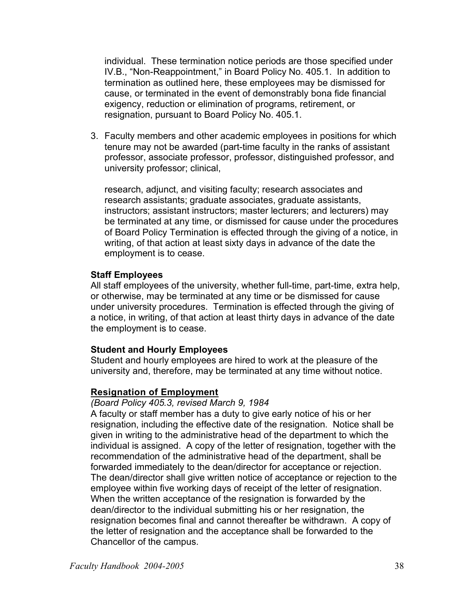individual. These termination notice periods are those specified under IV.B., "Non-Reappointment," in Board Policy No. 405.1. In addition to termination as outlined here, these employees may be dismissed for cause, or terminated in the event of demonstrably bona fide financial exigency, reduction or elimination of programs, retirement, or resignation, pursuant to Board Policy No. 405.1.

3. Faculty members and other academic employees in positions for which tenure may not be awarded (part-time faculty in the ranks of assistant professor, associate professor, professor, distinguished professor, and university professor; clinical,

research, adjunct, and visiting faculty; research associates and research assistants; graduate associates, graduate assistants, instructors; assistant instructors; master lecturers; and lecturers) may be terminated at any time, or dismissed for cause under the procedures of Board Policy Termination is effected through the giving of a notice, in writing, of that action at least sixty days in advance of the date the employment is to cease.

#### **Staff Employees**

All staff employees of the university, whether full-time, part-time, extra help, or otherwise, may be terminated at any time or be dismissed for cause under university procedures. Termination is effected through the giving of a notice, in writing, of that action at least thirty days in advance of the date the employment is to cease.

#### **Student and Hourly Employees**

Student and hourly employees are hired to work at the pleasure of the university and, therefore, may be terminated at any time without notice.

## **Resignation of Employment**

#### *(Board Policy 405.3, revised March 9, 1984*

A faculty or staff member has a duty to give early notice of his or her resignation, including the effective date of the resignation. Notice shall be given in writing to the administrative head of the department to which the individual is assigned. A copy of the letter of resignation, together with the recommendation of the administrative head of the department, shall be forwarded immediately to the dean/director for acceptance or rejection. The dean/director shall give written notice of acceptance or rejection to the employee within five working days of receipt of the letter of resignation. When the written acceptance of the resignation is forwarded by the dean/director to the individual submitting his or her resignation, the resignation becomes final and cannot thereafter be withdrawn. A copy of the letter of resignation and the acceptance shall be forwarded to the Chancellor of the campus.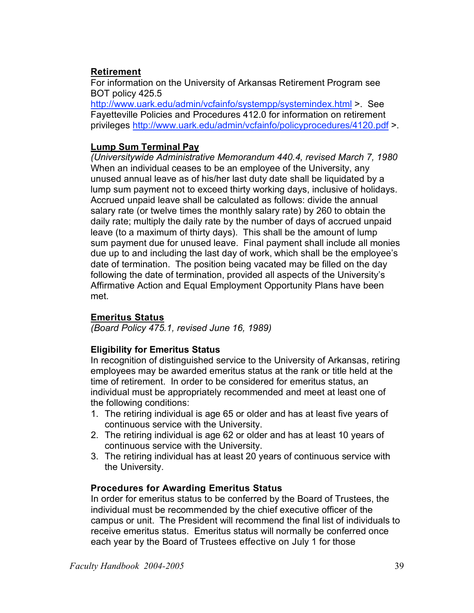## **Retirement**

For information on the University of Arkansas Retirement Program see BOT policy 425.5

http://www.uark.edu/admin/vcfainfo/systempp/systemindex.html >. See Fayetteville Policies and Procedures 412.0 for information on retirement privileges http://www.uark.edu/admin/vcfainfo/policyprocedures/4120.pdf >.

## **Lump Sum Terminal Pay**

*(Universitywide Administrative Memorandum 440.4, revised March 7, 1980* When an individual ceases to be an employee of the University, any unused annual leave as of his/her last duty date shall be liquidated by a lump sum payment not to exceed thirty working days, inclusive of holidays. Accrued unpaid leave shall be calculated as follows: divide the annual salary rate (or twelve times the monthly salary rate) by 260 to obtain the daily rate; multiply the daily rate by the number of days of accrued unpaid leave (to a maximum of thirty days). This shall be the amount of lump sum payment due for unused leave. Final payment shall include all monies due up to and including the last day of work, which shall be the employee's date of termination. The position being vacated may be filled on the day following the date of termination, provided all aspects of the University's Affirmative Action and Equal Employment Opportunity Plans have been met.

## **Emeritus Status**

*(Board Policy 475.1, revised June 16, 1989)*

## **Eligibility for Emeritus Status**

In recognition of distinguished service to the University of Arkansas, retiring employees may be awarded emeritus status at the rank or title held at the time of retirement. In order to be considered for emeritus status, an individual must be appropriately recommended and meet at least one of the following conditions:

- 1. The retiring individual is age 65 or older and has at least five years of continuous service with the University.
- 2. The retiring individual is age 62 or older and has at least 10 years of continuous service with the University.
- 3. The retiring individual has at least 20 years of continuous service with the University.

## **Procedures for Awarding Emeritus Status**

In order for emeritus status to be conferred by the Board of Trustees, the individual must be recommended by the chief executive officer of the campus or unit. The President will recommend the final list of individuals to receive emeritus status. Emeritus status will normally be conferred once each year by the Board of Trustees effective on July 1 for those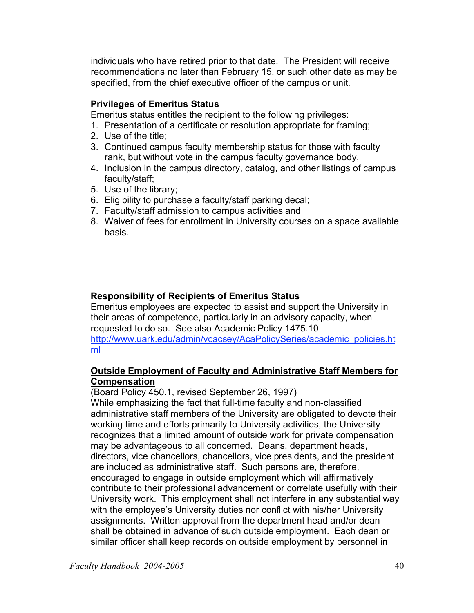individuals who have retired prior to that date. The President will receive recommendations no later than February 15, or such other date as may be specified, from the chief executive officer of the campus or unit.

### **Privileges of Emeritus Status**

Emeritus status entitles the recipient to the following privileges:

- 1. Presentation of a certificate or resolution appropriate for framing;
- 2. Use of the title;
- 3. Continued campus faculty membership status for those with faculty rank, but without vote in the campus faculty governance body,
- 4. Inclusion in the campus directory, catalog, and other listings of campus faculty/staff;
- 5. Use of the library;
- 6. Eligibility to purchase a faculty/staff parking decal;
- 7. Faculty/staff admission to campus activities and
- 8. Waiver of fees for enrollment in University courses on a space available basis.

## **Responsibility of Recipients of Emeritus Status**

Emeritus employees are expected to assist and support the University in their areas of competence, particularly in an advisory capacity, when requested to do so. See also Academic Policy 1475.10 http://www.uark.edu/admin/vcacsey/AcaPolicySeries/academic\_policies.ht ml

#### **Outside Employment of Faculty and Administrative Staff Members for Compensation**

(Board Policy 450.1, revised September 26, 1997)

While emphasizing the fact that full-time faculty and non-classified administrative staff members of the University are obligated to devote their working time and efforts primarily to University activities, the University recognizes that a limited amount of outside work for private compensation may be advantageous to all concerned. Deans, department heads, directors, vice chancellors, chancellors, vice presidents, and the president are included as administrative staff. Such persons are, therefore, encouraged to engage in outside employment which will affirmatively contribute to their professional advancement or correlate usefully with their University work. This employment shall not interfere in any substantial way with the employee's University duties nor conflict with his/her University assignments. Written approval from the department head and/or dean shall be obtained in advance of such outside employment. Each dean or similar officer shall keep records on outside employment by personnel in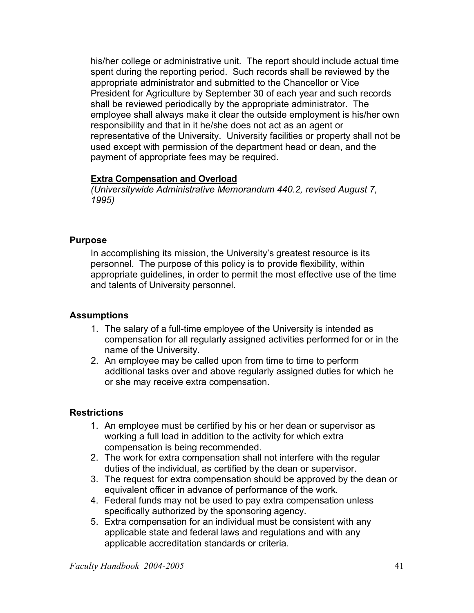his/her college or administrative unit. The report should include actual time spent during the reporting period. Such records shall be reviewed by the appropriate administrator and submitted to the Chancellor or Vice President for Agriculture by September 30 of each year and such records shall be reviewed periodically by the appropriate administrator. The employee shall always make it clear the outside employment is his/her own responsibility and that in it he/she does not act as an agent or representative of the University. University facilities or property shall not be used except with permission of the department head or dean, and the payment of appropriate fees may be required.

## **Extra Compensation and Overload**

*(Universitywide Administrative Memorandum 440.2, revised August 7, 1995)*

### **Purpose**

In accomplishing its mission, the University's greatest resource is its personnel. The purpose of this policy is to provide flexibility, within appropriate guidelines, in order to permit the most effective use of the time and talents of University personnel.

#### **Assumptions**

- 1. The salary of a full-time employee of the University is intended as compensation for all regularly assigned activities performed for or in the name of the University.
- 2. An employee may be called upon from time to time to perform additional tasks over and above regularly assigned duties for which he or she may receive extra compensation.

#### **Restrictions**

- 1. An employee must be certified by his or her dean or supervisor as working a full load in addition to the activity for which extra compensation is being recommended.
- 2. The work for extra compensation shall not interfere with the regular duties of the individual, as certified by the dean or supervisor.
- 3. The request for extra compensation should be approved by the dean or equivalent officer in advance of performance of the work.
- 4. Federal funds may not be used to pay extra compensation unless specifically authorized by the sponsoring agency.
- 5. Extra compensation for an individual must be consistent with any applicable state and federal laws and regulations and with any applicable accreditation standards or criteria.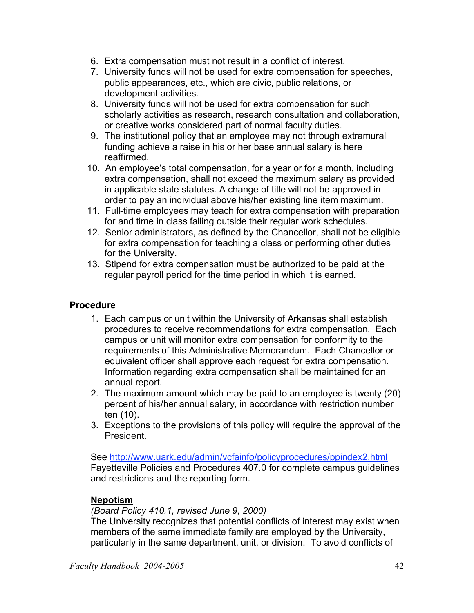- 6. Extra compensation must not result in a conflict of interest.
- 7. University funds will not be used for extra compensation for speeches, public appearances, etc., which are civic, public relations, or development activities.
- 8. University funds will not be used for extra compensation for such scholarly activities as research, research consultation and collaboration, or creative works considered part of normal faculty duties.
- 9. The institutional policy that an employee may not through extramural funding achieve a raise in his or her base annual salary is here reaffirmed.
- 10. An employee's total compensation, for a year or for a month, including extra compensation, shall not exceed the maximum salary as provided in applicable state statutes. A change of title will not be approved in order to pay an individual above his/her existing line item maximum.
- 11. Full-time employees may teach for extra compensation with preparation for and time in class falling outside their regular work schedules.
- 12. Senior administrators, as defined by the Chancellor, shall not be eligible for extra compensation for teaching a class or performing other duties for the University.
- 13. Stipend for extra compensation must be authorized to be paid at the regular payroll period for the time period in which it is earned.

## **Procedure**

- 1. Each campus or unit within the University of Arkansas shall establish procedures to receive recommendations for extra compensation. Each campus or unit will monitor extra compensation for conformity to the requirements of this Administrative Memorandum. Each Chancellor or equivalent officer shall approve each request for extra compensation. Information regarding extra compensation shall be maintained for an annual report.
- 2. The maximum amount which may be paid to an employee is twenty (20) percent of his/her annual salary, in accordance with restriction number ten (10).
- 3. Exceptions to the provisions of this policy will require the approval of the President.

See http://www.uark.edu/admin/vcfainfo/policyprocedures/ppindex2.html Fayetteville Policies and Procedures 407.0 for complete campus guidelines and restrictions and the reporting form.

## **Nepotism**

*(Board Policy 410.1, revised June 9, 2000)*

The University recognizes that potential conflicts of interest may exist when members of the same immediate family are employed by the University, particularly in the same department, unit, or division. To avoid conflicts of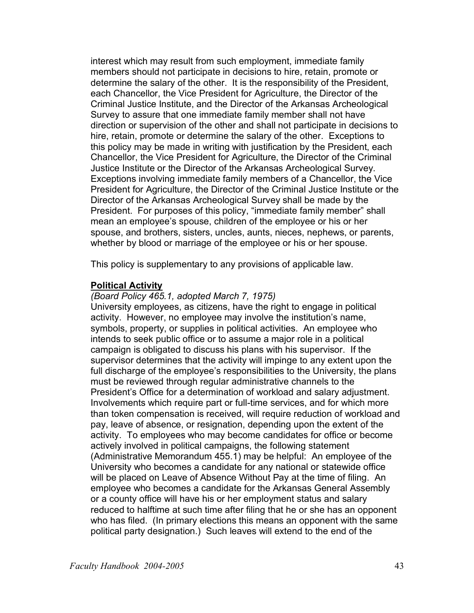interest which may result from such employment, immediate family members should not participate in decisions to hire, retain, promote or determine the salary of the other. It is the responsibility of the President, each Chancellor, the Vice President for Agriculture, the Director of the Criminal Justice Institute, and the Director of the Arkansas Archeological Survey to assure that one immediate family member shall not have direction or supervision of the other and shall not participate in decisions to hire, retain, promote or determine the salary of the other. Exceptions to this policy may be made in writing with justification by the President, each Chancellor, the Vice President for Agriculture, the Director of the Criminal Justice Institute or the Director of the Arkansas Archeological Survey. Exceptions involving immediate family members of a Chancellor, the Vice President for Agriculture, the Director of the Criminal Justice Institute or the Director of the Arkansas Archeological Survey shall be made by the President. For purposes of this policy, "immediate family member" shall mean an employee's spouse, children of the employee or his or her spouse, and brothers, sisters, uncles, aunts, nieces, nephews, or parents, whether by blood or marriage of the employee or his or her spouse.

This policy is supplementary to any provisions of applicable law.

#### **Political Activity**

#### *(Board Policy 465.1, adopted March 7, 1975)*

University employees, as citizens, have the right to engage in political activity. However, no employee may involve the institution's name, symbols, property, or supplies in political activities. An employee who intends to seek public office or to assume a major role in a political campaign is obligated to discuss his plans with his supervisor. If the supervisor determines that the activity will impinge to any extent upon the full discharge of the employee's responsibilities to the University, the plans must be reviewed through regular administrative channels to the President's Office for a determination of workload and salary adjustment. Involvements which require part or full-time services, and for which more than token compensation is received, will require reduction of workload and pay, leave of absence, or resignation, depending upon the extent of the activity. To employees who may become candidates for office or become actively involved in political campaigns, the following statement (Administrative Memorandum 455.1) may be helpful: An employee of the University who becomes a candidate for any national or statewide office will be placed on Leave of Absence Without Pay at the time of filing. An employee who becomes a candidate for the Arkansas General Assembly or a county office will have his or her employment status and salary reduced to halftime at such time after filing that he or she has an opponent who has filed. (In primary elections this means an opponent with the same political party designation.) Such leaves will extend to the end of the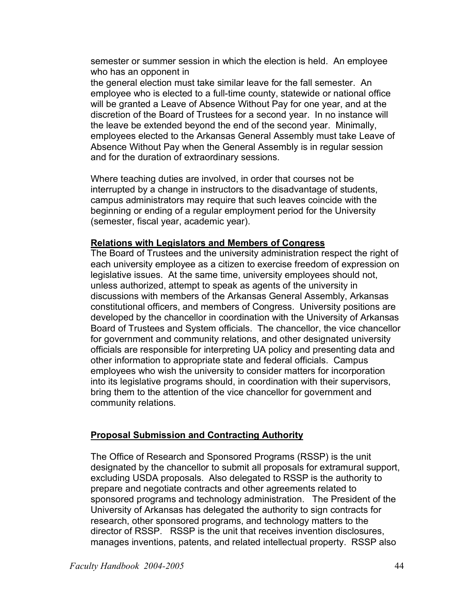semester or summer session in which the election is held. An employee who has an opponent in

the general election must take similar leave for the fall semester. An employee who is elected to a full-time county, statewide or national office will be granted a Leave of Absence Without Pay for one year, and at the discretion of the Board of Trustees for a second year. In no instance will the leave be extended beyond the end of the second year. Minimally, employees elected to the Arkansas General Assembly must take Leave of Absence Without Pay when the General Assembly is in regular session and for the duration of extraordinary sessions.

Where teaching duties are involved, in order that courses not be interrupted by a change in instructors to the disadvantage of students, campus administrators may require that such leaves coincide with the beginning or ending of a regular employment period for the University (semester, fiscal year, academic year).

#### **Relations with Legislators and Members of Congress**

The Board of Trustees and the university administration respect the right of each university employee as a citizen to exercise freedom of expression on legislative issues. At the same time, university employees should not, unless authorized, attempt to speak as agents of the university in discussions with members of the Arkansas General Assembly, Arkansas constitutional officers, and members of Congress. University positions are developed by the chancellor in coordination with the University of Arkansas Board of Trustees and System officials. The chancellor, the vice chancellor for government and community relations, and other designated university officials are responsible for interpreting UA policy and presenting data and other information to appropriate state and federal officials. Campus employees who wish the university to consider matters for incorporation into its legislative programs should, in coordination with their supervisors, bring them to the attention of the vice chancellor for government and community relations.

#### **Proposal Submission and Contracting Authority**

The Office of Research and Sponsored Programs (RSSP) is the unit designated by the chancellor to submit all proposals for extramural support, excluding USDA proposals. Also delegated to RSSP is the authority to prepare and negotiate contracts and other agreements related to sponsored programs and technology administration. The President of the University of Arkansas has delegated the authority to sign contracts for research, other sponsored programs, and technology matters to the director of RSSP. RSSP is the unit that receives invention disclosures, manages inventions, patents, and related intellectual property. RSSP also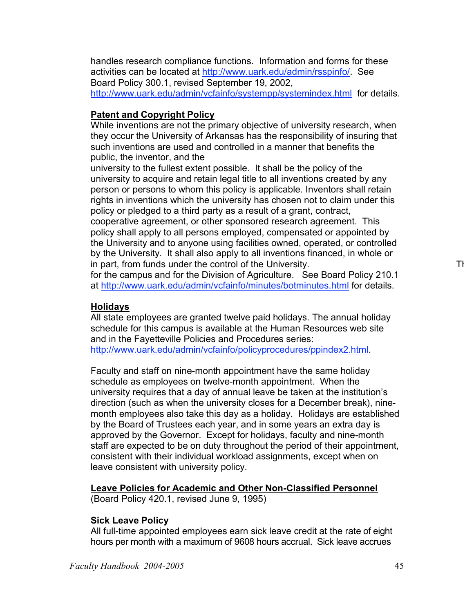handles research compliance functions. Information and forms for these activities can be located at http://www.uark.edu/admin/rsspinfo/. See Board Policy 300.1, revised September 19, 2002, http://www.uark.edu/admin/vcfainfo/systempp/systemindex.html for details.

### **Patent and Copyright Policy**

While inventions are not the primary objective of university research, when they occur the University of Arkansas has the responsibility of insuring that such inventions are used and controlled in a manner that benefits the public, the inventor, and the

university to the fullest extent possible. It shall be the policy of the university to acquire and retain legal title to all inventions created by any person or persons to whom this policy is applicable. Inventors shall retain rights in inventions which the university has chosen not to claim under this policy or pledged to a third party as a result of a grant, contract, cooperative agreement, or other sponsored research agreement. This

policy shall apply to all persons employed, compensated or appointed by the University and to anyone using facilities owned, operated, or controlled by the University. It shall also apply to all inventions financed, in whole or in part, from funds under the control of the University. The state of the University of the University of the University of the University of the University of the University of the University of the University of the Univ

for the campus and for the Division of Agriculture. See Board Policy 210.1 at http://www.uark.edu/admin/vcfainfo/minutes/botminutes.html for details.

#### **Holidays**

All state employees are granted twelve paid holidays. The annual holiday schedule for this campus is available at the Human Resources web site and in the Fayetteville Policies and Procedures series: http://www.uark.edu/admin/vcfainfo/policyprocedures/ppindex2.html.

Faculty and staff on nine-month appointment have the same holiday schedule as employees on twelve-month appointment. When the university requires that a day of annual leave be taken at the institution's direction (such as when the university closes for a December break), ninemonth employees also take this day as a holiday. Holidays are established by the Board of Trustees each year, and in some years an extra day is approved by the Governor. Except for holidays, faculty and nine-month staff are expected to be on duty throughout the period of their appointment, consistent with their individual workload assignments, except when on leave consistent with university policy.

#### **Leave Policies for Academic and Other Non-Classified Personnel**

(Board Policy 420.1, revised June 9, 1995)

#### **Sick Leave Policy**

All full-time appointed employees earn sick leave credit at the rate of eight hours per month with a maximum of 9608 hours accrual. Sick leave accrues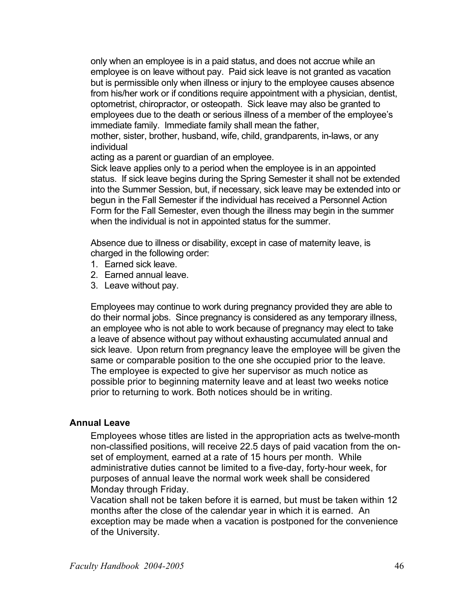only when an employee is in a paid status, and does not accrue while an employee is on leave without pay. Paid sick leave is not granted as vacation but is permissible only when illness or injury to the employee causes absence from his/her work or if conditions require appointment with a physician, dentist, optometrist, chiropractor, or osteopath. Sick leave may also be granted to employees due to the death or serious illness of a member of the employee's immediate family. Immediate family shall mean the father,

mother, sister, brother, husband, wife, child, grandparents, in-laws, or any individual

acting as a parent or guardian of an employee.

Sick leave applies only to a period when the employee is in an appointed status. If sick leave begins during the Spring Semester it shall not be extended into the Summer Session, but, if necessary, sick leave may be extended into or begun in the Fall Semester if the individual has received a Personnel Action Form for the Fall Semester, even though the illness may begin in the summer when the individual is not in appointed status for the summer.

Absence due to illness or disability, except in case of maternity leave, is charged in the following order:

- 1. Earned sick leave.
- 2. Earned annual leave.
- 3. Leave without pay.

Employees may continue to work during pregnancy provided they are able to do their normal jobs. Since pregnancy is considered as any temporary illness, an employee who is not able to work because of pregnancy may elect to take a leave of absence without pay without exhausting accumulated annual and sick leave. Upon return from pregnancy leave the employee will be given the same or comparable position to the one she occupied prior to the leave. The employee is expected to give her supervisor as much notice as possible prior to beginning maternity leave and at least two weeks notice prior to returning to work. Both notices should be in writing.

#### **Annual Leave**

Employees whose titles are listed in the appropriation acts as twelve-month non-classified positions, will receive 22.5 days of paid vacation from the onset of employment, earned at a rate of 15 hours per month. While administrative duties cannot be limited to a five-day, forty-hour week, for purposes of annual leave the normal work week shall be considered Monday through Friday.

Vacation shall not be taken before it is earned, but must be taken within 12 months after the close of the calendar year in which it is earned. An exception may be made when a vacation is postponed for the convenience of the University.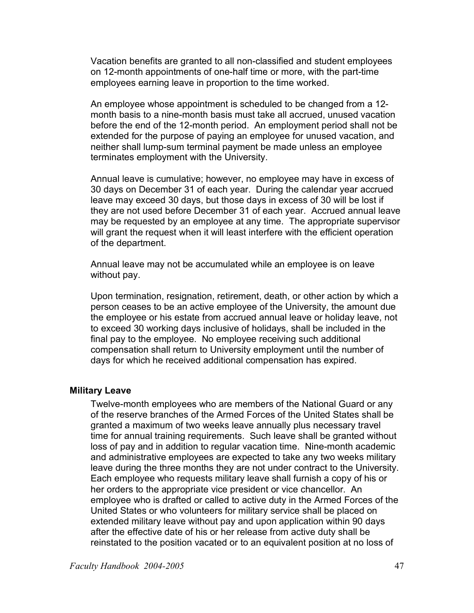Vacation benefits are granted to all non-classified and student employees on 12-month appointments of one-half time or more, with the part-time employees earning leave in proportion to the time worked.

An employee whose appointment is scheduled to be changed from a 12 month basis to a nine-month basis must take all accrued, unused vacation before the end of the 12-month period. An employment period shall not be extended for the purpose of paying an employee for unused vacation, and neither shall lump-sum terminal payment be made unless an employee terminates employment with the University.

Annual leave is cumulative; however, no employee may have in excess of 30 days on December 31 of each year. During the calendar year accrued leave may exceed 30 days, but those days in excess of 30 will be lost if they are not used before December 31 of each year. Accrued annual leave may be requested by an employee at any time. The appropriate supervisor will grant the request when it will least interfere with the efficient operation of the department.

Annual leave may not be accumulated while an employee is on leave without pay.

Upon termination, resignation, retirement, death, or other action by which a person ceases to be an active employee of the University, the amount due the employee or his estate from accrued annual leave or holiday leave, not to exceed 30 working days inclusive of holidays, shall be included in the final pay to the employee. No employee receiving such additional compensation shall return to University employment until the number of days for which he received additional compensation has expired.

#### **Military Leave**

Twelve-month employees who are members of the National Guard or any of the reserve branches of the Armed Forces of the United States shall be granted a maximum of two weeks leave annually plus necessary travel time for annual training requirements. Such leave shall be granted without loss of pay and in addition to regular vacation time. Nine-month academic and administrative employees are expected to take any two weeks military leave during the three months they are not under contract to the University. Each employee who requests military leave shall furnish a copy of his or her orders to the appropriate vice president or vice chancellor. An employee who is drafted or called to active duty in the Armed Forces of the United States or who volunteers for military service shall be placed on extended military leave without pay and upon application within 90 days after the effective date of his or her release from active duty shall be reinstated to the position vacated or to an equivalent position at no loss of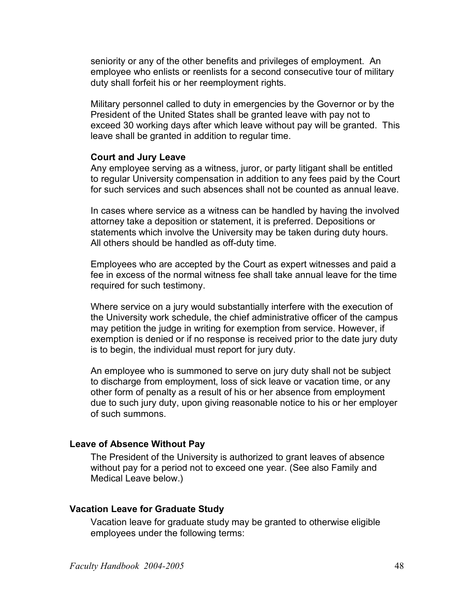seniority or any of the other benefits and privileges of employment. An employee who enlists or reenlists for a second consecutive tour of military duty shall forfeit his or her reemployment rights.

Military personnel called to duty in emergencies by the Governor or by the President of the United States shall be granted leave with pay not to exceed 30 working days after which leave without pay will be granted. This leave shall be granted in addition to regular time.

#### **Court and Jury Leave**

Any employee serving as a witness, juror, or party litigant shall be entitled to regular University compensation in addition to any fees paid by the Court for such services and such absences shall not be counted as annual leave.

In cases where service as a witness can be handled by having the involved attorney take a deposition or statement, it is preferred. Depositions or statements which involve the University may be taken during duty hours. All others should be handled as off-duty time.

Employees who are accepted by the Court as expert witnesses and paid a fee in excess of the normal witness fee shall take annual leave for the time required for such testimony.

Where service on a jury would substantially interfere with the execution of the University work schedule, the chief administrative officer of the campus may petition the judge in writing for exemption from service. However, if exemption is denied or if no response is received prior to the date jury duty is to begin, the individual must report for jury duty.

An employee who is summoned to serve on jury duty shall not be subject to discharge from employment, loss of sick leave or vacation time, or any other form of penalty as a result of his or her absence from employment due to such jury duty, upon giving reasonable notice to his or her employer of such summons.

#### **Leave of Absence Without Pay**

The President of the University is authorized to grant leaves of absence without pay for a period not to exceed one year. (See also Family and Medical Leave below.)

#### **Vacation Leave for Graduate Study**

Vacation leave for graduate study may be granted to otherwise eligible employees under the following terms: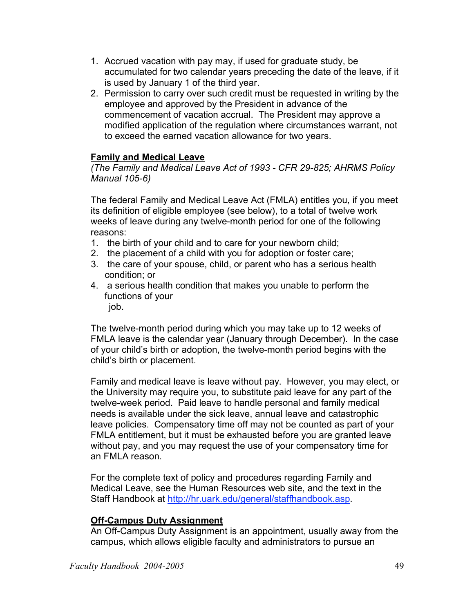- 1. Accrued vacation with pay may, if used for graduate study, be accumulated for two calendar years preceding the date of the leave, if it is used by January 1 of the third year.
- 2. Permission to carry over such credit must be requested in writing by the employee and approved by the President in advance of the commencement of vacation accrual. The President may approve a modified application of the regulation where circumstances warrant, not to exceed the earned vacation allowance for two years.

## **Family and Medical Leave**

*(The Family and Medical Leave Act of 1993 - CFR 29-825; AHRMS Policy Manual 105-6)*

The federal Family and Medical Leave Act (FMLA) entitles you, if you meet its definition of eligible employee (see below), to a total of twelve work weeks of leave during any twelve-month period for one of the following reasons:

- 1. the birth of your child and to care for your newborn child;
- 2. the placement of a child with you for adoption or foster care;
- 3. the care of your spouse, child, or parent who has a serious health condition; or
- 4. a serious health condition that makes you unable to perform the functions of your job.

The twelve-month period during which you may take up to 12 weeks of FMLA leave is the calendar year (January through December). In the case of your child's birth or adoption, the twelve-month period begins with the child's birth or placement.

Family and medical leave is leave without pay. However, you may elect, or the University may require you, to substitute paid leave for any part of the twelve-week period. Paid leave to handle personal and family medical needs is available under the sick leave, annual leave and catastrophic leave policies. Compensatory time off may not be counted as part of your FMLA entitlement, but it must be exhausted before you are granted leave without pay, and you may request the use of your compensatory time for an FMLA reason.

For the complete text of policy and procedures regarding Family and Medical Leave, see the Human Resources web site, and the text in the Staff Handbook at http://hr.uark.edu/general/staffhandbook.asp.

## **Off-Campus Duty Assignment**

An Off-Campus Duty Assignment is an appointment, usually away from the campus, which allows eligible faculty and administrators to pursue an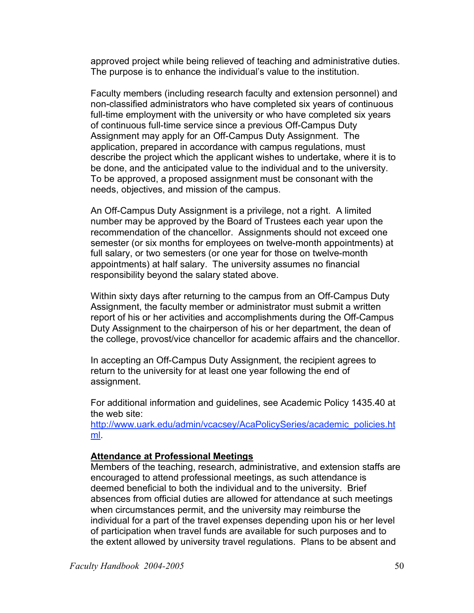approved project while being relieved of teaching and administrative duties. The purpose is to enhance the individual's value to the institution.

Faculty members (including research faculty and extension personnel) and non-classified administrators who have completed six years of continuous full-time employment with the university or who have completed six years of continuous full-time service since a previous Off-Campus Duty Assignment may apply for an Off-Campus Duty Assignment. The application, prepared in accordance with campus regulations, must describe the project which the applicant wishes to undertake, where it is to be done, and the anticipated value to the individual and to the university. To be approved, a proposed assignment must be consonant with the needs, objectives, and mission of the campus.

An Off-Campus Duty Assignment is a privilege, not a right. A limited number may be approved by the Board of Trustees each year upon the recommendation of the chancellor. Assignments should not exceed one semester (or six months for employees on twelve-month appointments) at full salary, or two semesters (or one year for those on twelve-month appointments) at half salary. The university assumes no financial responsibility beyond the salary stated above.

Within sixty days after returning to the campus from an Off-Campus Duty Assignment, the faculty member or administrator must submit a written report of his or her activities and accomplishments during the Off-Campus Duty Assignment to the chairperson of his or her department, the dean of the college, provost/vice chancellor for academic affairs and the chancellor.

In accepting an Off-Campus Duty Assignment, the recipient agrees to return to the university for at least one year following the end of assignment.

For additional information and guidelines, see Academic Policy 1435.40 at the web site:

http://www.uark.edu/admin/vcacsey/AcaPolicySeries/academic\_policies.ht ml.

#### **Attendance at Professional Meetings**

Members of the teaching, research, administrative, and extension staffs are encouraged to attend professional meetings, as such attendance is deemed beneficial to both the individual and to the university. Brief absences from official duties are allowed for attendance at such meetings when circumstances permit, and the university may reimburse the individual for a part of the travel expenses depending upon his or her level of participation when travel funds are available for such purposes and to the extent allowed by university travel regulations. Plans to be absent and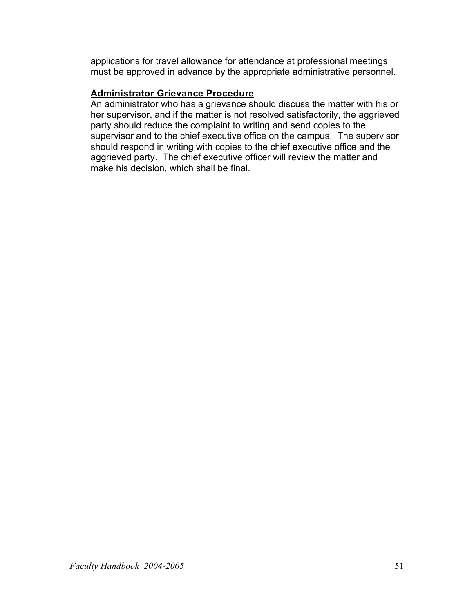applications for travel allowance for attendance at professional meetings must be approved in advance by the appropriate administrative personnel.

## **Administrator Grievance Procedure**

An administrator who has a grievance should discuss the matter with his or her supervisor, and if the matter is not resolved satisfactorily, the aggrieved party should reduce the complaint to writing and send copies to the supervisor and to the chief executive office on the campus. The supervisor should respond in writing with copies to the chief executive office and the aggrieved party. The chief executive officer will review the matter and make his decision, which shall be final.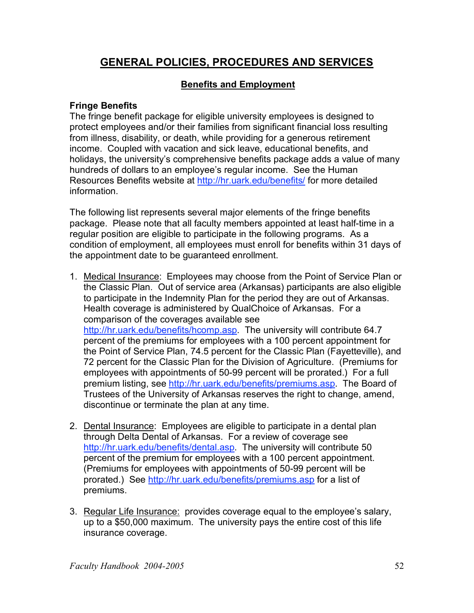# **GENERAL POLICIES, PROCEDURES AND SERVICES**

## **Benefits and Employment**

### **Fringe Benefits**

The fringe benefit package for eligible university employees is designed to protect employees and/or their families from significant financial loss resulting from illness, disability, or death, while providing for a generous retirement income. Coupled with vacation and sick leave, educational benefits, and holidays, the university's comprehensive benefits package adds a value of many hundreds of dollars to an employee's regular income. See the Human Resources Benefits website at http://hr.uark.edu/benefits/ for more detailed information.

The following list represents several major elements of the fringe benefits package. Please note that all faculty members appointed at least half-time in a regular position are eligible to participate in the following programs. As a condition of employment, all employees must enroll for benefits within 31 days of the appointment date to be guaranteed enrollment.

- 1. Medical Insurance: Employees may choose from the Point of Service Plan or the Classic Plan. Out of service area (Arkansas) participants are also eligible to participate in the Indemnity Plan for the period they are out of Arkansas. Health coverage is administered by QualChoice of Arkansas. For a comparison of the coverages available see http://hr.uark.edu/benefits/hcomp.asp. The university will contribute 64.7 percent of the premiums for employees with a 100 percent appointment for the Point of Service Plan, 74.5 percent for the Classic Plan (Fayetteville), and 72 percent for the Classic Plan for the Division of Agriculture. (Premiums for employees with appointments of 50-99 percent will be prorated.) For a full premium listing, see http://hr.uark.edu/benefits/premiums.asp. The Board of Trustees of the University of Arkansas reserves the right to change, amend, discontinue or terminate the plan at any time.
- 2. Dental Insurance: Employees are eligible to participate in a dental plan through Delta Dental of Arkansas. For a review of coverage see http://hr.uark.edu/benefits/dental.asp. The university will contribute 50 percent of the premium for employees with a 100 percent appointment. (Premiums for employees with appointments of 50-99 percent will be prorated.) See http://hr.uark.edu/benefits/premiums.asp for a list of premiums.
- 3. Regular Life Insurance: provides coverage equal to the employee's salary, up to a \$50,000 maximum. The university pays the entire cost of this life insurance coverage.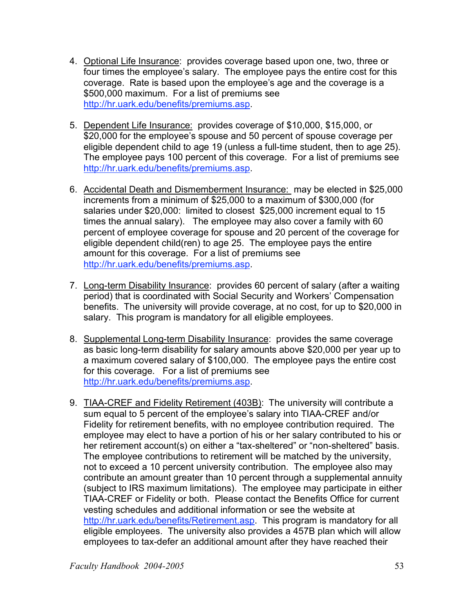- 4. Optional Life Insurance: provides coverage based upon one, two, three or four times the employee's salary. The employee pays the entire cost for this coverage. Rate is based upon the employee's age and the coverage is a \$500,000 maximum. For a list of premiums see http://hr.uark.edu/benefits/premiums.asp.
- 5. Dependent Life Insurance: provides coverage of \$10,000, \$15,000, or \$20,000 for the employee's spouse and 50 percent of spouse coverage per eligible dependent child to age 19 (unless a full-time student, then to age 25). The employee pays 100 percent of this coverage. For a list of premiums see http://hr.uark.edu/benefits/premiums.asp.
- 6. Accidental Death and Dismemberment Insurance: may be elected in \$25,000 increments from a minimum of \$25,000 to a maximum of \$300,000 (for salaries under \$20,000: limited to closest \$25,000 increment equal to 15 times the annual salary). The employee may also cover a family with 60 percent of employee coverage for spouse and 20 percent of the coverage for eligible dependent child(ren) to age 25. The employee pays the entire amount for this coverage. For a list of premiums see http://hr.uark.edu/benefits/premiums.asp.
- 7. Long-term Disability Insurance: provides 60 percent of salary (after a waiting period) that is coordinated with Social Security and Workers' Compensation benefits. The university will provide coverage, at no cost, for up to \$20,000 in salary. This program is mandatory for all eligible employees.
- 8. Supplemental Long-term Disability Insurance: provides the same coverage as basic long-term disability for salary amounts above \$20,000 per year up to a maximum covered salary of \$100,000. The employee pays the entire cost for this coverage. For a list of premiums see http://hr.uark.edu/benefits/premiums.asp.
- 9. TIAA-CREF and Fidelity Retirement (403B): The university will contribute a sum equal to 5 percent of the employee's salary into TIAA-CREF and/or Fidelity for retirement benefits, with no employee contribution required. The employee may elect to have a portion of his or her salary contributed to his or her retirement account(s) on either a "tax-sheltered" or "non-sheltered" basis. The employee contributions to retirement will be matched by the university, not to exceed a 10 percent university contribution. The employee also may contribute an amount greater than 10 percent through a supplemental annuity (subject to IRS maximum limitations). The employee may participate in either TIAA-CREF or Fidelity or both. Please contact the Benefits Office for current vesting schedules and additional information or see the website at http://hr.uark.edu/benefits/Retirement.asp. This program is mandatory for all eligible employees. The university also provides a 457B plan which will allow employees to tax-defer an additional amount after they have reached their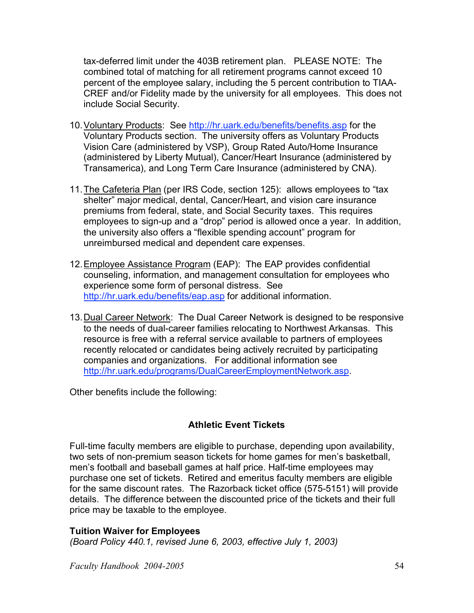tax-deferred limit under the 403B retirement plan. PLEASE NOTE: The combined total of matching for all retirement programs cannot exceed 10 percent of the employee salary, including the 5 percent contribution to TIAA-CREF and/or Fidelity made by the university for all employees. This does not include Social Security.

- 10.Voluntary Products: See http://hr.uark.edu/benefits/benefits.asp for the Voluntary Products section. The university offers as Voluntary Products Vision Care (administered by VSP), Group Rated Auto/Home Insurance (administered by Liberty Mutual), Cancer/Heart Insurance (administered by Transamerica), and Long Term Care Insurance (administered by CNA).
- 11.The Cafeteria Plan (per IRS Code, section 125): allows employees to "tax shelter" major medical, dental, Cancer/Heart, and vision care insurance premiums from federal, state, and Social Security taxes. This requires employees to sign-up and a "drop" period is allowed once a year. In addition, the university also offers a "flexible spending account" program for unreimbursed medical and dependent care expenses.
- 12.Employee Assistance Program (EAP): The EAP provides confidential counseling, information, and management consultation for employees who experience some form of personal distress. See http://hr.uark.edu/benefits/eap.asp for additional information.
- 13.Dual Career Network: The Dual Career Network is designed to be responsive to the needs of dual-career families relocating to Northwest Arkansas. This resource is free with a referral service available to partners of employees recently relocated or candidates being actively recruited by participating companies and organizations. For additional information see http://hr.uark.edu/programs/DualCareerEmploymentNetwork.asp.

Other benefits include the following:

## **Athletic Event Tickets**

Full-time faculty members are eligible to purchase, depending upon availability, two sets of non-premium season tickets for home games for men's basketball, men's football and baseball games at half price. Half-time employees may purchase one set of tickets. Retired and emeritus faculty members are eligible for the same discount rates. The Razorback ticket office (575-5151) will provide details. The difference between the discounted price of the tickets and their full price may be taxable to the employee.

## **Tuition Waiver for Employees**

*(Board Policy 440.1, revised June 6, 2003, effective July 1, 2003)*

*Faculty Handbook 2004-2005* 54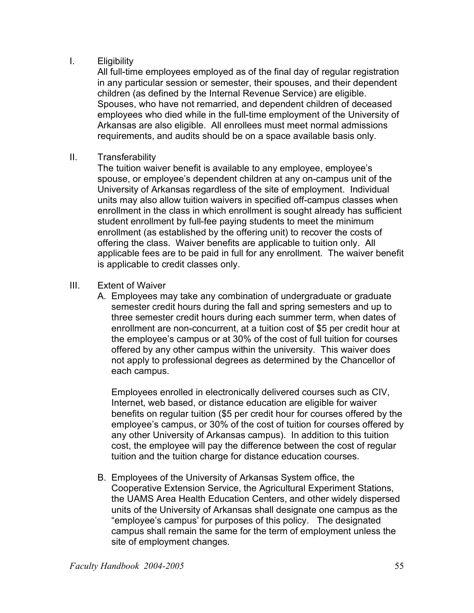### I. Eligibility

All full-time employees employed as of the final day of regular registration in any particular session or semester, their spouses, and their dependent children (as defined by the Internal Revenue Service) are eligible. Spouses, who have not remarried, and dependent children of deceased employees who died while in the full-time employment of the University of Arkansas are also eligible. All enrollees must meet normal admissions requirements, and audits should be on a space available basis only.

II. Transferability

The tuition waiver benefit is available to any employee, employee's spouse, or employee's dependent children at any on-campus unit of the University of Arkansas regardless of the site of employment. Individual units may also allow tuition waivers in specified off-campus classes when enrollment in the class in which enrollment is sought already has sufficient student enrollment by full-fee paying students to meet the minimum enrollment (as established by the offering unit) to recover the costs of offering the class. Waiver benefits are applicable to tuition only. All applicable fees are to be paid in full for any enrollment. The waiver benefit is applicable to credit classes only.

- III. Extent of Waiver
	- A. Employees may take any combination of undergraduate or graduate semester credit hours during the fall and spring semesters and up to three semester credit hours during each summer term, when dates of enrollment are non-concurrent, at a tuition cost of \$5 per credit hour at the employee's campus or at 30% of the cost of full tuition for courses offered by any other campus within the university. This waiver does not apply to professional degrees as determined by the Chancellor of each campus.

Employees enrolled in electronically delivered courses such as CIV, Internet, web based, or distance education are eligible for waiver benefits on regular tuition (\$5 per credit hour for courses offered by the employee's campus, or 30% of the cost of tuition for courses offered by any other University of Arkansas campus). In addition to this tuition cost, the employee will pay the difference between the cost of regular tuition and the tuition charge for distance education courses.

B. Employees of the University of Arkansas System office, the Cooperative Extension Service, the Agricultural Experiment Stations, the UAMS Area Health Education Centers, and other widely dispersed units of the University of Arkansas shall designate one campus as the "employee's campus' for purposes of this policy. The designated campus shall remain the same for the term of employment unless the site of employment changes.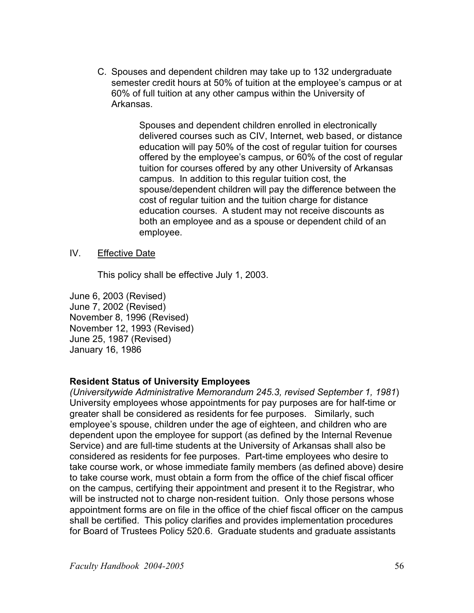C. Spouses and dependent children may take up to 132 undergraduate semester credit hours at 50% of tuition at the employee's campus or at 60% of full tuition at any other campus within the University of Arkansas.

> Spouses and dependent children enrolled in electronically delivered courses such as CIV, Internet, web based, or distance education will pay 50% of the cost of regular tuition for courses offered by the employee's campus, or 60% of the cost of regular tuition for courses offered by any other University of Arkansas campus. In addition to this regular tuition cost, the spouse/dependent children will pay the difference between the cost of regular tuition and the tuition charge for distance education courses. A student may not receive discounts as both an employee and as a spouse or dependent child of an employee.

#### IV. Effective Date

This policy shall be effective July 1, 2003.

June 6, 2003 (Revised) June 7, 2002 (Revised) November 8, 1996 (Revised) November 12, 1993 (Revised) June 25, 1987 (Revised) January 16, 1986

#### **Resident Status of University Employees**

*(Universitywide Administrative Memorandum 245.3, revised September 1, 1981*) University employees whose appointments for pay purposes are for half-time or greater shall be considered as residents for fee purposes. Similarly, such employee's spouse, children under the age of eighteen, and children who are dependent upon the employee for support (as defined by the Internal Revenue Service) and are full-time students at the University of Arkansas shall also be considered as residents for fee purposes. Part-time employees who desire to take course work, or whose immediate family members (as defined above) desire to take course work, must obtain a form from the office of the chief fiscal officer on the campus, certifying their appointment and present it to the Registrar, who will be instructed not to charge non-resident tuition. Only those persons whose appointment forms are on file in the office of the chief fiscal officer on the campus shall be certified. This policy clarifies and provides implementation procedures for Board of Trustees Policy 520.6. Graduate students and graduate assistants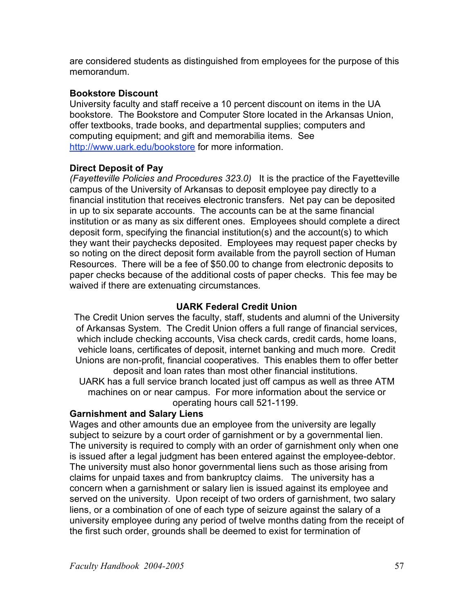are considered students as distinguished from employees for the purpose of this memorandum.

### **Bookstore Discount**

University faculty and staff receive a 10 percent discount on items in the UA bookstore. The Bookstore and Computer Store located in the Arkansas Union, offer textbooks, trade books, and departmental supplies; computers and computing equipment; and gift and memorabilia items. See http://www.uark.edu/bookstore for more information.

### **Direct Deposit of Pay**

*(Fayetteville Policies and Procedures 323.0)* It is the practice of the Fayetteville campus of the University of Arkansas to deposit employee pay directly to a financial institution that receives electronic transfers. Net pay can be deposited in up to six separate accounts. The accounts can be at the same financial institution or as many as six different ones. Employees should complete a direct deposit form, specifying the financial institution(s) and the account(s) to which they want their paychecks deposited. Employees may request paper checks by so noting on the direct deposit form available from the payroll section of Human Resources. There will be a fee of \$50.00 to change from electronic deposits to paper checks because of the additional costs of paper checks. This fee may be waived if there are extenuating circumstances.

### **UARK Federal Credit Union**

The Credit Union serves the faculty, staff, students and alumni of the University of Arkansas System. The Credit Union offers a full range of financial services, which include checking accounts, Visa check cards, credit cards, home loans, vehicle loans, certificates of deposit, internet banking and much more. Credit Unions are non-profit, financial cooperatives. This enables them to offer better deposit and loan rates than most other financial institutions.

UARK has a full service branch located just off campus as well as three ATM machines on or near campus. For more information about the service or operating hours call 521-1199.

#### **Garnishment and Salary Liens**

Wages and other amounts due an employee from the university are legally subject to seizure by a court order of garnishment or by a governmental lien. The university is required to comply with an order of garnishment only when one is issued after a legal judgment has been entered against the employee-debtor. The university must also honor governmental liens such as those arising from claims for unpaid taxes and from bankruptcy claims. The university has a concern when a garnishment or salary lien is issued against its employee and served on the university. Upon receipt of two orders of garnishment, two salary liens, or a combination of one of each type of seizure against the salary of a university employee during any period of twelve months dating from the receipt of the first such order, grounds shall be deemed to exist for termination of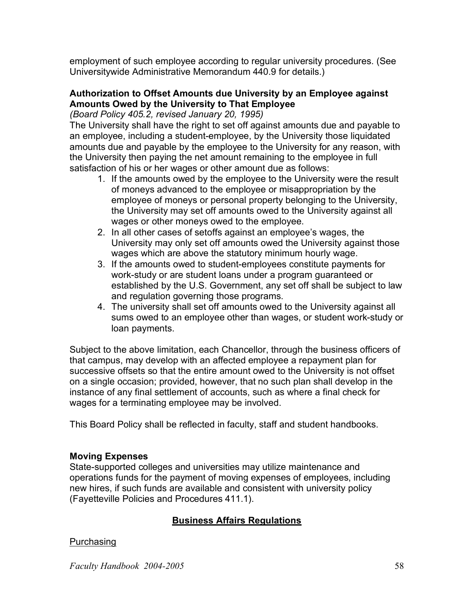employment of such employee according to regular university procedures. (See Universitywide Administrative Memorandum 440.9 for details.)

### **Authorization to Offset Amounts due University by an Employee against Amounts Owed by the University to That Employee**

*(Board Policy 405.2, revised January 20, 1995)*

The University shall have the right to set off against amounts due and payable to an employee, including a student-employee, by the University those liquidated amounts due and payable by the employee to the University for any reason, with the University then paying the net amount remaining to the employee in full satisfaction of his or her wages or other amount due as follows:

- 1. If the amounts owed by the employee to the University were the result of moneys advanced to the employee or misappropriation by the employee of moneys or personal property belonging to the University, the University may set off amounts owed to the University against all wages or other moneys owed to the employee.
- 2. In all other cases of setoffs against an employee's wages, the University may only set off amounts owed the University against those wages which are above the statutory minimum hourly wage.
- 3. If the amounts owed to student-employees constitute payments for work-study or are student loans under a program guaranteed or established by the U.S. Government, any set off shall be subject to law and regulation governing those programs.
- 4. The university shall set off amounts owed to the University against all sums owed to an employee other than wages, or student work-study or loan payments.

Subject to the above limitation, each Chancellor, through the business officers of that campus, may develop with an affected employee a repayment plan for successive offsets so that the entire amount owed to the University is not offset on a single occasion; provided, however, that no such plan shall develop in the instance of any final settlement of accounts, such as where a final check for wages for a terminating employee may be involved.

This Board Policy shall be reflected in faculty, staff and student handbooks.

#### **Moving Expenses**

State-supported colleges and universities may utilize maintenance and operations funds for the payment of moving expenses of employees, including new hires, if such funds are available and consistent with university policy (Fayetteville Policies and Procedures 411.1).

## **Business Affairs Regulations**

## Purchasing

*Faculty Handbook 2004-2005* 58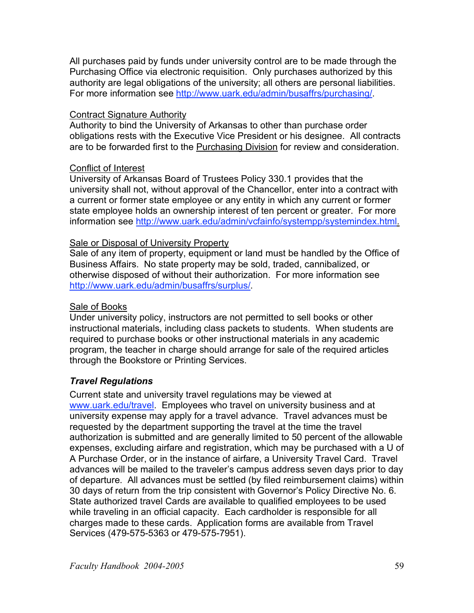All purchases paid by funds under university control are to be made through the Purchasing Office via electronic requisition. Only purchases authorized by this authority are legal obligations of the university; all others are personal liabilities. For more information see http://www.uark.edu/admin/busaffrs/purchasing/.

### Contract Signature Authority

Authority to bind the University of Arkansas to other than purchase order obligations rests with the Executive Vice President or his designee. All contracts are to be forwarded first to the Purchasing Division for review and consideration.

### Conflict of Interest

University of Arkansas Board of Trustees Policy 330.1 provides that the university shall not, without approval of the Chancellor, enter into a contract with a current or former state employee or any entity in which any current or former state employee holds an ownership interest of ten percent or greater. For more information see http://www.uark.edu/admin/vcfainfo/systempp/systemindex.html.

### Sale or Disposal of University Property

Sale of any item of property, equipment or land must be handled by the Office of Business Affairs. No state property may be sold, traded, cannibalized, or otherwise disposed of without their authorization. For more information see http://www.uark.edu/admin/busaffrs/surplus/.

### Sale of Books

Under university policy, instructors are not permitted to sell books or other instructional materials, including class packets to students. When students are required to purchase books or other instructional materials in any academic program, the teacher in charge should arrange for sale of the required articles through the Bookstore or Printing Services.

## *Travel Regulations*

Current state and university travel regulations may be viewed at www.uark.edu/travel. Employees who travel on university business and at university expense may apply for a travel advance. Travel advances must be requested by the department supporting the travel at the time the travel authorization is submitted and are generally limited to 50 percent of the allowable expenses, excluding airfare and registration, which may be purchased with a U of A Purchase Order, or in the instance of airfare, a University Travel Card. Travel advances will be mailed to the traveler's campus address seven days prior to day of departure. All advances must be settled (by filed reimbursement claims) within 30 days of return from the trip consistent with Governor's Policy Directive No. 6. State authorized travel Cards are available to qualified employees to be used while traveling in an official capacity. Each cardholder is responsible for all charges made to these cards. Application forms are available from Travel Services (479-575-5363 or 479-575-7951).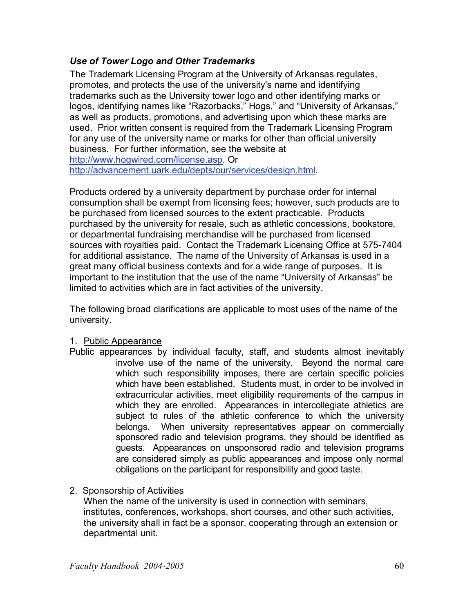## *Use of Tower Logo and Other Trademarks*

The Trademark Licensing Program at the University of Arkansas regulates, promotes, and protects the use of the university's name and identifying trademarks such as the University tower logo and other identifying marks or logos, identifying names like "Razorbacks," Hogs," and "University of Arkansas," as well as products, promotions, and advertising upon which these marks are used. Prior written consent is required from the Trademark Licensing Program for any use of the university name or marks for other than official university business. For further information, see the website at http://www.hogwired.com/license.asp. Or http://advancement.uark.edu/depts/our/services/design.html.

Products ordered by a university department by purchase order for internal consumption shall be exempt from licensing fees; however, such products are to be purchased from licensed sources to the extent practicable. Products purchased by the university for resale, such as athletic concessions, bookstore, or departmental fundraising merchandise will be purchased from licensed sources with royalties paid. Contact the Trademark Licensing Office at 575-7404 for additional assistance. The name of the University of Arkansas is used in a great many official business contexts and for a wide range of purposes. It is important to the institution that the use of the name "University of Arkansas" be limited to activities which are in fact activities of the university.

The following broad clarifications are applicable to most uses of the name of the university.

#### 1. Public Appearance

Public appearances by individual faculty, staff, and students almost inevitably involve use of the name of the university. Beyond the normal care which such responsibility imposes, there are certain specific policies which have been established. Students must, in order to be involved in extracurricular activities, meet eligibility requirements of the campus in which they are enrolled. Appearances in intercollegiate athletics are subject to rules of the athletic conference to which the university belongs. When university representatives appear on commercially sponsored radio and television programs, they should be identified as guests. Appearances on unsponsored radio and television programs are considered simply as public appearances and impose only normal obligations on the participant for responsibility and good taste.

2. Sponsorship of Activities

When the name of the university is used in connection with seminars, institutes, conferences, workshops, short courses, and other such activities, the university shall in fact be a sponsor, cooperating through an extension or departmental unit.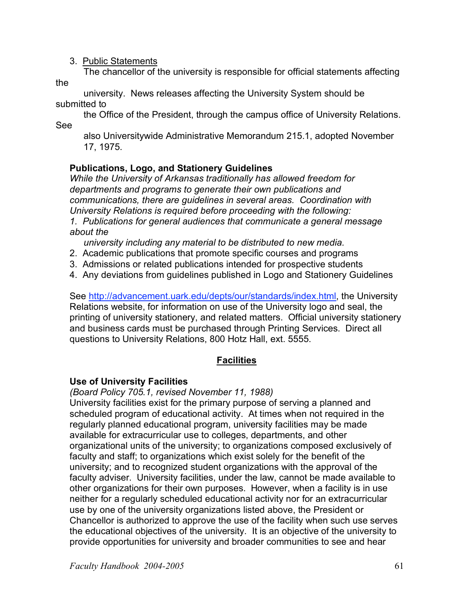#### 3. Public Statements

The chancellor of the university is responsible for official statements affecting

the

university. News releases affecting the University System should be submitted to

the Office of the President, through the campus office of University Relations. See

also Universitywide Administrative Memorandum 215.1, adopted November 17, 1975.

### **Publications, Logo, and Stationery Guidelines**

*While the University of Arkansas traditionally has allowed freedom for departments and programs to generate their own publications and communications, there are guidelines in several areas. Coordination with University Relations is required before proceeding with the following: 1. Publications for general audiences that communicate a general message about the*

*university including any material to be distributed to new media.*

- 2. Academic publications that promote specific courses and programs
- 3. Admissions or related publications intended for prospective students
- 4. Any deviations from guidelines published in Logo and Stationery Guidelines

See http://advancement.uark.edu/depts/our/standards/index.html, the University Relations website, for information on use of the University logo and seal, the printing of university stationery, and related matters. Official university stationery and business cards must be purchased through Printing Services. Direct all questions to University Relations, 800 Hotz Hall, ext. 5555.

#### **Facilities**

#### **Use of University Facilities**

*(Board Policy 705.1, revised November 11, 1988)*

University facilities exist for the primary purpose of serving a planned and scheduled program of educational activity. At times when not required in the regularly planned educational program, university facilities may be made available for extracurricular use to colleges, departments, and other organizational units of the university; to organizations composed exclusively of faculty and staff; to organizations which exist solely for the benefit of the university; and to recognized student organizations with the approval of the faculty adviser. University facilities, under the law, cannot be made available to other organizations for their own purposes. However, when a facility is in use neither for a regularly scheduled educational activity nor for an extracurricular use by one of the university organizations listed above, the President or Chancellor is authorized to approve the use of the facility when such use serves the educational objectives of the university. It is an objective of the university to provide opportunities for university and broader communities to see and hear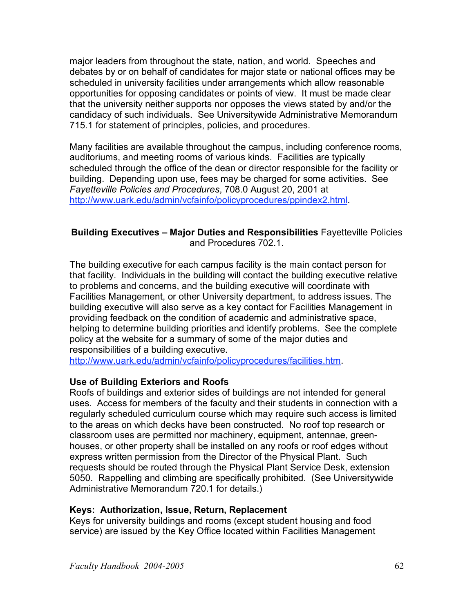major leaders from throughout the state, nation, and world. Speeches and debates by or on behalf of candidates for major state or national offices may be scheduled in university facilities under arrangements which allow reasonable opportunities for opposing candidates or points of view. It must be made clear that the university neither supports nor opposes the views stated by and/or the candidacy of such individuals. See Universitywide Administrative Memorandum 715.1 for statement of principles, policies, and procedures.

Many facilities are available throughout the campus, including conference rooms, auditoriums, and meeting rooms of various kinds. Facilities are typically scheduled through the office of the dean or director responsible for the facility or building. Depending upon use, fees may be charged for some activities. See *Fayetteville Policies and Procedures*, 708.0 August 20, 2001 at http://www.uark.edu/admin/vcfainfo/policyprocedures/ppindex2.html.

#### **Building Executives – Major Duties and Responsibilities** Fayetteville Policies and Procedures 702.1.

The building executive for each campus facility is the main contact person for that facility. Individuals in the building will contact the building executive relative to problems and concerns, and the building executive will coordinate with Facilities Management, or other University department, to address issues. The building executive will also serve as a key contact for Facilities Management in providing feedback on the condition of academic and administrative space, helping to determine building priorities and identify problems. See the complete policy at the website for a summary of some of the major duties and responsibilities of a building executive.

http://www.uark.edu/admin/vcfainfo/policyprocedures/facilities.htm.

#### **Use of Building Exteriors and Roofs**

Roofs of buildings and exterior sides of buildings are not intended for general uses. Access for members of the faculty and their students in connection with a regularly scheduled curriculum course which may require such access is limited to the areas on which decks have been constructed. No roof top research or classroom uses are permitted nor machinery, equipment, antennae, greenhouses, or other property shall be installed on any roofs or roof edges without express written permission from the Director of the Physical Plant. Such requests should be routed through the Physical Plant Service Desk, extension 5050. Rappelling and climbing are specifically prohibited. (See Universitywide Administrative Memorandum 720.1 for details.)

## **Keys: Authorization, Issue, Return, Replacement**

Keys for university buildings and rooms (except student housing and food service) are issued by the Key Office located within Facilities Management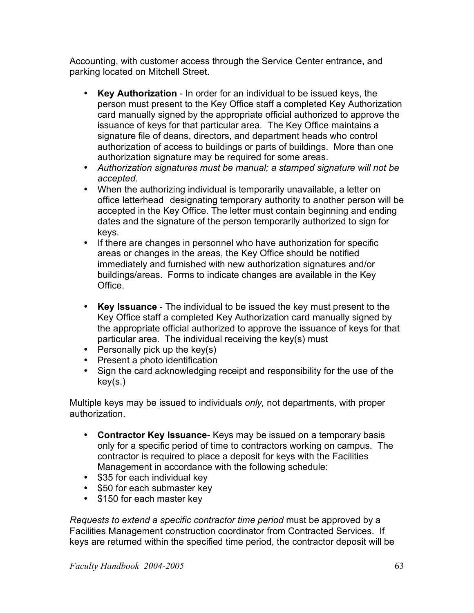Accounting, with customer access through the Service Center entrance, and parking located on Mitchell Street.

- **Key Authorization** In order for an individual to be issued keys, the person must present to the Key Office staff a completed Key Authorization card manually signed by the appropriate official authorized to approve the issuance of keys for that particular area. The Key Office maintains a signature file of deans, directors, and department heads who control authorization of access to buildings or parts of buildings. More than one authorization signature may be required for some areas.
- *Authorization signatures must be manual; a stamped signature will not be accepted.*
- When the authorizing individual is temporarily unavailable, a letter on office letterhead designating temporary authority to another person will be accepted in the Key Office. The letter must contain beginning and ending dates and the signature of the person temporarily authorized to sign for keys.
- If there are changes in personnel who have authorization for specific areas or changes in the areas, the Key Office should be notified immediately and furnished with new authorization signatures and/or buildings/areas. Forms to indicate changes are available in the Key Office.
- **Key Issuance** The individual to be issued the key must present to the Key Office staff a completed Key Authorization card manually signed by the appropriate official authorized to approve the issuance of keys for that particular area. The individual receiving the key(s) must
- Personally pick up the key(s)
- Present a photo identification
- Sign the card acknowledging receipt and responsibility for the use of the key(s.)

Multiple keys may be issued to individuals *only,* not departments, with proper authorization.

- **Contractor Key Issuance** Keys may be issued on a temporary basis only for a specific period of time to contractors working on campus. The contractor is required to place a deposit for keys with the Facilities Management in accordance with the following schedule:
- \$35 for each individual key
- \$50 for each submaster key
- \$150 for each master key

*Requests to extend a specific contractor time period* must be approved by a Facilities Management construction coordinator from Contracted Services. If keys are returned within the specified time period, the contractor deposit will be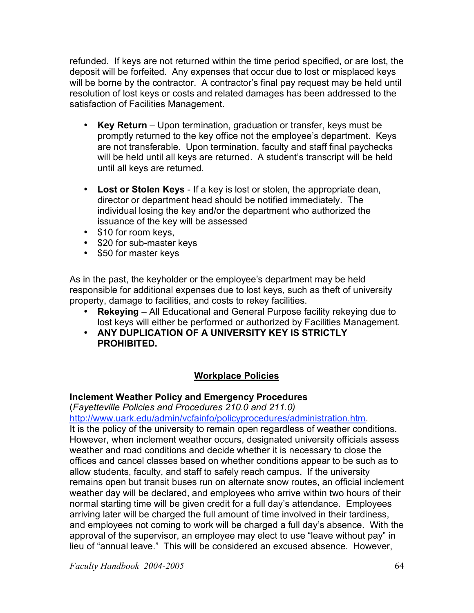refunded. If keys are not returned within the time period specified, or are lost, the deposit will be forfeited. Any expenses that occur due to lost or misplaced keys will be borne by the contractor. A contractor's final pay request may be held until resolution of lost keys or costs and related damages has been addressed to the satisfaction of Facilities Management.

- **Key Return** Upon termination, graduation or transfer, keys must be promptly returned to the key office not the employee's department. Keys are not transferable. Upon termination, faculty and staff final paychecks will be held until all keys are returned. A student's transcript will be held until all keys are returned.
- **Lost or Stolen Keys** If a key is lost or stolen, the appropriate dean, director or department head should be notified immediately. The individual losing the key and/or the department who authorized the issuance of the key will be assessed
- \$10 for room keys,
- \$20 for sub-master keys
- \$50 for master keys

As in the past, the keyholder or the employee's department may be held responsible for additional expenses due to lost keys, such as theft of university property, damage to facilities, and costs to rekey facilities.

- **Rekeying** All Educational and General Purpose facility rekeying due to lost keys will either be performed or authorized by Facilities Management.
- **ANY DUPLICATION OF A UNIVERSITY KEY IS STRICTLY PROHIBITED.**

## **Workplace Policies**

## **Inclement Weather Policy and Emergency Procedures**

(*Fayetteville Policies and Procedures 210.0 and 211.0)*

http://www.uark.edu/admin/vcfainfo/policyprocedures/administration.htm.

It is the policy of the university to remain open regardless of weather conditions. However, when inclement weather occurs, designated university officials assess weather and road conditions and decide whether it is necessary to close the offices and cancel classes based on whether conditions appear to be such as to allow students, faculty, and staff to safely reach campus. If the university remains open but transit buses run on alternate snow routes, an official inclement weather day will be declared, and employees who arrive within two hours of their normal starting time will be given credit for a full day's attendance. Employees arriving later will be charged the full amount of time involved in their tardiness, and employees not coming to work will be charged a full day's absence. With the approval of the supervisor, an employee may elect to use "leave without pay" in lieu of "annual leave." This will be considered an excused absence. However,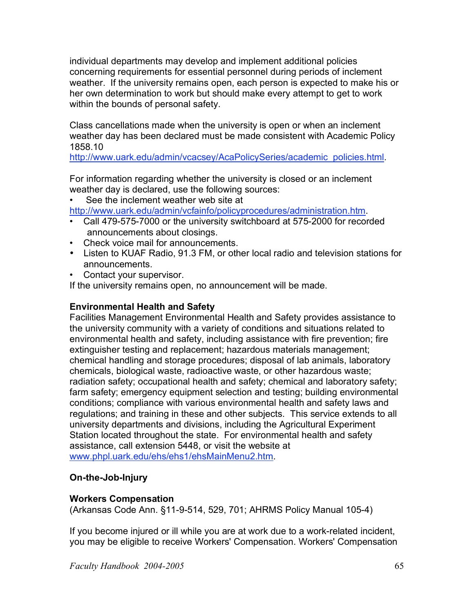individual departments may develop and implement additional policies concerning requirements for essential personnel during periods of inclement weather. If the university remains open, each person is expected to make his or her own determination to work but should make every attempt to get to work within the bounds of personal safety.

Class cancellations made when the university is open or when an inclement weather day has been declared must be made consistent with Academic Policy 1858.10

http://www.uark.edu/admin/vcacsey/AcaPolicySeries/academic\_policies.html.

For information regarding whether the university is closed or an inclement weather day is declared, use the following sources:

See the inclement weather web site at

http://www.uark.edu/admin/vcfainfo/policyprocedures/administration.htm.

- Call 479-575-7000 or the university switchboard at 575-2000 for recorded announcements about closings.
- Check voice mail for announcements.
- Listen to KUAF Radio, 91.3 FM, or other local radio and television stations for announcements.
- Contact your supervisor.

If the university remains open, no announcement will be made.

## **Environmental Health and Safety**

Facilities Management Environmental Health and Safety provides assistance to the university community with a variety of conditions and situations related to environmental health and safety, including assistance with fire prevention; fire extinguisher testing and replacement; hazardous materials management; chemical handling and storage procedures; disposal of lab animals, laboratory chemicals, biological waste, radioactive waste, or other hazardous waste; radiation safety; occupational health and safety; chemical and laboratory safety; farm safety; emergency equipment selection and testing; building environmental conditions; compliance with various environmental health and safety laws and regulations; and training in these and other subjects. This service extends to all university departments and divisions, including the Agricultural Experiment Station located throughout the state. For environmental health and safety assistance, call extension 5448, or visit the website at www.phpl.uark.edu/ehs/ehs1/ehsMainMenu2.htm.

## **On-the-Job-Injury**

## **Workers Compensation**

(Arkansas Code Ann. §11-9-514, 529, 701; AHRMS Policy Manual 105-4)

If you become injured or ill while you are at work due to a work-related incident, you may be eligible to receive Workers' Compensation. Workers' Compensation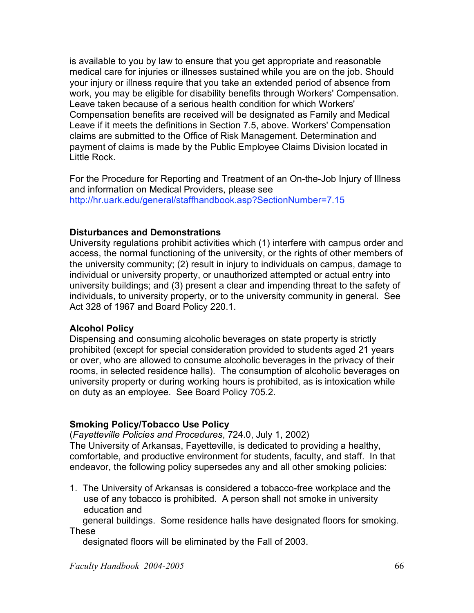is available to you by law to ensure that you get appropriate and reasonable medical care for injuries or illnesses sustained while you are on the job. Should your injury or illness require that you take an extended period of absence from work, you may be eligible for disability benefits through Workers' Compensation. Leave taken because of a serious health condition for which Workers' Compensation benefits are received will be designated as Family and Medical Leave if it meets the definitions in Section 7.5, above. Workers' Compensation claims are submitted to the Office of Risk Management. Determination and payment of claims is made by the Public Employee Claims Division located in Little Rock.

For the Procedure for Reporting and Treatment of an On-the-Job Injury of Illness and information on Medical Providers, please see http://hr.uark.edu/general/staffhandbook.asp?SectionNumber=7.15

#### **Disturbances and Demonstrations**

University regulations prohibit activities which (1) interfere with campus order and access, the normal functioning of the university, or the rights of other members of the university community; (2) result in injury to individuals on campus, damage to individual or university property, or unauthorized attempted or actual entry into university buildings; and (3) present a clear and impending threat to the safety of individuals, to university property, or to the university community in general. See Act 328 of 1967 and Board Policy 220.1.

#### **Alcohol Policy**

Dispensing and consuming alcoholic beverages on state property is strictly prohibited (except for special consideration provided to students aged 21 years or over, who are allowed to consume alcoholic beverages in the privacy of their rooms, in selected residence halls). The consumption of alcoholic beverages on university property or during working hours is prohibited, as is intoxication while on duty as an employee. See Board Policy 705.2.

#### **Smoking Policy/Tobacco Use Policy**

(*Fayetteville Policies and Procedures*, 724.0, July 1, 2002)

The University of Arkansas, Fayetteville, is dedicated to providing a healthy, comfortable, and productive environment for students, faculty, and staff. In that endeavor, the following policy supersedes any and all other smoking policies:

1. The University of Arkansas is considered a tobacco-free workplace and the use of any tobacco is prohibited. A person shall not smoke in university education and

general buildings. Some residence halls have designated floors for smoking. These

designated floors will be eliminated by the Fall of 2003.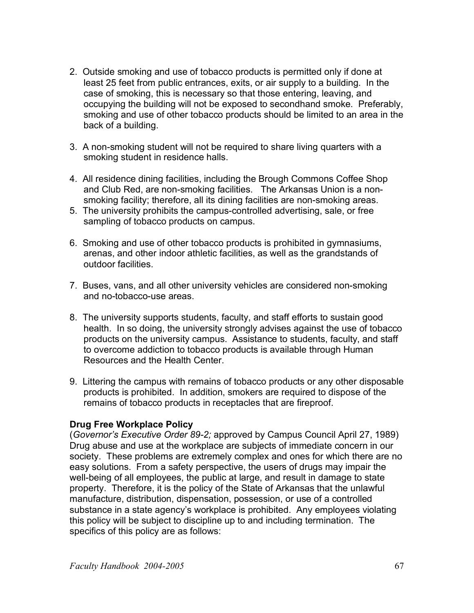- 2. Outside smoking and use of tobacco products is permitted only if done at least 25 feet from public entrances, exits, or air supply to a building. In the case of smoking, this is necessary so that those entering, leaving, and occupying the building will not be exposed to secondhand smoke. Preferably, smoking and use of other tobacco products should be limited to an area in the back of a building.
- 3. A non-smoking student will not be required to share living quarters with a smoking student in residence halls.
- 4. All residence dining facilities, including the Brough Commons Coffee Shop and Club Red, are non-smoking facilities. The Arkansas Union is a nonsmoking facility; therefore, all its dining facilities are non-smoking areas.
- 5. The university prohibits the campus-controlled advertising, sale, or free sampling of tobacco products on campus.
- 6. Smoking and use of other tobacco products is prohibited in gymnasiums, arenas, and other indoor athletic facilities, as well as the grandstands of outdoor facilities.
- 7. Buses, vans, and all other university vehicles are considered non-smoking and no-tobacco-use areas.
- 8. The university supports students, faculty, and staff efforts to sustain good health. In so doing, the university strongly advises against the use of tobacco products on the university campus. Assistance to students, faculty, and staff to overcome addiction to tobacco products is available through Human Resources and the Health Center.
- 9. Littering the campus with remains of tobacco products or any other disposable products is prohibited. In addition, smokers are required to dispose of the remains of tobacco products in receptacles that are fireproof.

#### **Drug Free Workplace Policy**

(*Governor's Executive Order 89-2;* approved by Campus Council April 27, 1989) Drug abuse and use at the workplace are subjects of immediate concern in our society. These problems are extremely complex and ones for which there are no easy solutions. From a safety perspective, the users of drugs may impair the well-being of all employees, the public at large, and result in damage to state property. Therefore, it is the policy of the State of Arkansas that the unlawful manufacture, distribution, dispensation, possession, or use of a controlled substance in a state agency's workplace is prohibited. Any employees violating this policy will be subject to discipline up to and including termination. The specifics of this policy are as follows: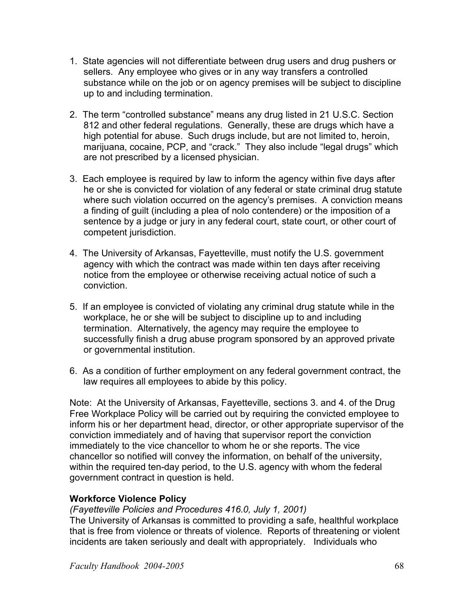- 1. State agencies will not differentiate between drug users and drug pushers or sellers. Any employee who gives or in any way transfers a controlled substance while on the job or on agency premises will be subject to discipline up to and including termination.
- 2. The term "controlled substance" means any drug listed in 21 U.S.C. Section 812 and other federal regulations. Generally, these are drugs which have a high potential for abuse. Such drugs include, but are not limited to, heroin, marijuana, cocaine, PCP, and "crack." They also include "legal drugs" which are not prescribed by a licensed physician.
- 3. Each employee is required by law to inform the agency within five days after he or she is convicted for violation of any federal or state criminal drug statute where such violation occurred on the agency's premises. A conviction means a finding of guilt (including a plea of nolo contendere) or the imposition of a sentence by a judge or jury in any federal court, state court, or other court of competent jurisdiction.
- 4. The University of Arkansas, Fayetteville, must notify the U.S. government agency with which the contract was made within ten days after receiving notice from the employee or otherwise receiving actual notice of such a conviction.
- 5. If an employee is convicted of violating any criminal drug statute while in the workplace, he or she will be subject to discipline up to and including termination. Alternatively, the agency may require the employee to successfully finish a drug abuse program sponsored by an approved private or governmental institution.
- 6. As a condition of further employment on any federal government contract, the law requires all employees to abide by this policy.

Note: At the University of Arkansas, Fayetteville, sections 3. and 4. of the Drug Free Workplace Policy will be carried out by requiring the convicted employee to inform his or her department head, director, or other appropriate supervisor of the conviction immediately and of having that supervisor report the conviction immediately to the vice chancellor to whom he or she reports. The vice chancellor so notified will convey the information, on behalf of the university, within the required ten-day period, to the U.S. agency with whom the federal government contract in question is held.

## **Workforce Violence Policy**

*(Fayetteville Policies and Procedures 416.0, July 1, 2001)*

The University of Arkansas is committed to providing a safe, healthful workplace that is free from violence or threats of violence. Reports of threatening or violent incidents are taken seriously and dealt with appropriately. Individuals who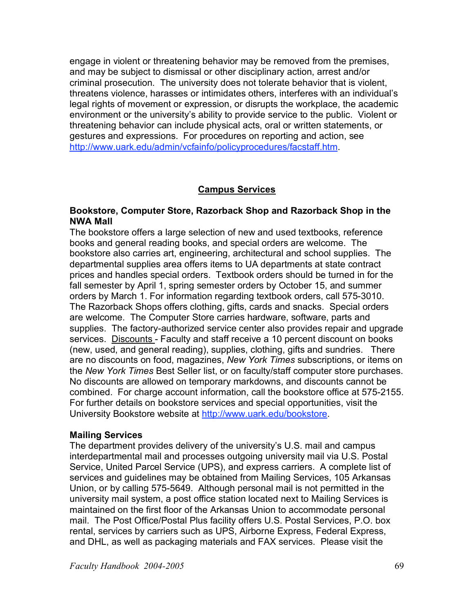engage in violent or threatening behavior may be removed from the premises, and may be subject to dismissal or other disciplinary action, arrest and/or criminal prosecution. The university does not tolerate behavior that is violent, threatens violence, harasses or intimidates others, interferes with an individual's legal rights of movement or expression, or disrupts the workplace, the academic environment or the university's ability to provide service to the public. Violent or threatening behavior can include physical acts, oral or written statements, or gestures and expressions. For procedures on reporting and action, see http://www.uark.edu/admin/vcfainfo/policyprocedures/facstaff.htm.

### **Campus Services**

#### **Bookstore, Computer Store, Razorback Shop and Razorback Shop in the NWA Mall**

The bookstore offers a large selection of new and used textbooks, reference books and general reading books, and special orders are welcome. The bookstore also carries art, engineering, architectural and school supplies. The departmental supplies area offers items to UA departments at state contract prices and handles special orders. Textbook orders should be turned in for the fall semester by April 1, spring semester orders by October 15, and summer orders by March 1. For information regarding textbook orders, call 575-3010. The Razorback Shops offers clothing, gifts, cards and snacks. Special orders are welcome. The Computer Store carries hardware, software, parts and supplies. The factory-authorized service center also provides repair and upgrade services. Discounts - Faculty and staff receive a 10 percent discount on books (new, used, and general reading), supplies, clothing, gifts and sundries. There are no discounts on food, magazines, *New York Times* subscriptions, or items on the *New York Times* Best Seller list, or on faculty/staff computer store purchases. No discounts are allowed on temporary markdowns, and discounts cannot be combined. For charge account information, call the bookstore office at 575-2155. For further details on bookstore services and special opportunities, visit the University Bookstore website at http://www.uark.edu/bookstore.

#### **Mailing Services**

The department provides delivery of the university's U.S. mail and campus interdepartmental mail and processes outgoing university mail via U.S. Postal Service, United Parcel Service (UPS), and express carriers. A complete list of services and guidelines may be obtained from Mailing Services, 105 Arkansas Union, or by calling 575-5649. Although personal mail is not permitted in the university mail system, a post office station located next to Mailing Services is maintained on the first floor of the Arkansas Union to accommodate personal mail. The Post Office/Postal Plus facility offers U.S. Postal Services, P.O. box rental, services by carriers such as UPS, Airborne Express, Federal Express, and DHL, as well as packaging materials and FAX services. Please visit the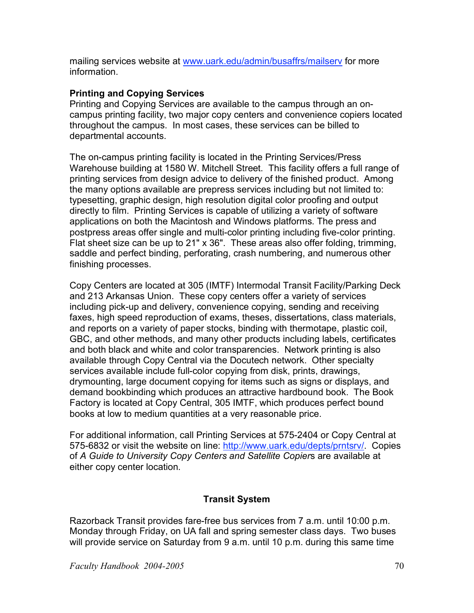mailing services website at www.uark.edu/admin/busaffrs/mailserv for more information.

### **Printing and Copying Services**

Printing and Copying Services are available to the campus through an oncampus printing facility, two major copy centers and convenience copiers located throughout the campus. In most cases, these services can be billed to departmental accounts.

The on-campus printing facility is located in the Printing Services/Press Warehouse building at 1580 W. Mitchell Street. This facility offers a full range of printing services from design advice to delivery of the finished product. Among the many options available are prepress services including but not limited to: typesetting, graphic design, high resolution digital color proofing and output directly to film. Printing Services is capable of utilizing a variety of software applications on both the Macintosh and Windows platforms. The press and postpress areas offer single and multi-color printing including five-color printing. Flat sheet size can be up to 21" x 36". These areas also offer folding, trimming, saddle and perfect binding, perforating, crash numbering, and numerous other finishing processes.

Copy Centers are located at 305 (IMTF) Intermodal Transit Facility/Parking Deck and 213 Arkansas Union. These copy centers offer a variety of services including pick-up and delivery, convenience copying, sending and receiving faxes, high speed reproduction of exams, theses, dissertations, class materials, and reports on a variety of paper stocks, binding with thermotape, plastic coil, GBC, and other methods, and many other products including labels, certificates and both black and white and color transparencies. Network printing is also available through Copy Central via the Docutech network. Other specialty services available include full-color copying from disk, prints, drawings, drymounting, large document copying for items such as signs or displays, and demand bookbinding which produces an attractive hardbound book. The Book Factory is located at Copy Central, 305 IMTF, which produces perfect bound books at low to medium quantities at a very reasonable price.

For additional information, call Printing Services at 575-2404 or Copy Central at 575-6832 or visit the website on line: http://www.uark.edu/depts/prntsrv/. Copies of *A Guide to University Copy Centers and Satellite Copier*s are available at either copy center location.

## **Transit System**

Razorback Transit provides fare-free bus services from 7 a.m. until 10:00 p.m. Monday through Friday, on UA fall and spring semester class days. Two buses will provide service on Saturday from 9 a.m. until 10 p.m. during this same time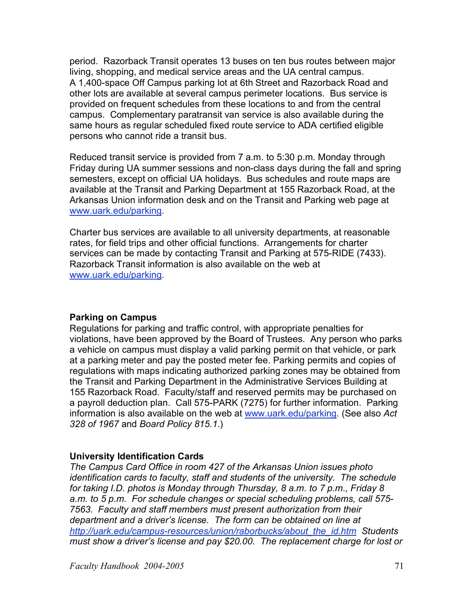period. Razorback Transit operates 13 buses on ten bus routes between major living, shopping, and medical service areas and the UA central campus. A 1,400-space Off Campus parking lot at 6th Street and Razorback Road and other lots are available at several campus perimeter locations. Bus service is provided on frequent schedules from these locations to and from the central campus. Complementary paratransit van service is also available during the same hours as regular scheduled fixed route service to ADA certified eligible persons who cannot ride a transit bus.

Reduced transit service is provided from 7 a.m. to 5:30 p.m. Monday through Friday during UA summer sessions and non-class days during the fall and spring semesters, except on official UA holidays. Bus schedules and route maps are available at the Transit and Parking Department at 155 Razorback Road, at the Arkansas Union information desk and on the Transit and Parking web page at www.uark.edu/parking.

Charter bus services are available to all university departments, at reasonable rates, for field trips and other official functions. Arrangements for charter services can be made by contacting Transit and Parking at 575-RIDE (7433). Razorback Transit information is also available on the web at www.uark.edu/parking.

#### **Parking on Campus**

Regulations for parking and traffic control, with appropriate penalties for violations, have been approved by the Board of Trustees. Any person who parks a vehicle on campus must display a valid parking permit on that vehicle, or park at a parking meter and pay the posted meter fee. Parking permits and copies of regulations with maps indicating authorized parking zones may be obtained from the Transit and Parking Department in the Administrative Services Building at 155 Razorback Road. Faculty/staff and reserved permits may be purchased on a payroll deduction plan. Call 575-PARK (7275) for further information. Parking information is also available on the web at www.uark.edu/parking. (See also *Act 328 of 1967* and *Board Policy 815.1*.)

#### **University Identification Cards**

*The Campus Card Office in room 427 of the Arkansas Union issues photo identification cards to faculty, staff and students of the university. The schedule for taking I.D. photos is Monday through Thursday, 8 a.m. to 7 p.m., Friday 8 a.m. to 5 p.m. For schedule changes or special scheduling problems, call 575- 7563. Faculty and staff members must present authorization from their department and a driver's license. The form can be obtained on line at http://uark.edu/campus-resources/union/raborbucks/about\_the\_id.htm Students must show a driver's license and pay \$20.00. The replacement charge for lost or*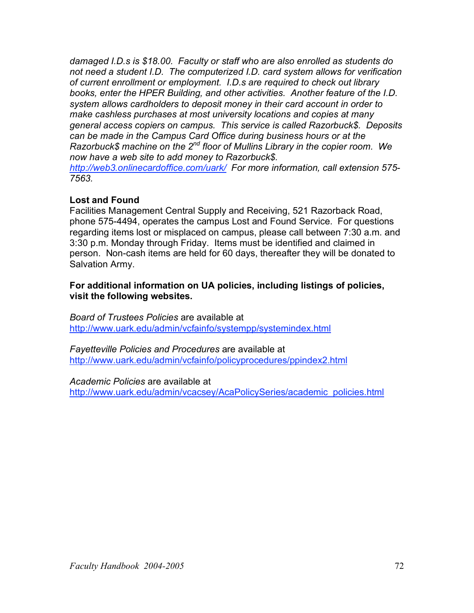*damaged I.D.s is \$18.00. Faculty or staff who are also enrolled as students do not need a student I.D. The computerized I.D. card system allows for verification of current enrollment or employment. I.D.s are required to check out library books, enter the HPER Building, and other activities. Another feature of the I.D. system allows cardholders to deposit money in their card account in order to make cashless purchases at most university locations and copies at many general access copiers on campus. This service is called Razorbuck\$. Deposits can be made in the Campus Card Office during business hours or at the Razorbuck\$ machine on the 2nd floor of Mullins Library in the copier room. We now have a web site to add money to Razorbuck\$. http://web3.onlinecardoffice.com/uark/ For more information, call extension 575- 7563.*

## **Lost and Found**

Facilities Management Central Supply and Receiving, 521 Razorback Road, phone 575-4494, operates the campus Lost and Found Service. For questions regarding items lost or misplaced on campus, please call between 7:30 a.m. and 3:30 p.m. Monday through Friday. Items must be identified and claimed in person. Non-cash items are held for 60 days, thereafter they will be donated to Salvation Army.

### **For additional information on UA policies, including listings of policies, visit the following websites.**

*Board of Trustees Policies* are available at http://www.uark.edu/admin/vcfainfo/systempp/systemindex.html

*Fayetteville Policies and Procedures* are available at http://www.uark.edu/admin/vcfainfo/policyprocedures/ppindex2.html

*Academic Policies* are available at http://www.uark.edu/admin/vcacsey/AcaPolicySeries/academic\_policies.html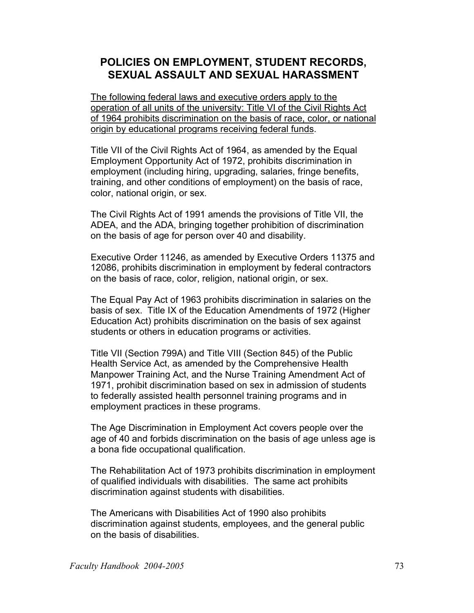# **POLICIES ON EMPLOYMENT, STUDENT RECORDS, SEXUAL ASSAULT AND SEXUAL HARASSMENT**

The following federal laws and executive orders apply to the operation of all units of the university: Title VI of the Civil Rights Act of 1964 prohibits discrimination on the basis of race, color, or national origin by educational programs receiving federal funds.

Title VII of the Civil Rights Act of 1964, as amended by the Equal Employment Opportunity Act of 1972, prohibits discrimination in employment (including hiring, upgrading, salaries, fringe benefits, training, and other conditions of employment) on the basis of race, color, national origin, or sex.

The Civil Rights Act of 1991 amends the provisions of Title VII, the ADEA, and the ADA, bringing together prohibition of discrimination on the basis of age for person over 40 and disability.

Executive Order 11246, as amended by Executive Orders 11375 and 12086, prohibits discrimination in employment by federal contractors on the basis of race, color, religion, national origin, or sex.

The Equal Pay Act of 1963 prohibits discrimination in salaries on the basis of sex. Title IX of the Education Amendments of 1972 (Higher Education Act) prohibits discrimination on the basis of sex against students or others in education programs or activities.

Title VII (Section 799A) and Title VIII (Section 845) of the Public Health Service Act, as amended by the Comprehensive Health Manpower Training Act, and the Nurse Training Amendment Act of 1971, prohibit discrimination based on sex in admission of students to federally assisted health personnel training programs and in employment practices in these programs.

The Age Discrimination in Employment Act covers people over the age of 40 and forbids discrimination on the basis of age unless age is a bona fide occupational qualification.

The Rehabilitation Act of 1973 prohibits discrimination in employment of qualified individuals with disabilities. The same act prohibits discrimination against students with disabilities.

The Americans with Disabilities Act of 1990 also prohibits discrimination against students, employees, and the general public on the basis of disabilities.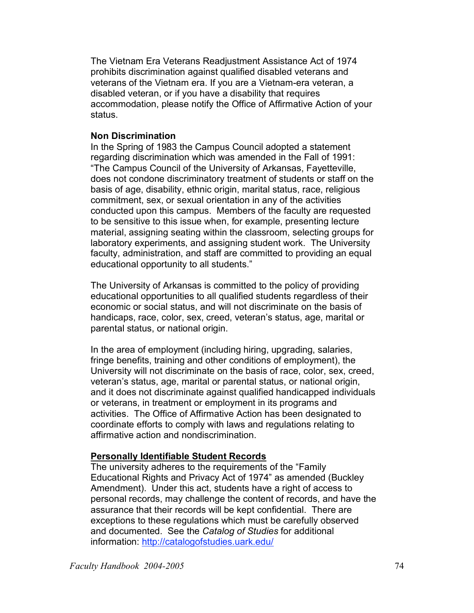The Vietnam Era Veterans Readjustment Assistance Act of 1974 prohibits discrimination against qualified disabled veterans and veterans of the Vietnam era. If you are a Vietnam-era veteran, a disabled veteran, or if you have a disability that requires accommodation, please notify the Office of Affirmative Action of your status.

### **Non Discrimination**

In the Spring of 1983 the Campus Council adopted a statement regarding discrimination which was amended in the Fall of 1991: "The Campus Council of the University of Arkansas, Fayetteville, does not condone discriminatory treatment of students or staff on the basis of age, disability, ethnic origin, marital status, race, religious commitment, sex, or sexual orientation in any of the activities conducted upon this campus. Members of the faculty are requested to be sensitive to this issue when, for example, presenting lecture material, assigning seating within the classroom, selecting groups for laboratory experiments, and assigning student work. The University faculty, administration, and staff are committed to providing an equal educational opportunity to all students."

The University of Arkansas is committed to the policy of providing educational opportunities to all qualified students regardless of their economic or social status, and will not discriminate on the basis of handicaps, race, color, sex, creed, veteran's status, age, marital or parental status, or national origin.

In the area of employment (including hiring, upgrading, salaries, fringe benefits, training and other conditions of employment), the University will not discriminate on the basis of race, color, sex, creed, veteran's status, age, marital or parental status, or national origin, and it does not discriminate against qualified handicapped individuals or veterans, in treatment or employment in its programs and activities. The Office of Affirmative Action has been designated to coordinate efforts to comply with laws and regulations relating to affirmative action and nondiscrimination.

#### **Personally Identifiable Student Records**

The university adheres to the requirements of the "Family Educational Rights and Privacy Act of 1974" as amended (Buckley Amendment). Under this act, students have a right of access to personal records, may challenge the content of records, and have the assurance that their records will be kept confidential. There are exceptions to these regulations which must be carefully observed and documented. See the *Catalog of Studies* for additional information: http://catalogofstudies.uark.edu/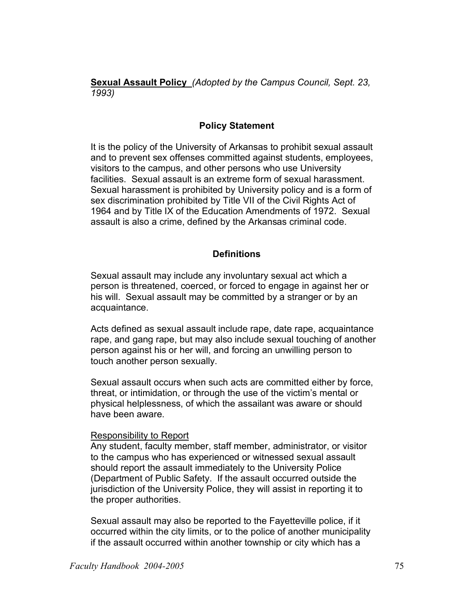**Sexual Assault Policy** *(Adopted by the Campus Council, Sept. 23, 1993)*

### **Policy Statement**

It is the policy of the University of Arkansas to prohibit sexual assault and to prevent sex offenses committed against students, employees, visitors to the campus, and other persons who use University facilities. Sexual assault is an extreme form of sexual harassment. Sexual harassment is prohibited by University policy and is a form of sex discrimination prohibited by Title VII of the Civil Rights Act of 1964 and by Title IX of the Education Amendments of 1972. Sexual assault is also a crime, defined by the Arkansas criminal code.

#### **Definitions**

Sexual assault may include any involuntary sexual act which a person is threatened, coerced, or forced to engage in against her or his will. Sexual assault may be committed by a stranger or by an acquaintance.

Acts defined as sexual assault include rape, date rape, acquaintance rape, and gang rape, but may also include sexual touching of another person against his or her will, and forcing an unwilling person to touch another person sexually.

Sexual assault occurs when such acts are committed either by force, threat, or intimidation, or through the use of the victim's mental or physical helplessness, of which the assailant was aware or should have been aware.

#### Responsibility to Report

Any student, faculty member, staff member, administrator, or visitor to the campus who has experienced or witnessed sexual assault should report the assault immediately to the University Police (Department of Public Safety. If the assault occurred outside the jurisdiction of the University Police, they will assist in reporting it to the proper authorities.

Sexual assault may also be reported to the Fayetteville police, if it occurred within the city limits, or to the police of another municipality if the assault occurred within another township or city which has a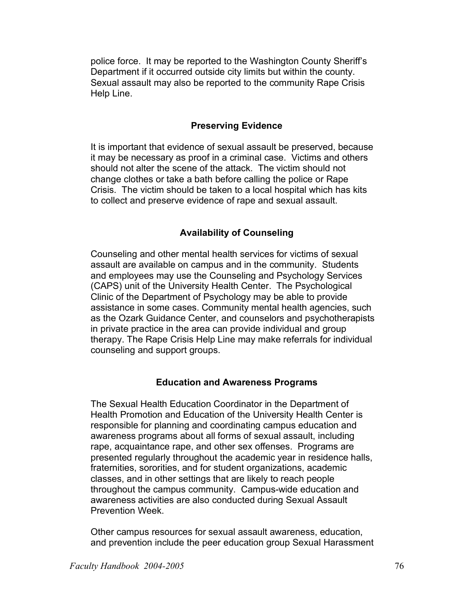police force. It may be reported to the Washington County Sheriff's Department if it occurred outside city limits but within the county. Sexual assault may also be reported to the community Rape Crisis Help Line.

# **Preserving Evidence**

It is important that evidence of sexual assault be preserved, because it may be necessary as proof in a criminal case. Victims and others should not alter the scene of the attack. The victim should not change clothes or take a bath before calling the police or Rape Crisis. The victim should be taken to a local hospital which has kits to collect and preserve evidence of rape and sexual assault.

# **Availability of Counseling**

Counseling and other mental health services for victims of sexual assault are available on campus and in the community. Students and employees may use the Counseling and Psychology Services (CAPS) unit of the University Health Center. The Psychological Clinic of the Department of Psychology may be able to provide assistance in some cases. Community mental health agencies, such as the Ozark Guidance Center, and counselors and psychotherapists in private practice in the area can provide individual and group therapy. The Rape Crisis Help Line may make referrals for individual counseling and support groups.

# **Education and Awareness Programs**

The Sexual Health Education Coordinator in the Department of Health Promotion and Education of the University Health Center is responsible for planning and coordinating campus education and awareness programs about all forms of sexual assault, including rape, acquaintance rape, and other sex offenses. Programs are presented regularly throughout the academic year in residence halls, fraternities, sororities, and for student organizations, academic classes, and in other settings that are likely to reach people throughout the campus community. Campus-wide education and awareness activities are also conducted during Sexual Assault Prevention Week.

Other campus resources for sexual assault awareness, education, and prevention include the peer education group Sexual Harassment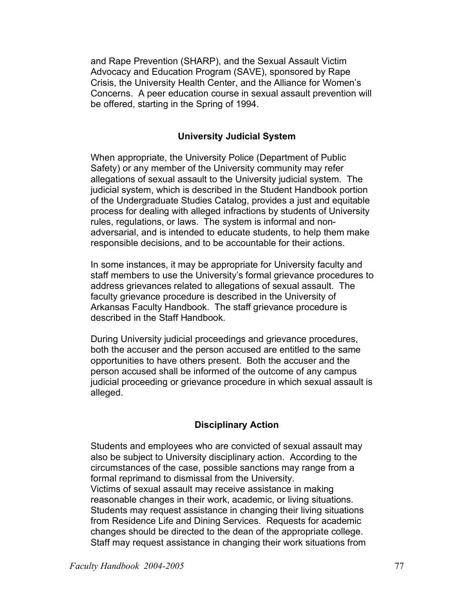and Rape Prevention (SHARP), and the Sexual Assault Victim Advocacy and Education Program (SAVE), sponsored by Rape Crisis, the University Health Center, and the Alliance for Women's Concerns. A peer education course in sexual assault prevention will be offered, starting in the Spring of 1994.

### **University Judicial System**

When appropriate, the University Police (Department of Public Safety) or any member of the University community may refer allegations of sexual assault to the University judicial system. The judicial system, which is described in the Student Handbook portion of the Undergraduate Studies Catalog, provides a just and equitable process for dealing with alleged infractions by students of University rules, regulations, or laws. The system is informal and nonadversarial, and is intended to educate students, to help them make responsible decisions, and to be accountable for their actions.

In some instances, it may be appropriate for University faculty and staff members to use the University's formal grievance procedures to address grievances related to allegations of sexual assault. The faculty grievance procedure is described in the University of Arkansas Faculty Handbook. The staff grievance procedure is described in the Staff Handbook.

During University judicial proceedings and grievance procedures, both the accuser and the person accused are entitled to the same opportunities to have others present. Both the accuser and the person accused shall be informed of the outcome of any campus judicial proceeding or grievance procedure in which sexual assault is alleged.

#### **Disciplinary Action**

Students and employees who are convicted of sexual assault may also be subject to University disciplinary action. According to the circumstances of the case, possible sanctions may range from a formal reprimand to dismissal from the University. Victims of sexual assault may receive assistance in making reasonable changes in their work, academic, or living situations. Students may request assistance in changing their living situations from Residence Life and Dining Services. Requests for academic changes should be directed to the dean of the appropriate college. Staff may request assistance in changing their work situations from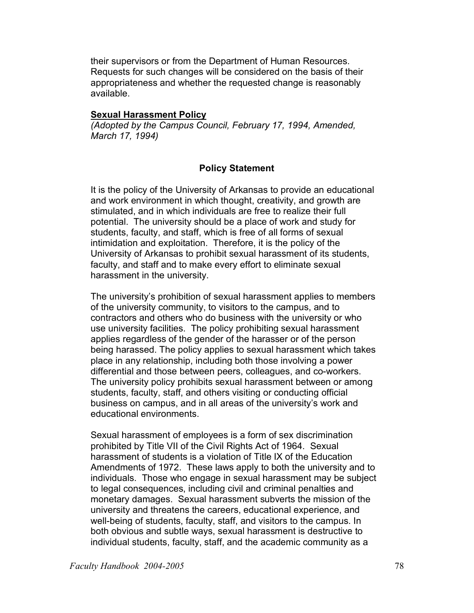their supervisors or from the Department of Human Resources. Requests for such changes will be considered on the basis of their appropriateness and whether the requested change is reasonably available.

### **Sexual Harassment Policy**

*(Adopted by the Campus Council, February 17, 1994, Amended, March 17, 1994)*

## **Policy Statement**

It is the policy of the University of Arkansas to provide an educational and work environment in which thought, creativity, and growth are stimulated, and in which individuals are free to realize their full potential. The university should be a place of work and study for students, faculty, and staff, which is free of all forms of sexual intimidation and exploitation. Therefore, it is the policy of the University of Arkansas to prohibit sexual harassment of its students, faculty, and staff and to make every effort to eliminate sexual harassment in the university.

The university's prohibition of sexual harassment applies to members of the university community, to visitors to the campus, and to contractors and others who do business with the university or who use university facilities. The policy prohibiting sexual harassment applies regardless of the gender of the harasser or of the person being harassed. The policy applies to sexual harassment which takes place in any relationship, including both those involving a power differential and those between peers, colleagues, and co-workers. The university policy prohibits sexual harassment between or among students, faculty, staff, and others visiting or conducting official business on campus, and in all areas of the university's work and educational environments.

Sexual harassment of employees is a form of sex discrimination prohibited by Title VII of the Civil Rights Act of 1964. Sexual harassment of students is a violation of Title IX of the Education Amendments of 1972. These laws apply to both the university and to individuals. Those who engage in sexual harassment may be subject to legal consequences, including civil and criminal penalties and monetary damages. Sexual harassment subverts the mission of the university and threatens the careers, educational experience, and well-being of students, faculty, staff, and visitors to the campus. In both obvious and subtle ways, sexual harassment is destructive to individual students, faculty, staff, and the academic community as a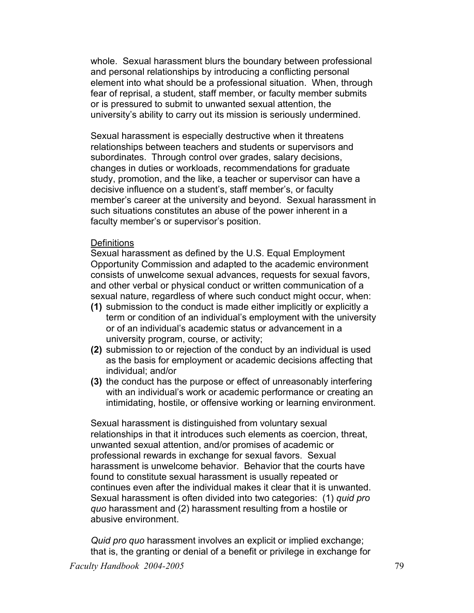whole. Sexual harassment blurs the boundary between professional and personal relationships by introducing a conflicting personal element into what should be a professional situation. When, through fear of reprisal, a student, staff member, or faculty member submits or is pressured to submit to unwanted sexual attention, the university's ability to carry out its mission is seriously undermined.

Sexual harassment is especially destructive when it threatens relationships between teachers and students or supervisors and subordinates. Through control over grades, salary decisions, changes in duties or workloads, recommendations for graduate study, promotion, and the like, a teacher or supervisor can have a decisive influence on a student's, staff member's, or faculty member's career at the university and beyond. Sexual harassment in such situations constitutes an abuse of the power inherent in a faculty member's or supervisor's position.

#### **Definitions**

Sexual harassment as defined by the U.S. Equal Employment Opportunity Commission and adapted to the academic environment consists of unwelcome sexual advances, requests for sexual favors, and other verbal or physical conduct or written communication of a sexual nature, regardless of where such conduct might occur, when:

- **(1)** submission to the conduct is made either implicitly or explicitly a term or condition of an individual's employment with the university or of an individual's academic status or advancement in a university program, course, or activity;
- **(2)** submission to or rejection of the conduct by an individual is used as the basis for employment or academic decisions affecting that individual; and/or
- **(3)** the conduct has the purpose or effect of unreasonably interfering with an individual's work or academic performance or creating an intimidating, hostile, or offensive working or learning environment.

Sexual harassment is distinguished from voluntary sexual relationships in that it introduces such elements as coercion, threat, unwanted sexual attention, and/or promises of academic or professional rewards in exchange for sexual favors. Sexual harassment is unwelcome behavior. Behavior that the courts have found to constitute sexual harassment is usually repeated or continues even after the individual makes it clear that it is unwanted. Sexual harassment is often divided into two categories: (1) *quid pro quo* harassment and (2) harassment resulting from a hostile or abusive environment.

*Quid pro quo* harassment involves an explicit or implied exchange; that is, the granting or denial of a benefit or privilege in exchange for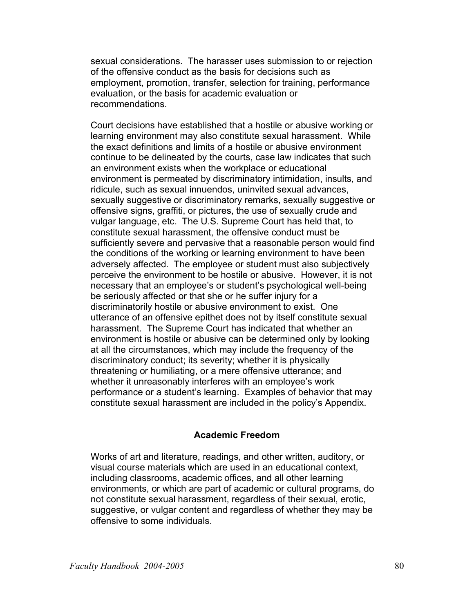sexual considerations. The harasser uses submission to or rejection of the offensive conduct as the basis for decisions such as employment, promotion, transfer, selection for training, performance evaluation, or the basis for academic evaluation or recommendations.

Court decisions have established that a hostile or abusive working or learning environment may also constitute sexual harassment. While the exact definitions and limits of a hostile or abusive environment continue to be delineated by the courts, case law indicates that such an environment exists when the workplace or educational environment is permeated by discriminatory intimidation, insults, and ridicule, such as sexual innuendos, uninvited sexual advances, sexually suggestive or discriminatory remarks, sexually suggestive or offensive signs, graffiti, or pictures, the use of sexually crude and vulgar language, etc. The U.S. Supreme Court has held that, to constitute sexual harassment, the offensive conduct must be sufficiently severe and pervasive that a reasonable person would find the conditions of the working or learning environment to have been adversely affected. The employee or student must also subjectively perceive the environment to be hostile or abusive. However, it is not necessary that an employee's or student's psychological well-being be seriously affected or that she or he suffer injury for a discriminatorily hostile or abusive environment to exist. One utterance of an offensive epithet does not by itself constitute sexual harassment. The Supreme Court has indicated that whether an environment is hostile or abusive can be determined only by looking at all the circumstances, which may include the frequency of the discriminatory conduct; its severity; whether it is physically threatening or humiliating, or a mere offensive utterance; and whether it unreasonably interferes with an employee's work performance or a student's learning. Examples of behavior that may constitute sexual harassment are included in the policy's Appendix.

#### **Academic Freedom**

Works of art and literature, readings, and other written, auditory, or visual course materials which are used in an educational context, including classrooms, academic offices, and all other learning environments, or which are part of academic or cultural programs, do not constitute sexual harassment, regardless of their sexual, erotic, suggestive, or vulgar content and regardless of whether they may be offensive to some individuals.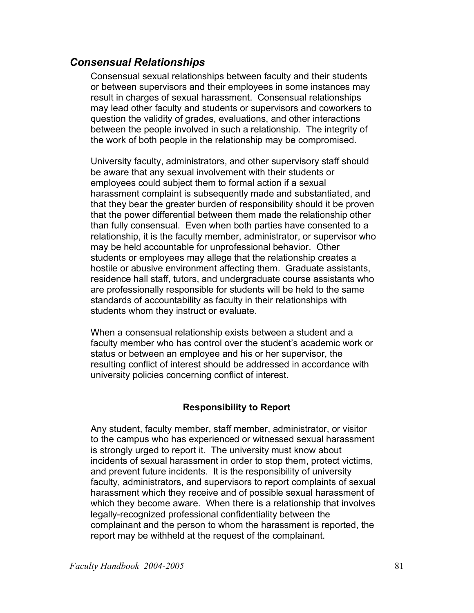# *Consensual Relationships*

Consensual sexual relationships between faculty and their students or between supervisors and their employees in some instances may result in charges of sexual harassment. Consensual relationships may lead other faculty and students or supervisors and coworkers to question the validity of grades, evaluations, and other interactions between the people involved in such a relationship. The integrity of the work of both people in the relationship may be compromised.

University faculty, administrators, and other supervisory staff should be aware that any sexual involvement with their students or employees could subject them to formal action if a sexual harassment complaint is subsequently made and substantiated, and that they bear the greater burden of responsibility should it be proven that the power differential between them made the relationship other than fully consensual. Even when both parties have consented to a relationship, it is the faculty member, administrator, or supervisor who may be held accountable for unprofessional behavior. Other students or employees may allege that the relationship creates a hostile or abusive environment affecting them. Graduate assistants, residence hall staff, tutors, and undergraduate course assistants who are professionally responsible for students will be held to the same standards of accountability as faculty in their relationships with students whom they instruct or evaluate.

When a consensual relationship exists between a student and a faculty member who has control over the student's academic work or status or between an employee and his or her supervisor, the resulting conflict of interest should be addressed in accordance with university policies concerning conflict of interest.

## **Responsibility to Report**

Any student, faculty member, staff member, administrator, or visitor to the campus who has experienced or witnessed sexual harassment is strongly urged to report it. The university must know about incidents of sexual harassment in order to stop them, protect victims, and prevent future incidents. It is the responsibility of university faculty, administrators, and supervisors to report complaints of sexual harassment which they receive and of possible sexual harassment of which they become aware. When there is a relationship that involves legally-recognized professional confidentiality between the complainant and the person to whom the harassment is reported, the report may be withheld at the request of the complainant.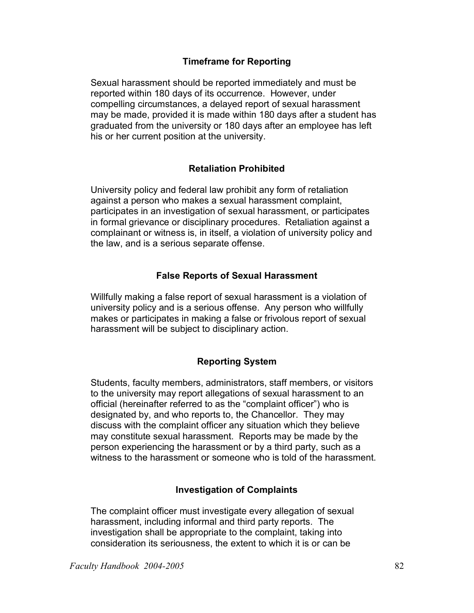# **Timeframe for Reporting**

Sexual harassment should be reported immediately and must be reported within 180 days of its occurrence. However, under compelling circumstances, a delayed report of sexual harassment may be made, provided it is made within 180 days after a student has graduated from the university or 180 days after an employee has left his or her current position at the university.

# **Retaliation Prohibited**

University policy and federal law prohibit any form of retaliation against a person who makes a sexual harassment complaint, participates in an investigation of sexual harassment, or participates in formal grievance or disciplinary procedures. Retaliation against a complainant or witness is, in itself, a violation of university policy and the law, and is a serious separate offense.

# **False Reports of Sexual Harassment**

Willfully making a false report of sexual harassment is a violation of university policy and is a serious offense. Any person who willfully makes or participates in making a false or frivolous report of sexual harassment will be subject to disciplinary action.

## **Reporting System**

Students, faculty members, administrators, staff members, or visitors to the university may report allegations of sexual harassment to an official (hereinafter referred to as the "complaint officer") who is designated by, and who reports to, the Chancellor. They may discuss with the complaint officer any situation which they believe may constitute sexual harassment. Reports may be made by the person experiencing the harassment or by a third party, such as a witness to the harassment or someone who is told of the harassment.

## **Investigation of Complaints**

The complaint officer must investigate every allegation of sexual harassment, including informal and third party reports. The investigation shall be appropriate to the complaint, taking into consideration its seriousness, the extent to which it is or can be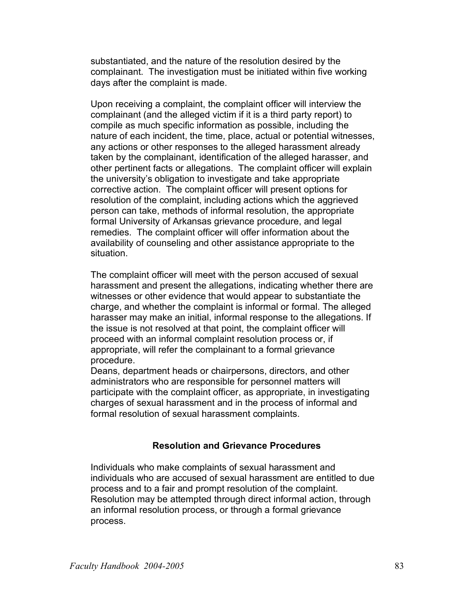substantiated, and the nature of the resolution desired by the complainant. The investigation must be initiated within five working days after the complaint is made.

Upon receiving a complaint, the complaint officer will interview the complainant (and the alleged victim if it is a third party report) to compile as much specific information as possible, including the nature of each incident, the time, place, actual or potential witnesses, any actions or other responses to the alleged harassment already taken by the complainant, identification of the alleged harasser, and other pertinent facts or allegations. The complaint officer will explain the university's obligation to investigate and take appropriate corrective action. The complaint officer will present options for resolution of the complaint, including actions which the aggrieved person can take, methods of informal resolution, the appropriate formal University of Arkansas grievance procedure, and legal remedies. The complaint officer will offer information about the availability of counseling and other assistance appropriate to the situation.

The complaint officer will meet with the person accused of sexual harassment and present the allegations, indicating whether there are witnesses or other evidence that would appear to substantiate the charge, and whether the complaint is informal or formal. The alleged harasser may make an initial, informal response to the allegations. If the issue is not resolved at that point, the complaint officer will proceed with an informal complaint resolution process or, if appropriate, will refer the complainant to a formal grievance procedure.

Deans, department heads or chairpersons, directors, and other administrators who are responsible for personnel matters will participate with the complaint officer, as appropriate, in investigating charges of sexual harassment and in the process of informal and formal resolution of sexual harassment complaints.

## **Resolution and Grievance Procedures**

Individuals who make complaints of sexual harassment and individuals who are accused of sexual harassment are entitled to due process and to a fair and prompt resolution of the complaint. Resolution may be attempted through direct informal action, through an informal resolution process, or through a formal grievance process.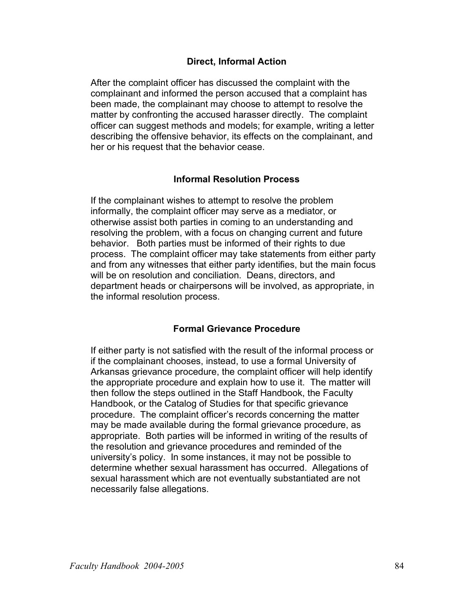# **Direct, Informal Action**

After the complaint officer has discussed the complaint with the complainant and informed the person accused that a complaint has been made, the complainant may choose to attempt to resolve the matter by confronting the accused harasser directly. The complaint officer can suggest methods and models; for example, writing a letter describing the offensive behavior, its effects on the complainant, and her or his request that the behavior cease.

# **Informal Resolution Process**

If the complainant wishes to attempt to resolve the problem informally, the complaint officer may serve as a mediator, or otherwise assist both parties in coming to an understanding and resolving the problem, with a focus on changing current and future behavior. Both parties must be informed of their rights to due process. The complaint officer may take statements from either party and from any witnesses that either party identifies, but the main focus will be on resolution and conciliation. Deans, directors, and department heads or chairpersons will be involved, as appropriate, in the informal resolution process.

# **Formal Grievance Procedure**

If either party is not satisfied with the result of the informal process or if the complainant chooses, instead, to use a formal University of Arkansas grievance procedure, the complaint officer will help identify the appropriate procedure and explain how to use it. The matter will then follow the steps outlined in the Staff Handbook, the Faculty Handbook, or the Catalog of Studies for that specific grievance procedure. The complaint officer's records concerning the matter may be made available during the formal grievance procedure, as appropriate. Both parties will be informed in writing of the results of the resolution and grievance procedures and reminded of the university's policy. In some instances, it may not be possible to determine whether sexual harassment has occurred. Allegations of sexual harassment which are not eventually substantiated are not necessarily false allegations.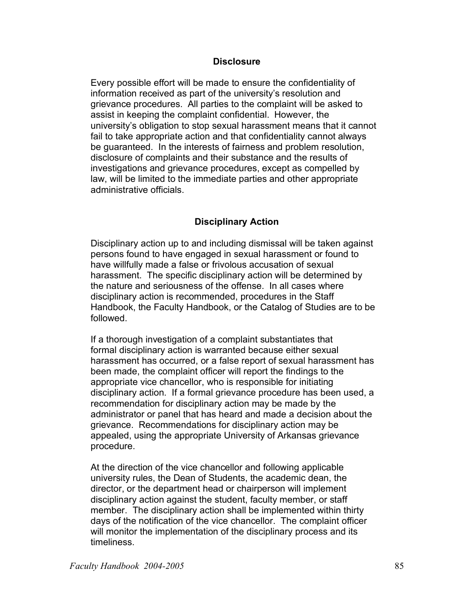### **Disclosure**

Every possible effort will be made to ensure the confidentiality of information received as part of the university's resolution and grievance procedures. All parties to the complaint will be asked to assist in keeping the complaint confidential. However, the university's obligation to stop sexual harassment means that it cannot fail to take appropriate action and that confidentiality cannot always be guaranteed. In the interests of fairness and problem resolution, disclosure of complaints and their substance and the results of investigations and grievance procedures, except as compelled by law, will be limited to the immediate parties and other appropriate administrative officials.

# **Disciplinary Action**

Disciplinary action up to and including dismissal will be taken against persons found to have engaged in sexual harassment or found to have willfully made a false or frivolous accusation of sexual harassment. The specific disciplinary action will be determined by the nature and seriousness of the offense. In all cases where disciplinary action is recommended, procedures in the Staff Handbook, the Faculty Handbook, or the Catalog of Studies are to be followed.

If a thorough investigation of a complaint substantiates that formal disciplinary action is warranted because either sexual harassment has occurred, or a false report of sexual harassment has been made, the complaint officer will report the findings to the appropriate vice chancellor, who is responsible for initiating disciplinary action. If a formal grievance procedure has been used, a recommendation for disciplinary action may be made by the administrator or panel that has heard and made a decision about the grievance. Recommendations for disciplinary action may be appealed, using the appropriate University of Arkansas grievance procedure.

At the direction of the vice chancellor and following applicable university rules, the Dean of Students, the academic dean, the director, or the department head or chairperson will implement disciplinary action against the student, faculty member, or staff member. The disciplinary action shall be implemented within thirty days of the notification of the vice chancellor. The complaint officer will monitor the implementation of the disciplinary process and its timeliness.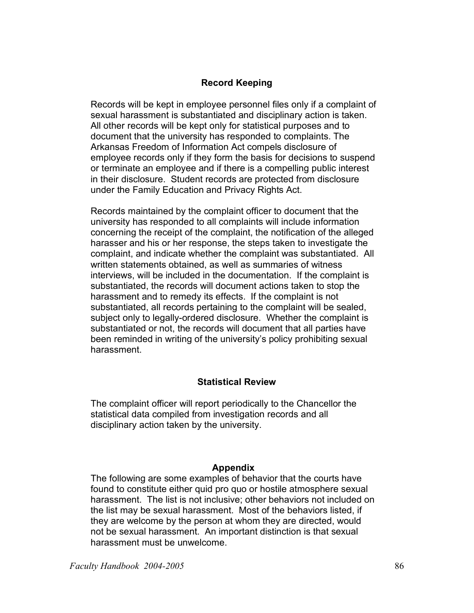# **Record Keeping**

Records will be kept in employee personnel files only if a complaint of sexual harassment is substantiated and disciplinary action is taken. All other records will be kept only for statistical purposes and to document that the university has responded to complaints. The Arkansas Freedom of Information Act compels disclosure of employee records only if they form the basis for decisions to suspend or terminate an employee and if there is a compelling public interest in their disclosure. Student records are protected from disclosure under the Family Education and Privacy Rights Act.

Records maintained by the complaint officer to document that the university has responded to all complaints will include information concerning the receipt of the complaint, the notification of the alleged harasser and his or her response, the steps taken to investigate the complaint, and indicate whether the complaint was substantiated. All written statements obtained, as well as summaries of witness interviews, will be included in the documentation. If the complaint is substantiated, the records will document actions taken to stop the harassment and to remedy its effects. If the complaint is not substantiated, all records pertaining to the complaint will be sealed, subject only to legally-ordered disclosure. Whether the complaint is substantiated or not, the records will document that all parties have been reminded in writing of the university's policy prohibiting sexual harassment.

## **Statistical Review**

The complaint officer will report periodically to the Chancellor the statistical data compiled from investigation records and all disciplinary action taken by the university.

#### **Appendix**

The following are some examples of behavior that the courts have found to constitute either quid pro quo or hostile atmosphere sexual harassment. The list is not inclusive; other behaviors not included on the list may be sexual harassment. Most of the behaviors listed, if they are welcome by the person at whom they are directed, would not be sexual harassment. An important distinction is that sexual harassment must be unwelcome.